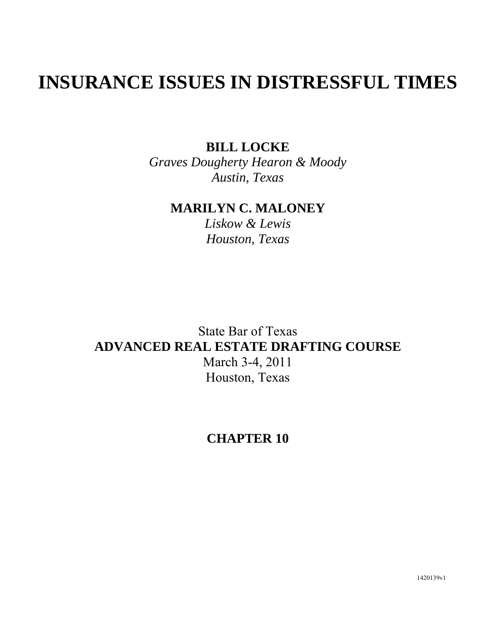# **INSURANCE ISSUES IN DISTRESSFUL TIMES**

# **BILL LOCKE**

*Graves Dougherty Hearon & Moody Austin, Texas* 

# **MARILYN C. MALONEY**

*Liskow & Lewis Houston, Texas* 

# State Bar of Texas **ADVANCED REAL ESTATE DRAFTING COURSE**

March 3-4, 2011 Houston, Texas

# **CHAPTER 10**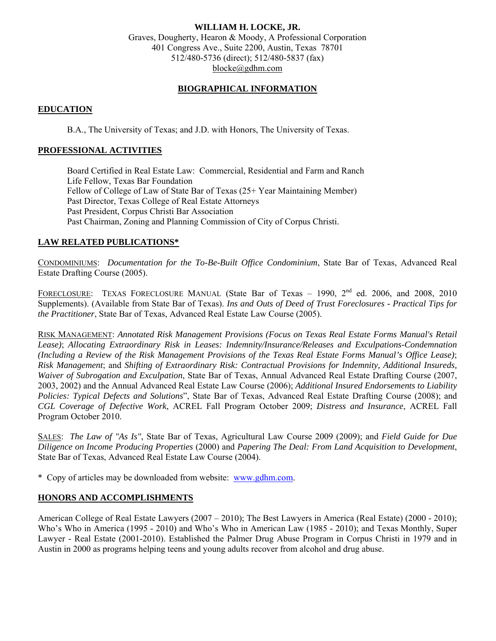#### **WILLIAM H. LOCKE, JR.**

Graves, Dougherty, Hearon & Moody, A Professional Corporation 401 Congress Ave., Suite 2200, Austin, Texas 78701 512/480-5736 (direct); 512/480-5837 (fax) blocke@gdhm.com

#### **BIOGRAPHICAL INFORMATION**

#### **EDUCATION**

B.A., The University of Texas; and J.D. with Honors, The University of Texas.

#### **PROFESSIONAL ACTIVITIES**

Board Certified in Real Estate Law: Commercial, Residential and Farm and Ranch Life Fellow, Texas Bar Foundation Fellow of College of Law of State Bar of Texas (25+ Year Maintaining Member) Past Director, Texas College of Real Estate Attorneys Past President, Corpus Christi Bar Association Past Chairman, Zoning and Planning Commission of City of Corpus Christi.

#### **LAW RELATED PUBLICATIONS\***

CONDOMINIUMS: *Documentation for the To-Be-Built Office Condominium*, State Bar of Texas, Advanced Real Estate Drafting Course (2005).

FORECLOSURE: TEXAS FORECLOSURE MANUAL (State Bar of Texas – 1990, 2<sup>nd</sup> ed. 2006, and 2008, 2010 Supplements). (Available from State Bar of Texas). *Ins and Outs of Deed of Trust Foreclosures - Practical Tips for the Practitioner*, State Bar of Texas, Advanced Real Estate Law Course (2005).

RISK MANAGEMENT: *Annotated Risk Management Provisions (Focus on Texas Real Estate Forms Manual's Retail Lease)*; *Allocating Extraordinary Risk in Leases: Indemnity/Insurance/Releases and Exculpations-Condemnation (Including a Review of the Risk Management Provisions of the Texas Real Estate Forms Manual's Office Lease)*; *Risk Management*; and *Shifting of Extraordinary Risk: Contractual Provisions for Indemnity, Additional Insureds, Waiver of Subrogation and Exculpation*, State Bar of Texas, Annual Advanced Real Estate Drafting Course (2007, 2003, 2002) and the Annual Advanced Real Estate Law Course (2006); *Additional Insured Endorsements to Liability Policies: Typical Defects and Solutions*", State Bar of Texas, Advanced Real Estate Drafting Course (2008); and *CGL Coverage of Defective Work*, ACREL Fall Program October 2009; *Distress and Insurance*, ACREL Fall Program October 2010.

SALES: *The Law of "As Is"*, State Bar of Texas, Agricultural Law Course 2009 (2009); and *Field Guide for Due Diligence on Income Producing Properties* (2000) and *Papering The Deal: From Land Acquisition to Development*, State Bar of Texas, Advanced Real Estate Law Course (2004).

\* Copy of articles may be downloaded from website: www.gdhm.com.

#### **HONORS AND ACCOMPLISHMENTS**

American College of Real Estate Lawyers (2007 – 2010); The Best Lawyers in America (Real Estate) (2000 - 2010); Who's Who in America (1995 - 2010) and Who's Who in American Law (1985 - 2010); and Texas Monthly, Super Lawyer - Real Estate (2001-2010). Established the Palmer Drug Abuse Program in Corpus Christi in 1979 and in Austin in 2000 as programs helping teens and young adults recover from alcohol and drug abuse.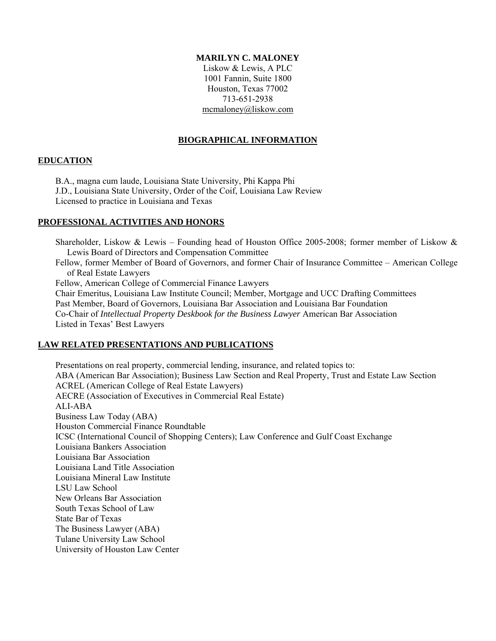#### **MARILYN C. MALONEY**

Liskow & Lewis, A PLC 1001 Fannin, Suite 1800 Houston, Texas 77002 713-651-2938 mcmaloney@liskow.com

#### **BIOGRAPHICAL INFORMATION**

#### **EDUCATION**

B.A., magna cum laude, Louisiana State University, Phi Kappa Phi J.D., Louisiana State University, Order of the Coif, Louisiana Law Review Licensed to practice in Louisiana and Texas

#### **PROFESSIONAL ACTIVITIES AND HONORS**

Shareholder, Liskow & Lewis – Founding head of Houston Office 2005-2008; former member of Liskow & Lewis Board of Directors and Compensation Committee

Fellow, former Member of Board of Governors, and former Chair of Insurance Committee – American College of Real Estate Lawyers

Fellow, American College of Commercial Finance Lawyers

Chair Emeritus, Louisiana Law Institute Council; Member, Mortgage and UCC Drafting Committees Past Member, Board of Governors, Louisiana Bar Association and Louisiana Bar Foundation Co-Chair of *Intellectual Property Deskbook for the Business Lawyer* American Bar Association Listed in Texas' Best Lawyers

#### **LAW RELATED PRESENTATIONS AND PUBLICATIONS**

Presentations on real property, commercial lending, insurance, and related topics to: ABA (American Bar Association); Business Law Section and Real Property, Trust and Estate Law Section ACREL (American College of Real Estate Lawyers) AECRE (Association of Executives in Commercial Real Estate) ALI-ABA Business Law Today (ABA) Houston Commercial Finance Roundtable ICSC (International Council of Shopping Centers); Law Conference and Gulf Coast Exchange Louisiana Bankers Association Louisiana Bar Association Louisiana Land Title Association Louisiana Mineral Law Institute LSU Law School New Orleans Bar Association South Texas School of Law State Bar of Texas The Business Lawyer (ABA) Tulane University Law School University of Houston Law Center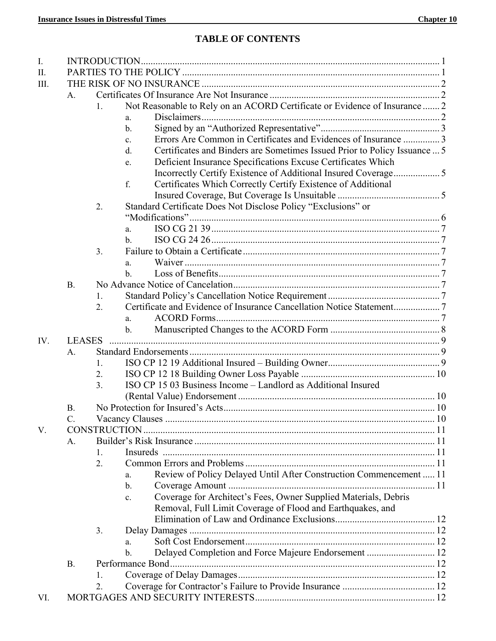# **TABLE OF CONTENTS**

| I.  |               |                     |                                                                                 |  |  |  |  |
|-----|---------------|---------------------|---------------------------------------------------------------------------------|--|--|--|--|
| Π.  |               |                     |                                                                                 |  |  |  |  |
| Ш.  |               |                     |                                                                                 |  |  |  |  |
|     | А.            |                     |                                                                                 |  |  |  |  |
|     |               | 1.                  | Not Reasonable to Rely on an ACORD Certificate or Evidence of Insurance  2      |  |  |  |  |
|     |               |                     | a.                                                                              |  |  |  |  |
|     |               |                     | b.                                                                              |  |  |  |  |
|     |               |                     | C <sub>1</sub>                                                                  |  |  |  |  |
|     |               |                     | Certificates and Binders are Sometimes Issued Prior to Policy Issuance  5<br>d. |  |  |  |  |
|     |               |                     | Deficient Insurance Specifications Excuse Certificates Which<br>e.              |  |  |  |  |
|     |               |                     | Incorrectly Certify Existence of Additional Insured Coverage 5                  |  |  |  |  |
|     |               |                     | Certificates Which Correctly Certify Existence of Additional<br>f.              |  |  |  |  |
|     |               |                     |                                                                                 |  |  |  |  |
|     |               | 2.                  | Standard Certificate Does Not Disclose Policy "Exclusions" or                   |  |  |  |  |
|     |               |                     |                                                                                 |  |  |  |  |
|     |               |                     | a.                                                                              |  |  |  |  |
|     |               |                     | $\mathbf{b}$ .                                                                  |  |  |  |  |
|     |               | 3 <sub>1</sub>      |                                                                                 |  |  |  |  |
|     |               |                     | a.                                                                              |  |  |  |  |
|     |               |                     | b.                                                                              |  |  |  |  |
|     | <b>B.</b>     |                     |                                                                                 |  |  |  |  |
|     |               | $\mathbf{1}$ .      |                                                                                 |  |  |  |  |
|     |               | 2.                  |                                                                                 |  |  |  |  |
|     |               |                     | a.                                                                              |  |  |  |  |
|     |               |                     | $\mathbf{b}$ .                                                                  |  |  |  |  |
| IV. | <b>LEASES</b> |                     |                                                                                 |  |  |  |  |
|     | A.            |                     |                                                                                 |  |  |  |  |
|     |               | $\mathbf{1}$ .      |                                                                                 |  |  |  |  |
|     |               | 2.                  |                                                                                 |  |  |  |  |
|     |               | 3.                  | ISO CP 15 03 Business Income – Landlord as Additional Insured                   |  |  |  |  |
|     |               |                     |                                                                                 |  |  |  |  |
|     | Β.            |                     |                                                                                 |  |  |  |  |
|     | C.            |                     |                                                                                 |  |  |  |  |
| V.  |               | <b>CONSTRUCTION</b> |                                                                                 |  |  |  |  |
|     | A.            |                     |                                                                                 |  |  |  |  |
|     |               | $\mathbf{1}$ .      |                                                                                 |  |  |  |  |
|     |               | 2.                  |                                                                                 |  |  |  |  |
|     |               |                     | Review of Policy Delayed Until After Construction Commencement  11<br>a.        |  |  |  |  |
|     |               |                     | $\mathbf b$ .                                                                   |  |  |  |  |
|     |               |                     | Coverage for Architect's Fees, Owner Supplied Materials, Debris<br>c.           |  |  |  |  |
|     |               |                     | Removal, Full Limit Coverage of Flood and Earthquakes, and                      |  |  |  |  |
|     |               |                     |                                                                                 |  |  |  |  |
|     |               | 3.                  |                                                                                 |  |  |  |  |
|     |               |                     | a.                                                                              |  |  |  |  |
|     |               |                     | Delayed Completion and Force Majeure Endorsement  12<br>$\mathbf b$ .           |  |  |  |  |
|     | <b>B.</b>     |                     |                                                                                 |  |  |  |  |
|     |               | 1.                  |                                                                                 |  |  |  |  |
|     |               | 2.                  |                                                                                 |  |  |  |  |
| VI. |               |                     |                                                                                 |  |  |  |  |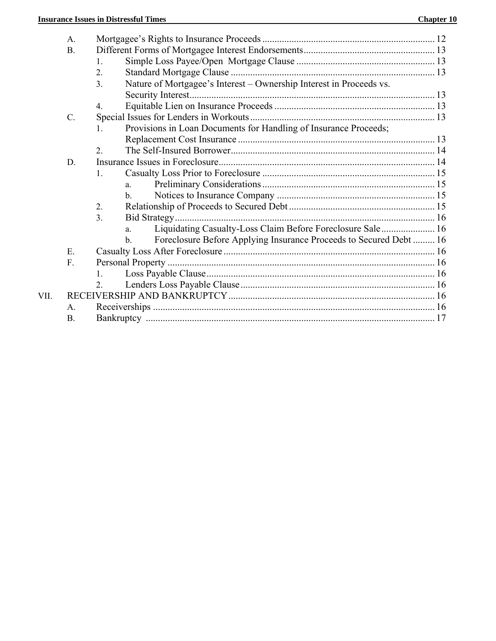|      | $\mathbf{A}$ . |                                                                                         |  |
|------|----------------|-----------------------------------------------------------------------------------------|--|
|      | B.             |                                                                                         |  |
|      |                | $\mathbf{1}$                                                                            |  |
|      |                | 2.                                                                                      |  |
|      |                | Nature of Mortgagee's Interest - Ownership Interest in Proceeds vs.<br>$\overline{3}$ . |  |
|      |                |                                                                                         |  |
|      |                | $4_{\cdot}$                                                                             |  |
|      | $C$ .          |                                                                                         |  |
|      |                | Provisions in Loan Documents for Handling of Insurance Proceeds;<br>$\mathbf{1}$        |  |
|      |                |                                                                                         |  |
|      |                | $\overline{2}$                                                                          |  |
|      | D.             |                                                                                         |  |
|      |                | $\mathbf{1}$                                                                            |  |
|      |                | a.                                                                                      |  |
|      |                | <sub>b</sub>                                                                            |  |
|      |                | 2.                                                                                      |  |
|      |                | 3 <sub>1</sub>                                                                          |  |
|      |                | Liquidating Casualty-Loss Claim Before Foreclosure Sale 16<br>a.                        |  |
|      |                | Foreclosure Before Applying Insurance Proceeds to Secured Debt  16<br>$\mathbf b$ .     |  |
|      | E.             |                                                                                         |  |
|      | F.             |                                                                                         |  |
|      |                |                                                                                         |  |
|      |                | $\mathcal{D}_{\mathcal{L}}$                                                             |  |
| VII. |                |                                                                                         |  |
|      | $A_{\cdot}$    |                                                                                         |  |
|      | Β.             |                                                                                         |  |
|      |                |                                                                                         |  |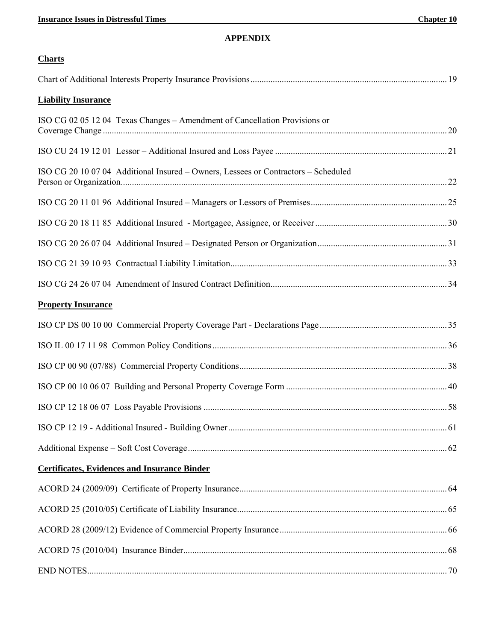# **APPENDIX**

# **Charts**

| <b>Liability Insurance</b>                                                         |  |
|------------------------------------------------------------------------------------|--|
| ISO CG 02 05 12 04 Texas Changes - Amendment of Cancellation Provisions or         |  |
|                                                                                    |  |
| ISO CG 20 10 07 04 Additional Insured - Owners, Lessees or Contractors - Scheduled |  |
|                                                                                    |  |
|                                                                                    |  |
|                                                                                    |  |
|                                                                                    |  |
|                                                                                    |  |
| <b>Property Insurance</b>                                                          |  |
|                                                                                    |  |
|                                                                                    |  |
|                                                                                    |  |
|                                                                                    |  |
|                                                                                    |  |
|                                                                                    |  |
|                                                                                    |  |
| <b>Certificates, Evidences and Insurance Binder</b>                                |  |
|                                                                                    |  |
|                                                                                    |  |
|                                                                                    |  |
|                                                                                    |  |
|                                                                                    |  |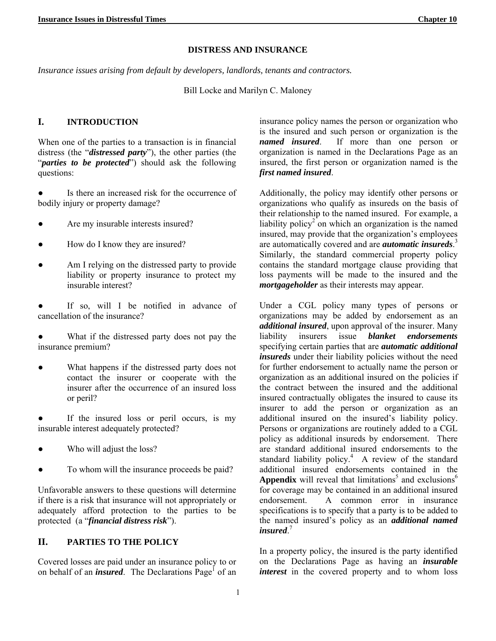#### **DISTRESS AND INSURANCE**

*Insurance issues arising from default by developers, landlords, tenants and contractors.*

Bill Locke and Marilyn C. Maloney

#### **I. INTRODUCTION**

When one of the parties to a transaction is in financial distress (the "*distressed party*"), the other parties (the "*parties to be protected*") should ask the following questions:

Is there an increased risk for the occurrence of bodily injury or property damage?

- Are my insurable interests insured?
- How do I know they are insured?
- Am I relying on the distressed party to provide liability or property insurance to protect my insurable interest?

If so, will I be notified in advance of cancellation of the insurance?

What if the distressed party does not pay the insurance premium?

What happens if the distressed party does not contact the insurer or cooperate with the insurer after the occurrence of an insured loss or peril?

If the insured loss or peril occurs, is my insurable interest adequately protected?

- Who will adjust the loss?
- To whom will the insurance proceeds be paid?

Unfavorable answers to these questions will determine if there is a risk that insurance will not appropriately or adequately afford protection to the parties to be protected (a "*financial distress risk*").

#### **II. PARTIES TO THE POLICY**

Covered losses are paid under an insurance policy to or on behalf of an *insured*. The Declarations Page<sup>1</sup> of an

insurance policy names the person or organization who is the insured and such person or organization is the *named insured*. If more than one person or organization is named in the Declarations Page as an insured, the first person or organization named is the *first named insured*.

Additionally, the policy may identify other persons or organizations who qualify as insureds on the basis of their relationship to the named insured. For example, a liability policy<sup>2</sup> on which an organization is the named insured, may provide that the organization's employees are automatically covered and are *automatic insureds*. 3 Similarly, the standard commercial property policy contains the standard mortgage clause providing that loss payments will be made to the insured and the *mortgageholder* as their interests may appear.

Under a CGL policy many types of persons or organizations may be added by endorsement as an *additional insured*, upon approval of the insurer. Many liability insurers issue *blanket endorsements* specifying certain parties that are *automatic additional insureds* under their liability policies without the need for further endorsement to actually name the person or organization as an additional insured on the policies if the contract between the insured and the additional insured contractually obligates the insured to cause its insurer to add the person or organization as an additional insured on the insured's liability policy. Persons or organizations are routinely added to a CGL policy as additional insureds by endorsement. There are standard additional insured endorsements to the standard liability policy.<sup>4</sup> A review of the standard additional insured endorsements contained in the **Appendix** will reveal that limitations<sup>5</sup> and exclusions<sup>6</sup> for coverage may be contained in an additional insured endorsement. A common error in insurance specifications is to specify that a party is to be added to the named insured's policy as an *additional named insured*. 7

In a property policy, the insured is the party identified on the Declarations Page as having an *insurable interest* in the covered property and to whom loss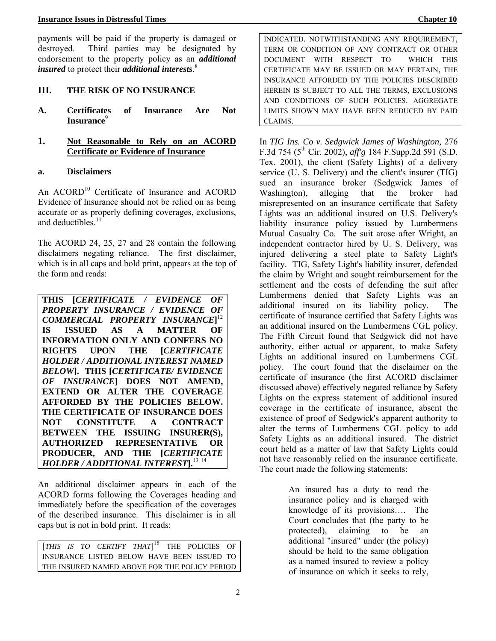payments will be paid if the property is damaged or destroyed. Third parties may be designated by endorsement to the property policy as an *additional insured* to protect their *additional interests*. 8

#### **III. THE RISK OF NO INSURANCE**

- **A. Certificates of Insurance Are Not**  Insurance<sup>9</sup>
- **1. Not Reasonable to Rely on an ACORD Certificate or Evidence of Insurance**

#### **a. Disclaimers**

An ACORD<sup>10</sup> Certificate of Insurance and ACORD Evidence of Insurance should not be relied on as being accurate or as properly defining coverages, exclusions, and deductibles.<sup>11</sup>

The ACORD 24, 25, 27 and 28 contain the following disclaimers negating reliance. The first disclaimer, which is in all caps and bold print, appears at the top of the form and reads:

**THIS [***CERTIFICATE / EVIDENCE OF PROPERTY INSURANCE / EVIDENCE OF COMMERCIAL PROPERTY INSURANCE***]** 12 **IS ISSUED AS A MATTER OF INFORMATION ONLY AND CONFERS NO RIGHTS UPON THE [***CERTIFICATE HOLDER / ADDITIONAL INTEREST NAMED BELOW***]. THIS [***CERTIFICATE/ EVIDENCE OF INSURANCE***] DOES NOT AMEND, EXTEND OR ALTER THE COVERAGE AFFORDED BY THE POLICIES BELOW. THE CERTIFICATE OF INSURANCE DOES NOT CONSTITUTE A CONTRACT BETWEEN THE ISSUING INSURER(S), AUTHORIZED REPRESENTATIVE OR PRODUCER, AND THE [***CERTIFICATE HOLDER / ADDITIONAL INTEREST***].**<sup>13</sup> <sup>14</sup>

An additional disclaimer appears in each of the ACORD forms following the Coverages heading and immediately before the specification of the coverages of the described insurance. This disclaimer is in all caps but is not in bold print. It reads:

[*THIS IS TO CERTIFY THAT*] 15 THE POLICIES OF INSURANCE LISTED BELOW HAVE BEEN ISSUED TO THE INSURED NAMED ABOVE FOR THE POLICY PERIOD

INDICATED. NOTWITHSTANDING ANY REQUIREMENT, TERM OR CONDITION OF ANY CONTRACT OR OTHER DOCUMENT WITH RESPECT TO WHICH THIS CERTIFICATE MAY BE ISSUED OR MAY PERTAIN, THE INSURANCE AFFORDED BY THE POLICIES DESCRIBED HEREIN IS SUBJECT TO ALL THE TERMS, EXCLUSIONS AND CONDITIONS OF SUCH POLICIES. AGGREGATE LIMITS SHOWN MAY HAVE BEEN REDUCED BY PAID CLAIMS.

In *TIG Ins. Co v. Sedgwick James of Washington,* 276 F.3d 754 (5th Cir. 2002), *aff'g* 184 F.Supp.2d 591 (S.D. Tex. 2001), the client (Safety Lights) of a delivery service (U. S. Delivery) and the client's insurer (TIG) sued an insurance broker (Sedgwick James of Washington), alleging that the broker had misrepresented on an insurance certificate that Safety Lights was an additional insured on U.S. Delivery's liability insurance policy issued by Lumbermens Mutual Casualty Co. The suit arose after Wright, an independent contractor hired by U. S. Delivery, was injured delivering a steel plate to Safety Light's facility. TIG, Safety Light's liability insurer, defended the claim by Wright and sought reimbursement for the settlement and the costs of defending the suit after Lumbermens denied that Safety Lights was an additional insured on its liability policy. The certificate of insurance certified that Safety Lights was an additional insured on the Lumbermens CGL policy. The Fifth Circuit found that Sedgwick did not have authority, either actual or apparent, to make Safety Lights an additional insured on Lumbermens CGL policy. The court found that the disclaimer on the certificate of insurance (the first ACORD disclaimer discussed above) effectively negated reliance by Safety Lights on the express statement of additional insured coverage in the certificate of insurance, absent the existence of proof of Sedgwick's apparent authority to alter the terms of Lumbermens CGL policy to add Safety Lights as an additional insured. The district court held as a matter of law that Safety Lights could not have reasonably relied on the insurance certificate. The court made the following statements:

> An insured has a duty to read the insurance policy and is charged with knowledge of its provisions…. The Court concludes that (the party to be protected), claiming to be an additional "insured" under (the policy) should be held to the same obligation as a named insured to review a policy of insurance on which it seeks to rely,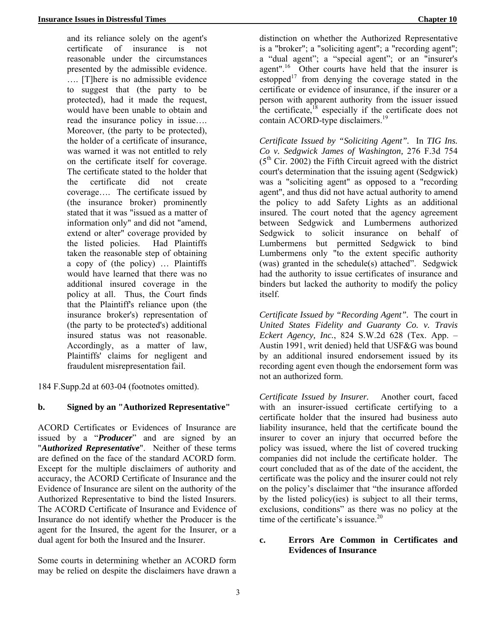and its reliance solely on the agent's certificate of insurance is not reasonable under the circumstances presented by the admissible evidence. …. [T]here is no admissible evidence to suggest that (the party to be protected), had it made the request, would have been unable to obtain and read the insurance policy in issue…. Moreover, (the party to be protected), the holder of a certificate of insurance, was warned it was not entitled to rely on the certificate itself for coverage. The certificate stated to the holder that the certificate did not create coverage…. The certificate issued by (the insurance broker) prominently stated that it was "issued as a matter of information only" and did not "amend, extend or alter" coverage provided by the listed policies. Had Plaintiffs taken the reasonable step of obtaining a copy of (the policy) … Plaintiffs would have learned that there was no additional insured coverage in the policy at all. Thus, the Court finds that the Plaintiff's reliance upon (the insurance broker's) representation of (the party to be protected's) additional insured status was not reasonable. Accordingly, as a matter of law, Plaintiffs' claims for negligent and fraudulent misrepresentation fail.

184 F.Supp.2d at 603-04 (footnotes omitted).

#### **b. Signed by an "Authorized Representative"**

ACORD Certificates or Evidences of Insurance are issued by a "*Producer*" and are signed by an "*Authorized Representative*". Neither of these terms are defined on the face of the standard ACORD form. Except for the multiple disclaimers of authority and accuracy, the ACORD Certificate of Insurance and the Evidence of Insurance are silent on the authority of the Authorized Representative to bind the listed Insurers. The ACORD Certificate of Insurance and Evidence of Insurance do not identify whether the Producer is the agent for the Insured, the agent for the Insurer, or a dual agent for both the Insured and the Insurer.

Some courts in determining whether an ACORD form may be relied on despite the disclaimers have drawn a

distinction on whether the Authorized Representative is a "broker"; a "soliciting agent"; a "recording agent"; a "dual agent"; a "special agent"; or an "insurer's agent".<sup>16</sup> Other courts have held that the insurer is estopped $17$  from denying the coverage stated in the certificate or evidence of insurance, if the insurer or a person with apparent authority from the issuer issued the certificate,18 especially if the certificate does not contain ACORD-type disclaimers.<sup>19</sup>

*Certificate Issued by "Soliciting Agent".* In *TIG Ins. Co v. Sedgwick James of Washington,* 276 F.3d 754  $(5<sup>th</sup> Cir. 2002)$  the Fifth Circuit agreed with the district court's determination that the issuing agent (Sedgwick) was a "soliciting agent" as opposed to a "recording agent", and thus did not have actual authority to amend the policy to add Safety Lights as an additional insured. The court noted that the agency agreement between Sedgwick and Lumbermens authorized Sedgwick to solicit insurance on behalf of Lumbermens but permitted Sedgwick to bind Lumbermens only "to the extent specific authority (was) granted in the schedule(s) attached". Sedgwick had the authority to issue certificates of insurance and binders but lacked the authority to modify the policy itself.

*Certificate Issued by "Recording Agent".* The court in *United States Fidelity and Guaranty Co. v. Travis Eckert Agency, Inc.*, 824 S.W.2d 628 (Tex. App. – Austin 1991, writ denied) held that USF&G was bound by an additional insured endorsement issued by its recording agent even though the endorsement form was not an authorized form.

*Certificate Issued by Insurer.* Another court, faced with an insurer-issued certificate certifying to a certificate holder that the insured had business auto liability insurance, held that the certificate bound the insurer to cover an injury that occurred before the policy was issued, where the list of covered trucking companies did not include the certificate holder. The court concluded that as of the date of the accident, the certificate was the policy and the insurer could not rely on the policy's disclaimer that "the insurance afforded by the listed policy(ies) is subject to all their terms, exclusions, conditions" as there was no policy at the time of the certificate's issuance. $20$ 

#### **c. Errors Are Common in Certificates and Evidences of Insurance**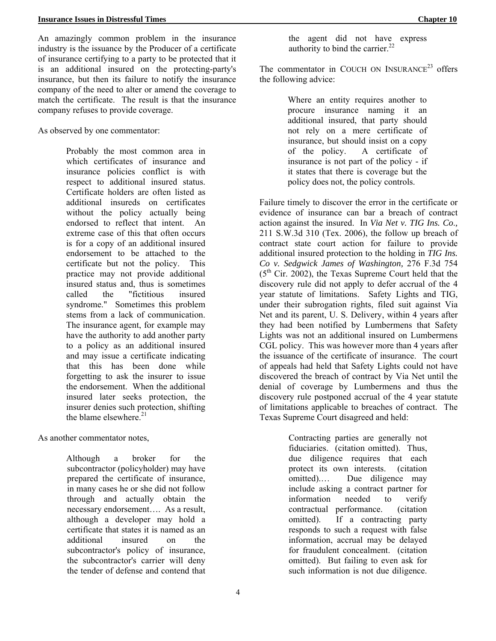An amazingly common problem in the insurance industry is the issuance by the Producer of a certificate of insurance certifying to a party to be protected that it is an additional insured on the protecting-party's insurance, but then its failure to notify the insurance company of the need to alter or amend the coverage to match the certificate. The result is that the insurance company refuses to provide coverage.

As observed by one commentator:

Probably the most common area in which certificates of insurance and insurance policies conflict is with respect to additional insured status. Certificate holders are often listed as additional insureds on certificates without the policy actually being endorsed to reflect that intent. An extreme case of this that often occurs is for a copy of an additional insured endorsement to be attached to the certificate but not the policy. This practice may not provide additional insured status and, thus is sometimes called the "fictitious insured syndrome." Sometimes this problem stems from a lack of communication. The insurance agent, for example may have the authority to add another party to a policy as an additional insured and may issue a certificate indicating that this has been done while forgetting to ask the insurer to issue the endorsement. When the additional insured later seeks protection, the insurer denies such protection, shifting the blame elsewhere  $21$ 

As another commentator notes,

Although a broker for the subcontractor (policyholder) may have prepared the certificate of insurance, in many cases he or she did not follow through and actually obtain the necessary endorsement…. As a result, although a developer may hold a certificate that states it is named as an additional insured on the subcontractor's policy of insurance, the subcontractor's carrier will deny the tender of defense and contend that

the agent did not have express authority to bind the carrier. $^{22}$ 

The commentator in COUCH ON  $INSURANCE<sup>23</sup>$  offers the following advice:

> Where an entity requires another to procure insurance naming it an additional insured, that party should not rely on a mere certificate of insurance, but should insist on a copy of the policy. A certificate of insurance is not part of the policy - if it states that there is coverage but the policy does not, the policy controls.

Failure timely to discover the error in the certificate or evidence of insurance can bar a breach of contract action against the insured. In *Via Net v. TIG Ins. Co*.*,*  211 S.W.3d 310 (Tex. 2006), the follow up breach of contract state court action for failure to provide additional insured protection to the holding in *TIG Ins. Co v. Sedgwick James of Washington,* 276 F.3d 754  $(5<sup>th</sup> Cir. 2002)$ , the Texas Supreme Court held that the discovery rule did not apply to defer accrual of the 4 year statute of limitations. Safety Lights and TIG, under their subrogation rights, filed suit against Via Net and its parent, U. S. Delivery, within 4 years after they had been notified by Lumbermens that Safety Lights was not an additional insured on Lumbermens CGL policy. This was however more than 4 years after the issuance of the certificate of insurance. The court of appeals had held that Safety Lights could not have discovered the breach of contract by Via Net until the denial of coverage by Lumbermens and thus the discovery rule postponed accrual of the 4 year statute of limitations applicable to breaches of contract. The Texas Supreme Court disagreed and held:

> Contracting parties are generally not fiduciaries. (citation omitted). Thus, due diligence requires that each protect its own interests. (citation omitted).… Due diligence may include asking a contract partner for information needed to verify contractual performance. (citation omitted). If a contracting party responds to such a request with false information, accrual may be delayed for fraudulent concealment. (citation omitted). But failing to even ask for such information is not due diligence.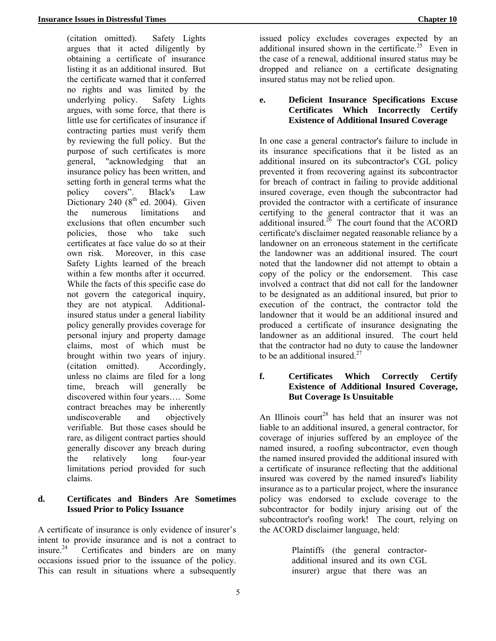(citation omitted). Safety Lights argues that it acted diligently by obtaining a certificate of insurance listing it as an additional insured. But the certificate warned that it conferred no rights and was limited by the underlying policy. Safety Lights argues, with some force, that there is little use for certificates of insurance if contracting parties must verify them by reviewing the full policy. But the purpose of such certificates is more general, "acknowledging that an insurance policy has been written, and setting forth in general terms what the policy covers". Black's Law Dictionary 240 ( $8<sup>th</sup>$  ed. 2004). Given the numerous limitations and exclusions that often encumber such policies, those who take such certificates at face value do so at their own risk. Moreover, in this case Safety Lights learned of the breach within a few months after it occurred. While the facts of this specific case do not govern the categorical inquiry, they are not atypical. Additionalinsured status under a general liability policy generally provides coverage for personal injury and property damage claims, most of which must be brought within two years of injury. (citation omitted). Accordingly, unless no claims are filed for a long time, breach will generally be discovered within four years…. Some contract breaches may be inherently undiscoverable and objectively verifiable. But those cases should be rare, as diligent contract parties should generally discover any breach during the relatively long four-year limitations period provided for such claims.

#### **d. Certificates and Binders Are Sometimes Issued Prior to Policy Issuance**

A certificate of insurance is only evidence of insurer's intent to provide insurance and is not a contract to insure.<sup>24</sup> Certificates and binders are on many occasions issued prior to the issuance of the policy. This can result in situations where a subsequently

issued policy excludes coverages expected by an additional insured shown in the certificate.<sup>25</sup> Even in the case of a renewal, additional insured status may be dropped and reliance on a certificate designating insured status may not be relied upon.

#### **e. Deficient Insurance Specifications Excuse Certificates Which Incorrectly Certify Existence of Additional Insured Coverage**

In one case a general contractor's failure to include in its insurance specifications that it be listed as an additional insured on its subcontractor's CGL policy prevented it from recovering against its subcontractor for breach of contract in failing to provide additional insured coverage, even though the subcontractor had provided the contractor with a certificate of insurance certifying to the general contractor that it was an additional insured. $^{26}$  The court found that the ACORD certificate's disclaimer negated reasonable reliance by a landowner on an erroneous statement in the certificate the landowner was an additional insured. The court noted that the landowner did not attempt to obtain a copy of the policy or the endorsement. This case involved a contract that did not call for the landowner to be designated as an additional insured, but prior to execution of the contract, the contractor told the landowner that it would be an additional insured and produced a certificate of insurance designating the landowner as an additional insured. The court held that the contractor had no duty to cause the landowner to be an additional insured.<sup>27</sup>

#### **f. Certificates Which Correctly Certify Existence of Additional Insured Coverage, But Coverage Is Unsuitable**

An Illinois court<sup>28</sup> has held that an insurer was not liable to an additional insured, a general contractor, for coverage of injuries suffered by an employee of the named insured, a roofing subcontractor, even though the named insured provided the additional insured with a certificate of insurance reflecting that the additional insured was covered by the named insured's liability insurance as to a particular project, where the insurance policy was endorsed to exclude coverage to the subcontractor for bodily injury arising out of the subcontractor's roofing work! The court, relying on the ACORD disclaimer language, held:

> Plaintiffs (the general contractoradditional insured and its own CGL insurer) argue that there was an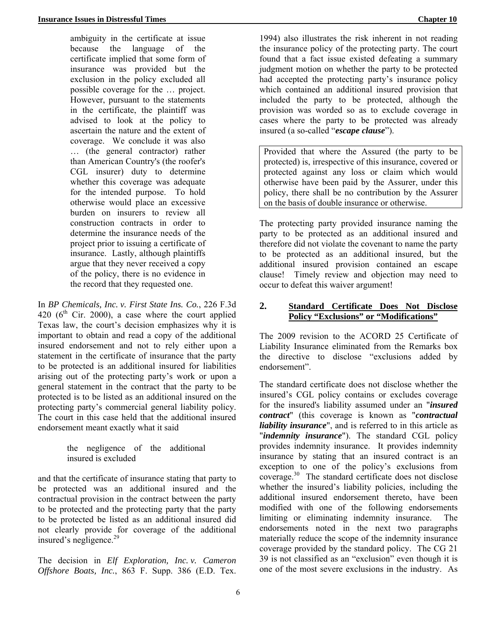ambiguity in the certificate at issue because the language of the certificate implied that some form of insurance was provided but the exclusion in the policy excluded all possible coverage for the … project. However, pursuant to the statements in the certificate, the plaintiff was advised to look at the policy to ascertain the nature and the extent of coverage. We conclude it was also … (the general contractor) rather than American Country's (the roofer's CGL insurer) duty to determine whether this coverage was adequate for the intended purpose. To hold otherwise would place an excessive burden on insurers to review all construction contracts in order to determine the insurance needs of the project prior to issuing a certificate of insurance. Lastly, although plaintiffs argue that they never received a copy of the policy, there is no evidence in the record that they requested one.

In *BP Chemicals, Inc. v. First State Ins. Co.*, 226 F.3d 420 ( $6<sup>th</sup>$  Cir. 2000), a case where the court applied Texas law, the court's decision emphasizes why it is important to obtain and read a copy of the additional insured endorsement and not to rely either upon a statement in the certificate of insurance that the party to be protected is an additional insured for liabilities arising out of the protecting party's work or upon a general statement in the contract that the party to be protected is to be listed as an additional insured on the protecting party's commercial general liability policy. The court in this case held that the additional insured endorsement meant exactly what it said

> the negligence of the additional insured is excluded

and that the certificate of insurance stating that party to be protected was an additional insured and the contractual provision in the contract between the party to be protected and the protecting party that the party to be protected be listed as an additional insured did not clearly provide for coverage of the additional insured's negligence.<sup>29</sup>

The decision in *Elf Exploration, Inc. v. Cameron Offshore Boats, Inc.*, 863 F. Supp. 386 (E.D. Tex.

1994) also illustrates the risk inherent in not reading the insurance policy of the protecting party. The court found that a fact issue existed defeating a summary judgment motion on whether the party to be protected had accepted the protecting party's insurance policy which contained an additional insured provision that included the party to be protected, although the provision was worded so as to exclude coverage in cases where the party to be protected was already insured (a so-called "*escape clause*").

Provided that where the Assured (the party to be protected) is, irrespective of this insurance, covered or protected against any loss or claim which would otherwise have been paid by the Assurer, under this policy, there shall be no contribution by the Assurer on the basis of double insurance or otherwise.

The protecting party provided insurance naming the party to be protected as an additional insured and therefore did not violate the covenant to name the party to be protected as an additional insured, but the additional insured provision contained an escape clause! Timely review and objection may need to occur to defeat this waiver argument!

#### **2. Standard Certificate Does Not Disclose Policy "Exclusions" or "Modifications"**

The 2009 revision to the ACORD 25 Certificate of Liability Insurance eliminated from the Remarks box the directive to disclose "exclusions added by endorsement".

The standard certificate does not disclose whether the insured's CGL policy contains or excludes coverage for the insured's liability assumed under an "*insured contract*" (this coverage is known as "*contractual liability insurance*", and is referred to in this article as "*indemnity insurance*"). The standard CGL policy provides indemnity insurance. It provides indemnity insurance by stating that an insured contract is an exception to one of the policy's exclusions from coverage.30 The standard certificate does not disclose whether the insured's liability policies, including the additional insured endorsement thereto, have been modified with one of the following endorsements limiting or eliminating indemnity insurance. The endorsements noted in the next two paragraphs materially reduce the scope of the indemnity insurance coverage provided by the standard policy. The CG 21 39 is not classified as an "exclusion" even though it is one of the most severe exclusions in the industry. As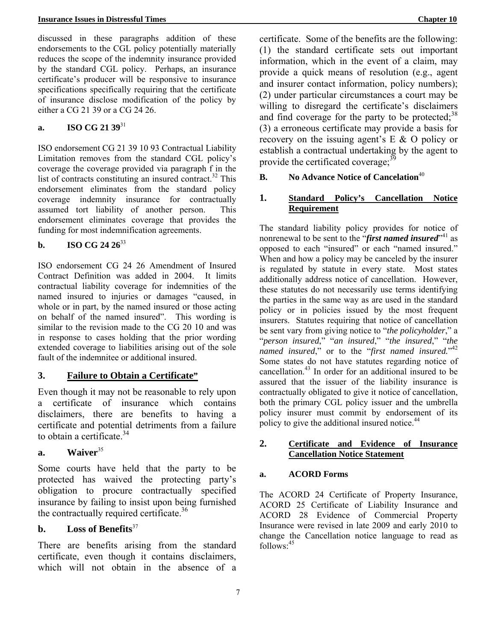discussed in these paragraphs addition of these endorsements to the CGL policy potentially materially reduces the scope of the indemnity insurance provided by the standard CGL policy. Perhaps, an insurance certificate's producer will be responsive to insurance specifications specifically requiring that the certificate of insurance disclose modification of the policy by either a CG 21 39 or a CG 24 26.

### **a. ISO CG 21 39**<sup>31</sup>

ISO endorsement CG 21 39 10 93 Contractual Liability Limitation removes from the standard CGL policy's coverage the coverage provided via paragraph f in the list of contracts constituting an insured contract.<sup>32</sup> This endorsement eliminates from the standard policy coverage indemnity insurance for contractually assumed tort liability of another person. This endorsement eliminates coverage that provides the funding for most indemnification agreements.

# **b. ISO CG 24 26**<sup>33</sup>

ISO endorsement CG 24 26 Amendment of Insured Contract Definition was added in 2004. It limits contractual liability coverage for indemnities of the named insured to injuries or damages "caused, in whole or in part, by the named insured or those acting on behalf of the named insured". This wording is similar to the revision made to the CG 20 10 and was in response to cases holding that the prior wording extended coverage to liabilities arising out of the sole fault of the indemnitee or additional insured.

## **3. Failure to Obtain a Certificate"**

Even though it may not be reasonable to rely upon a certificate of insurance which contains disclaimers, there are benefits to having a certificate and potential detriments from a failure to obtain a certificate. $34$ 

# a. Waiver<sup>35</sup>

Some courts have held that the party to be protected has waived the protecting party's obligation to procure contractually specified insurance by failing to insist upon being furnished the contractually required certificate. $36$ 

# **b. Loss of Benefits**<sup>37</sup>

There are benefits arising from the standard certificate, even though it contains disclaimers, which will not obtain in the absence of a certificate. Some of the benefits are the following: (1) the standard certificate sets out important information, which in the event of a claim, may provide a quick means of resolution (e.g., agent and insurer contact information, policy numbers); (2) under particular circumstances a court may be willing to disregard the certificate's disclaimers and find coverage for the party to be protected; $38$ (3) a erroneous certificate may provide a basis for recovery on the issuing agent's E & O policy or establish a contractual undertaking by the agent to provide the certificated coverage:<sup>39</sup>

#### **B.** No Advance Notice of Cancelation<sup>40</sup>

### **1. Standard Policy's Cancellation Notice Requirement**

The standard liability policy provides for notice of nonrenewal to be sent to the "*first named insured*"<sup>41</sup> as opposed to each "insured" or each "named insured." When and how a policy may be canceled by the insurer is regulated by statute in every state. Most states additionally address notice of cancellation. However, these statutes do not necessarily use terms identifying the parties in the same way as are used in the standard policy or in policies issued by the most frequent insurers. Statutes requiring that notice of cancellation be sent vary from giving notice to "*the policyholder*," a "*person insured*," "*an insured*," "*the insured*," "*the named insured*," or to the "*first named insured.*" 42 Some states do not have statutes regarding notice of cancellation.43 In order for an additional insured to be assured that the issuer of the liability insurance is contractually obligated to give it notice of cancellation, both the primary CGL policy issuer and the umbrella policy insurer must commit by endorsement of its policy to give the additional insured notice.<sup>44</sup>

#### **2. Certificate and Evidence of Insurance Cancellation Notice Statement**

#### **a. ACORD Forms**

The ACORD 24 Certificate of Property Insurance, ACORD 25 Certificate of Liability Insurance and ACORD 28 Evidence of Commercial Property Insurance were revised in late 2009 and early 2010 to change the Cancellation notice language to read as follows:<sup>45</sup>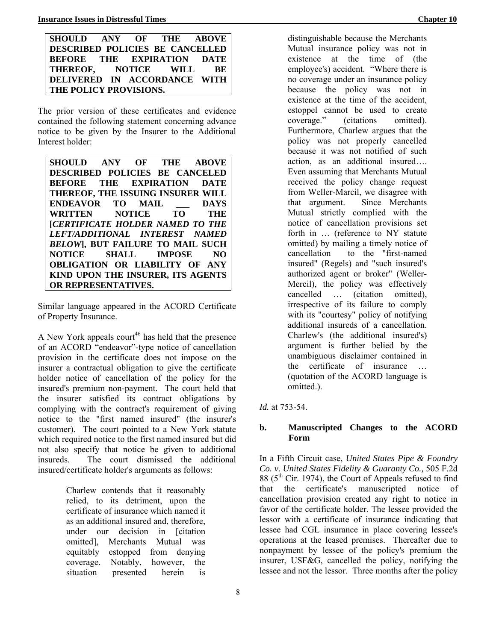| SHOULD ANY OF THE ABOVE                |  |  |
|----------------------------------------|--|--|
| <b>DESCRIBED POLICIES BE CANCELLED</b> |  |  |
| BEFORE THE EXPIRATION DATE             |  |  |
| THEREOF, NOTICE WILL BE                |  |  |
| DELIVERED IN ACCORDANCE WITH           |  |  |
| THE POLICY PROVISIONS.                 |  |  |

The prior version of these certificates and evidence contained the following statement concerning advance notice to be given by the Insurer to the Additional Interest holder:

| SHOULD ANY OF THE ABOVE                  |
|------------------------------------------|
| DESCRIBED POLICIES BE CANCELED           |
| <b>BEFORE THE EXPIRATION DATE</b>        |
| THEREOF, THE ISSUING INSURER WILL        |
| ENDEAVOR TO MAIL<br><b>DAYS</b>          |
| WRITTEN NOTICE TO THE                    |
| <b>[CERTIFICATE HOLDER NAMED TO THE</b>  |
| LEFT/ADDITIONAL INTEREST NAMED           |
| <b>BELOW</b> ], BUT FAILURE TO MAIL SUCH |
| NOTICE SHALL IMPOSE NO                   |
| OBLIGATION OR LIABILITY OF ANY           |
| KIND UPON THE INSURER, ITS AGENTS        |
| OR REPRESENTATIVES.                      |

Similar language appeared in the ACORD Certificate of Property Insurance.

A New York appeals court<sup>46</sup> has held that the presence of an ACORD "endeavor"-type notice of cancellation provision in the certificate does not impose on the insurer a contractual obligation to give the certificate holder notice of cancellation of the policy for the insured's premium non-payment. The court held that the insurer satisfied its contract obligations by complying with the contract's requirement of giving notice to the "first named insured" (the insurer's customer). The court pointed to a New York statute which required notice to the first named insured but did not also specify that notice be given to additional insureds. The court dismissed the additional insured/certificate holder's arguments as follows:

> Charlew contends that it reasonably relied, to its detriment, upon the certificate of insurance which named it as an additional insured and, therefore, under our decision in [citation omitted], Merchants Mutual was equitably estopped from denying coverage. Notably, however, the situation presented herein is

distinguishable because the Merchants Mutual insurance policy was not in existence at the time of (the employee's) accident. "Where there is no coverage under an insurance policy because the policy was not in existence at the time of the accident, estoppel cannot be used to create coverage." (citations omitted). Furthermore, Charlew argues that the policy was not properly cancelled because it was not notified of such action, as an additional insured…. Even assuming that Merchants Mutual received the policy change request from Weller-Marcil, we disagree with that argument. Since Merchants Mutual strictly complied with the notice of cancellation provisions set forth in … (reference to NY statute omitted) by mailing a timely notice of cancellation to the "first-named insured" (Regels) and "such insured's authorized agent or broker" (Weller-Mercil), the policy was effectively cancelled … (citation omitted), irrespective of its failure to comply with its "courtesy" policy of notifying additional insureds of a cancellation. Charlew's (the additional insured's) argument is further belied by the unambiguous disclaimer contained in the certificate of insurance … (quotation of the ACORD language is omitted.).

*Id.* at 753-54.

#### **b. Manuscripted Changes to the ACORD Form**

In a Fifth Circuit case, *United States Pipe & Foundry Co. v. United States Fidelity & Guaranty Co.,* 505 F.2d 88 ( $5<sup>th</sup>$  Cir. 1974), the Court of Appeals refused to find that the certificate's manuscripted notice of cancellation provision created any right to notice in favor of the certificate holder. The lessee provided the lessor with a certificate of insurance indicating that lessee had CGL insurance in place covering lessee's operations at the leased premises. Thereafter due to nonpayment by lessee of the policy's premium the insurer, USF&G, cancelled the policy, notifying the lessee and not the lessor. Three months after the policy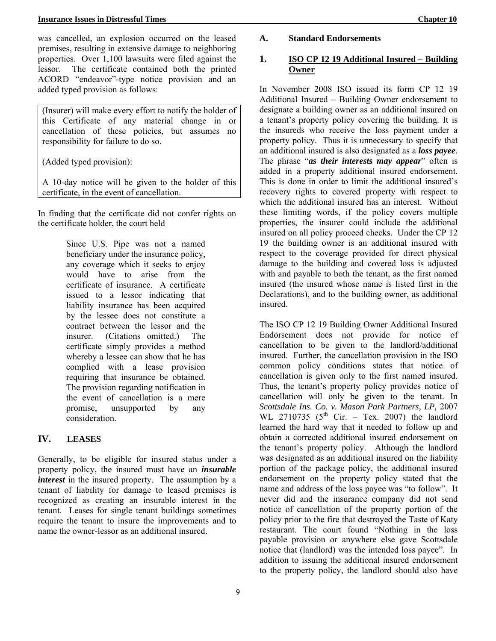was cancelled, an explosion occurred on the leased premises, resulting in extensive damage to neighboring properties. Over 1,100 lawsuits were filed against the lessor. The certificate contained both the printed ACORD "endeavor"-type notice provision and an added typed provision as follows:

(Insurer) will make every effort to notify the holder of this Certificate of any material change in or cancellation of these policies, but assumes no responsibility for failure to do so.

(Added typed provision):

A 10-day notice will be given to the holder of this certificate, in the event of cancellation.

In finding that the certificate did not confer rights on the certificate holder, the court held

> Since U.S. Pipe was not a named beneficiary under the insurance policy, any coverage which it seeks to enjoy would have to arise from the certificate of insurance. A certificate issued to a lessor indicating that liability insurance has been acquired by the lessee does not constitute a contract between the lessor and the insurer. (Citations omitted.) The certificate simply provides a method whereby a lessee can show that he has complied with a lease provision requiring that insurance be obtained. The provision regarding notification in the event of cancellation is a mere promise, unsupported by any consideration.

## **IV. LEASES**

Generally, to be eligible for insured status under a property policy, the insured must have an *insurable interest* in the insured property. The assumption by a tenant of liability for damage to leased premises is recognized as creating an insurable interest in the tenant. Leases for single tenant buildings sometimes require the tenant to insure the improvements and to name the owner-lessor as an additional insured.

#### **A. Standard Endorsements**

#### **1. ISO CP 12 19 Additional Insured – Building Owner**

In November 2008 ISO issued its form CP 12 19 Additional Insured – Building Owner endorsement to designate a building owner as an additional insured on a tenant's property policy covering the building. It is the insureds who receive the loss payment under a property policy. Thus it is unnecessary to specify that an additional insured is also designated as a *loss payee*. The phrase "*as their interests may appear*" often is added in a property additional insured endorsement. This is done in order to limit the additional insured's recovery rights to covered property with respect to which the additional insured has an interest. Without these limiting words, if the policy covers multiple properties, the insurer could include the additional insured on all policy proceed checks. Under the CP 12 19 the building owner is an additional insured with respect to the coverage provided for direct physical damage to the building and covered loss is adjusted with and payable to both the tenant, as the first named insured (the insured whose name is listed first in the Declarations), and to the building owner, as additional insured.

The ISO CP 12 19 Building Owner Additional Insured Endorsement does not provide for notice of cancellation to be given to the landlord/additional insured. Further, the cancellation provision in the ISO common policy conditions states that notice of cancellation is given only to the first named insured. Thus, the tenant's property policy provides notice of cancellation will only be given to the tenant. In *Scottsdale Ins. Co. v. Mason Park Partners, LP,* 2007 WL 2710735 ( $5<sup>th</sup>$  Cir. – Tex. 2007) the landlord learned the hard way that it needed to follow up and obtain a corrected additional insured endorsement on the tenant's property policy. Although the landlord was designated as an additional insured on the liability portion of the package policy, the additional insured endorsement on the property policy stated that the name and address of the loss payee was "to follow". It never did and the insurance company did not send notice of cancellation of the property portion of the policy prior to the fire that destroyed the Taste of Katy restaurant. The court found "Nothing in the loss payable provision or anywhere else gave Scottsdale notice that (landlord) was the intended loss payee". In addition to issuing the additional insured endorsement to the property policy, the landlord should also have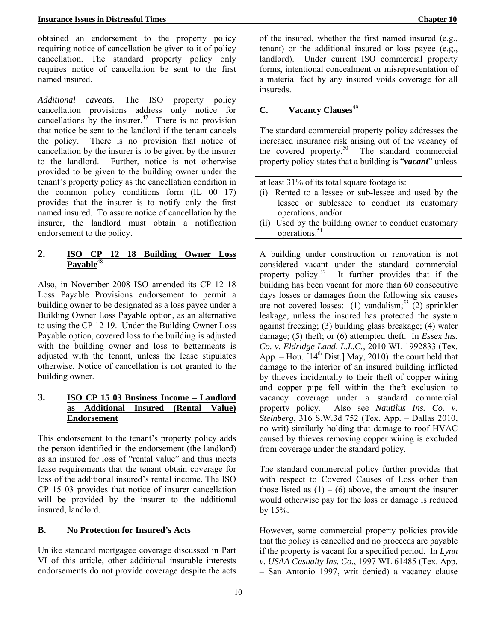obtained an endorsement to the property policy requiring notice of cancellation be given to it of policy cancellation. The standard property policy only requires notice of cancellation be sent to the first named insured.

*Additional caveats*. The ISO property policy cancellation provisions address only notice for cancellations by the insurer.<sup>47</sup> There is no provision that notice be sent to the landlord if the tenant cancels the policy. There is no provision that notice of cancellation by the insurer is to be given by the insurer to the landlord. Further, notice is not otherwise provided to be given to the building owner under the tenant's property policy as the cancellation condition in the common policy conditions form (IL 00 17) provides that the insurer is to notify only the first named insured. To assure notice of cancellation by the insurer, the landlord must obtain a notification endorsement to the policy.

#### **2. ISO CP 12 18 Building Owner Loss Payable**<sup>48</sup>

Also, in November 2008 ISO amended its CP 12 18 Loss Payable Provisions endorsement to permit a building owner to be designated as a loss payee under a Building Owner Loss Payable option, as an alternative to using the CP 12 19. Under the Building Owner Loss Payable option, covered loss to the building is adjusted with the building owner and loss to betterments is adjusted with the tenant, unless the lease stipulates otherwise. Notice of cancellation is not granted to the building owner.

#### **3. ISO CP 15 03 Business Income – Landlord as Additional Insured (Rental Value) Endorsement**

This endorsement to the tenant's property policy adds the person identified in the endorsement (the landlord) as an insured for loss of "rental value" and thus meets lease requirements that the tenant obtain coverage for loss of the additional insured's rental income. The ISO CP 15 03 provides that notice of insurer cancellation will be provided by the insurer to the additional insured, landlord.

#### **B. No Protection for Insured's Acts**

Unlike standard mortgagee coverage discussed in Part VI of this article, other additional insurable interests endorsements do not provide coverage despite the acts of the insured, whether the first named insured (e.g., tenant) or the additional insured or loss payee (e.g., landlord). Under current ISO commercial property forms, intentional concealment or misrepresentation of a material fact by any insured voids coverage for all insureds.

#### **C.** Vacancy Clauses<sup>49</sup>

The standard commercial property policy addresses the increased insurance risk arising out of the vacancy of the covered property.<sup>50</sup> The standard commercial property policy states that a building is "*vacant*" unless

at least 31% of its total square footage is:

- (i) Rented to a lessee or sub-lessee and used by the lessee or sublessee to conduct its customary operations; and/or
- (ii) Used by the building owner to conduct customary operations.<sup>51</sup>

A building under construction or renovation is not considered vacant under the standard commercial property policy. $52$  It further provides that if the building has been vacant for more than 60 consecutive days losses or damages from the following six causes are not covered losses: (1) vandalism;<sup>53</sup> (2) sprinkler leakage, unless the insured has protected the system against freezing; (3) building glass breakage; (4) water damage; (5) theft; or (6) attempted theft. In *Essex Ins. Co. v. Eldridge Land, L.L.C.*, 2010 WL 1992833 (Tex. App. – Hou.  $[14^{th}$  Dist.] May, 2010) the court held that damage to the interior of an insured building inflicted by thieves incidentally to their theft of copper wiring and copper pipe fell within the theft exclusion to vacancy coverage under a standard commercial property policy. Also see *Nautilus Ins. Co. v. Steinberg*, 316 S.W.3d 752 (Tex. App. – Dallas 2010, no writ) similarly holding that damage to roof HVAC caused by thieves removing copper wiring is excluded from coverage under the standard policy.

The standard commercial policy further provides that with respect to Covered Causes of Loss other than those listed as  $(1) - (6)$  above, the amount the insurer would otherwise pay for the loss or damage is reduced by 15%.

However, some commercial property policies provide that the policy is cancelled and no proceeds are payable if the property is vacant for a specified period. In *Lynn v. USAA Casualty Ins. Co.*, 1997 WL 61485 (Tex. App. – San Antonio 1997, writ denied) a vacancy clause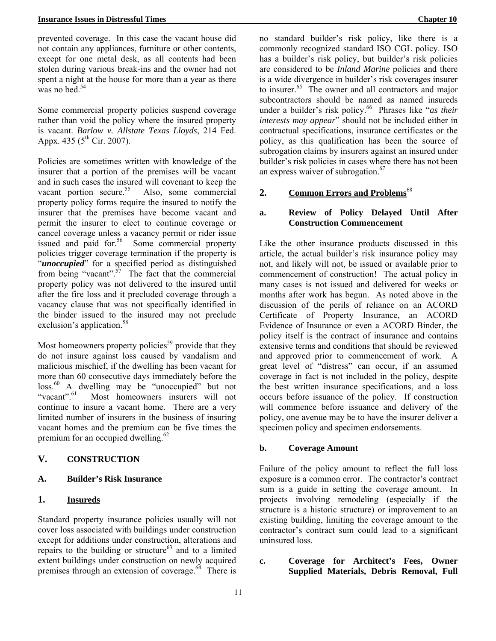prevented coverage. In this case the vacant house did not contain any appliances, furniture or other contents, except for one metal desk, as all contents had been stolen during various break-ins and the owner had not spent a night at the house for more than a year as there was no bed.<sup>54</sup>

Some commercial property policies suspend coverage rather than void the policy where the insured property is vacant. *Barlow v. Allstate Texas Lloyds*, 214 Fed. Appx. 435 ( $5^{th}$  Cir. 2007).

Policies are sometimes written with knowledge of the insurer that a portion of the premises will be vacant and in such cases the insured will covenant to keep the vacant portion secure.<sup>55</sup> Also, some commercial property policy forms require the insured to notify the insurer that the premises have become vacant and permit the insurer to elect to continue coverage or cancel coverage unless a vacancy permit or rider issue issued and paid for.<sup>56</sup> Some commercial property policies trigger coverage termination if the property is "*unoccupied*" for a specified period as distinguished from being "vacant".<sup>57</sup> The fact that the commercial property policy was not delivered to the insured until after the fire loss and it precluded coverage through a vacancy clause that was not specifically identified in the binder issued to the insured may not preclude exclusion's application.<sup>58</sup>

Most homeowners property policies<sup>59</sup> provide that they do not insure against loss caused by vandalism and malicious mischief, if the dwelling has been vacant for more than 60 consecutive days immediately before the loss.<sup>60</sup> A dwelling may be "unoccupied" but not "vacant".<sup>61</sup> Most homeowners insurers will not Most homeowners insurers will not continue to insure a vacant home. There are a very limited number of insurers in the business of insuring vacant homes and the premium can be five times the premium for an occupied dwelling.<sup>62</sup>

#### **V. CONSTRUCTION**

#### **A. Builder's Risk Insurance**

#### **1. Insureds**

Standard property insurance policies usually will not cover loss associated with buildings under construction except for additions under construction, alterations and repairs to the building or structure<sup>63</sup> and to a limited extent buildings under construction on newly acquired premises through an extension of coverage. $64$  There is

no standard builder's risk policy, like there is a commonly recognized standard ISO CGL policy. ISO has a builder's risk policy, but builder's risk policies are considered to be *Inland Marine* policies and there is a wide divergence in builder's risk coverages insurer to insurer.<sup>65</sup> The owner and all contractors and major subcontractors should be named as named insureds under a builder's risk policy.<sup>66</sup> Phrases like "*as their interests may appear*" should not be included either in contractual specifications, insurance certificates or the policy, as this qualification has been the source of subrogation claims by insurers against an insured under builder's risk policies in cases where there has not been an express waiver of subrogation.<sup>67</sup>

#### **2. Common Errors and Problems**<sup>68</sup>

#### **a. Review of Policy Delayed Until After Construction Commencement**

Like the other insurance products discussed in this article, the actual builder's risk insurance policy may not, and likely will not, be issued or available prior to commencement of construction! The actual policy in many cases is not issued and delivered for weeks or months after work has begun. As noted above in the discussion of the perils of reliance on an ACORD Certificate of Property Insurance, an ACORD Evidence of Insurance or even a ACORD Binder, the policy itself is the contract of insurance and contains extensive terms and conditions that should be reviewed and approved prior to commencement of work. A great level of "distress" can occur, if an assumed coverage in fact is not included in the policy, despite the best written insurance specifications, and a loss occurs before issuance of the policy. If construction will commence before issuance and delivery of the policy, one avenue may be to have the insurer deliver a specimen policy and specimen endorsements.

#### **b. Coverage Amount**

Failure of the policy amount to reflect the full loss exposure is a common error. The contractor's contract sum is a guide in setting the coverage amount. In projects involving remodeling (especially if the structure is a historic structure) or improvement to an existing building, limiting the coverage amount to the contractor's contract sum could lead to a significant uninsured loss.

**c. Coverage for Architect's Fees, Owner Supplied Materials, Debris Removal, Full**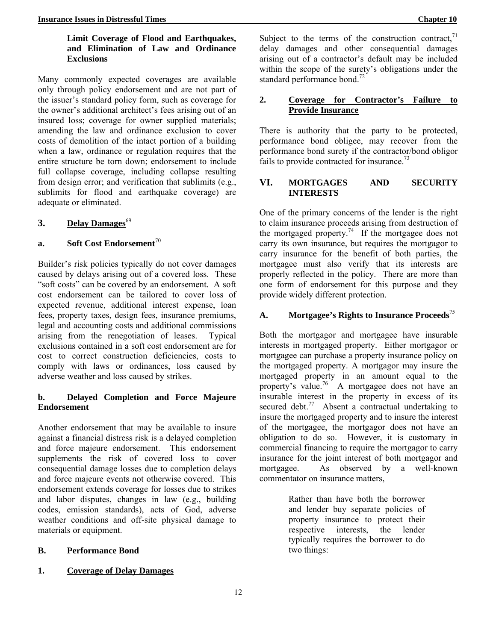#### **Limit Coverage of Flood and Earthquakes, and Elimination of Law and Ordinance Exclusions**

Many commonly expected coverages are available only through policy endorsement and are not part of the issuer's standard policy form, such as coverage for the owner's additional architect's fees arising out of an insured loss; coverage for owner supplied materials; amending the law and ordinance exclusion to cover costs of demolition of the intact portion of a building when a law, ordinance or regulation requires that the entire structure be torn down; endorsement to include full collapse coverage, including collapse resulting from design error; and verification that sublimits (e.g., sublimits for flood and earthquake coverage) are adequate or eliminated.

#### **3. Delay Damages**<sup>69</sup>

#### **a.** Soft Cost Endorsement<sup>70</sup>

Builder's risk policies typically do not cover damages caused by delays arising out of a covered loss. These "soft costs" can be covered by an endorsement. A soft cost endorsement can be tailored to cover loss of expected revenue, additional interest expense, loan fees, property taxes, design fees, insurance premiums, legal and accounting costs and additional commissions arising from the renegotiation of leases. Typical exclusions contained in a soft cost endorsement are for cost to correct construction deficiencies, costs to comply with laws or ordinances, loss caused by adverse weather and loss caused by strikes.

#### **b. Delayed Completion and Force Majeure Endorsement**

Another endorsement that may be available to insure against a financial distress risk is a delayed completion and force majeure endorsement. This endorsement supplements the risk of covered loss to cover consequential damage losses due to completion delays and force majeure events not otherwise covered. This endorsement extends coverage for losses due to strikes and labor disputes, changes in law (e.g., building codes, emission standards), acts of God, adverse weather conditions and off-site physical damage to materials or equipment.

#### **B. Performance Bond**

#### **1. Coverage of Delay Damages**

Subject to the terms of the construction contract, $71$ delay damages and other consequential damages arising out of a contractor's default may be included within the scope of the surety's obligations under the standard performance bond.<sup>72</sup>

#### **2. Coverage for Contractor's Failure to Provide Insurance**

There is authority that the party to be protected, performance bond obligee, may recover from the performance bond surety if the contractor/bond obligor fails to provide contracted for insurance.<sup>73</sup>

#### **VI. MORTGAGES AND SECURITY INTERESTS**

One of the primary concerns of the lender is the right to claim insurance proceeds arising from destruction of the mortgaged property.<sup>74</sup> If the mortgagee does not carry its own insurance, but requires the mortgagor to carry insurance for the benefit of both parties, the mortgagee must also verify that its interests are properly reflected in the policy. There are more than one form of endorsement for this purpose and they provide widely different protection.

#### **A. Mortgagee's Rights to Insurance Proceeds**<sup>75</sup>

Both the mortgagor and mortgagee have insurable interests in mortgaged property. Either mortgagor or mortgagee can purchase a property insurance policy on the mortgaged property. A mortgagor may insure the mortgaged property in an amount equal to the property's value.<sup>76</sup> A mortgagee does not have an insurable interest in the property in excess of its secured debt.<sup>77</sup> Absent a contractual undertaking to insure the mortgaged property and to insure the interest of the mortgagee, the mortgagor does not have an obligation to do so. However, it is customary in commercial financing to require the mortgagor to carry insurance for the joint interest of both mortgagor and mortgagee. As observed by a well-known commentator on insurance matters,

> Rather than have both the borrower and lender buy separate policies of property insurance to protect their respective interests, the lender typically requires the borrower to do two things: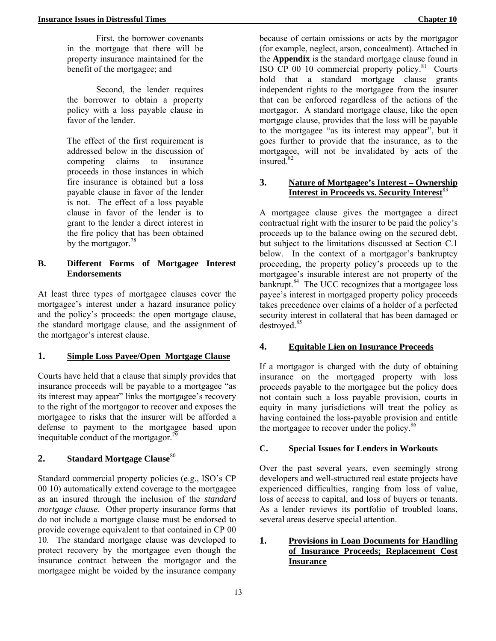First, the borrower covenants in the mortgage that there will be property insurance maintained for the benefit of the mortgagee; and

 Second, the lender requires the borrower to obtain a property policy with a loss payable clause in favor of the lender.

The effect of the first requirement is addressed below in the discussion of competing claims to insurance proceeds in those instances in which fire insurance is obtained but a loss payable clause in favor of the lender is not. The effect of a loss payable clause in favor of the lender is to grant to the lender a direct interest in the fire policy that has been obtained by the mortgagor. $78$ 

#### **B. Different Forms of Mortgagee Interest Endorsements**

At least three types of mortgagee clauses cover the mortgagee's interest under a hazard insurance policy and the policy's proceeds: the open mortgage clause, the standard mortgage clause, and the assignment of the mortgagor's interest clause.

#### **1. Simple Loss Payee/Open Mortgage Clause**

Courts have held that a clause that simply provides that insurance proceeds will be payable to a mortgagee "as its interest may appear" links the mortgagee's recovery to the right of the mortgagor to recover and exposes the mortgagee to risks that the insurer will be afforded a defense to payment to the mortgagee based upon inequitable conduct of the mortgagor.<sup>79</sup>

#### **2. Standard Mortgage Clause**<sup>80</sup>

Standard commercial property policies (e.g., ISO's CP 00 10) automatically extend coverage to the mortgagee as an insured through the inclusion of the *standard mortgage clause*. Other property insurance forms that do not include a mortgage clause must be endorsed to provide coverage equivalent to that contained in CP 00 10. The standard mortgage clause was developed to protect recovery by the mortgagee even though the insurance contract between the mortgagor and the mortgagee might be voided by the insurance company

because of certain omissions or acts by the mortgagor (for example, neglect, arson, concealment). Attached in the **Appendix** is the standard mortgage clause found in ISO CP 00 10 commercial property policy. $81$  Courts hold that a standard mortgage clause grants independent rights to the mortgagee from the insurer that can be enforced regardless of the actions of the mortgagor. A standard mortgage clause, like the open mortgage clause, provides that the loss will be payable to the mortgagee "as its interest may appear", but it goes further to provide that the insurance, as to the mortgagee, will not be invalidated by acts of the insured.<sup>82</sup>

#### **3. Nature of Mortgagee's Interest – Ownership Interest in Proceeds vs. Security Interest**<sup>83</sup>

A mortgagee clause gives the mortgagee a direct contractual right with the insurer to be paid the policy's proceeds up to the balance owing on the secured debt, but subject to the limitations discussed at Section C.1 below. In the context of a mortgagor's bankruptcy proceeding, the property policy's proceeds up to the mortgagee's insurable interest are not property of the bankrupt.<sup>84</sup> The UCC recognizes that a mortgagee loss payee's interest in mortgaged property policy proceeds takes precedence over claims of a holder of a perfected security interest in collateral that has been damaged or destroyed.<sup>85</sup>

#### **4. Equitable Lien on Insurance Proceeds**

If a mortgagor is charged with the duty of obtaining insurance on the mortgaged property with loss proceeds payable to the mortgagee but the policy does not contain such a loss payable provision, courts in equity in many jurisdictions will treat the policy as having contained the loss-payable provision and entitle the mortgagee to recover under the policy.<sup>86</sup>

#### **C. Special Issues for Lenders in Workouts**

Over the past several years, even seemingly strong developers and well-structured real estate projects have experienced difficulties, ranging from loss of value, loss of access to capital, and loss of buyers or tenants. As a lender reviews its portfolio of troubled loans, several areas deserve special attention.

#### **1. Provisions in Loan Documents for Handling of Insurance Proceeds; Replacement Cost Insurance**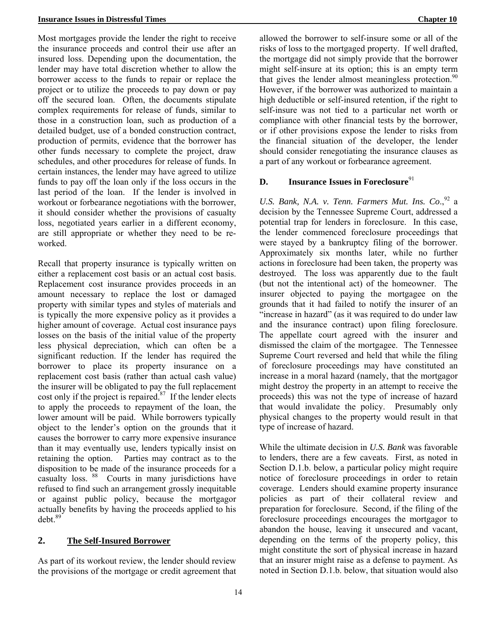Most mortgages provide the lender the right to receive the insurance proceeds and control their use after an insured loss. Depending upon the documentation, the lender may have total discretion whether to allow the borrower access to the funds to repair or replace the project or to utilize the proceeds to pay down or pay off the secured loan. Often, the documents stipulate complex requirements for release of funds, similar to those in a construction loan, such as production of a detailed budget, use of a bonded construction contract, production of permits, evidence that the borrower has other funds necessary to complete the project, draw schedules, and other procedures for release of funds. In certain instances, the lender may have agreed to utilize funds to pay off the loan only if the loss occurs in the last period of the loan. If the lender is involved in workout or forbearance negotiations with the borrower, it should consider whether the provisions of casualty loss, negotiated years earlier in a different economy, are still appropriate or whether they need to be reworked.

Recall that property insurance is typically written on either a replacement cost basis or an actual cost basis. Replacement cost insurance provides proceeds in an amount necessary to replace the lost or damaged property with similar types and styles of materials and is typically the more expensive policy as it provides a higher amount of coverage. Actual cost insurance pays losses on the basis of the initial value of the property less physical depreciation, which can often be a significant reduction. If the lender has required the borrower to place its property insurance on a replacement cost basis (rather than actual cash value) the insurer will be obligated to pay the full replacement cost only if the project is repaired. $87$  If the lender elects to apply the proceeds to repayment of the loan, the lower amount will be paid. While borrowers typically object to the lender's option on the grounds that it causes the borrower to carry more expensive insurance than it may eventually use, lenders typically insist on retaining the option. Parties may contract as to the disposition to be made of the insurance proceeds for a casualty loss. <sup>88</sup> Courts in many jurisdictions have refused to find such an arrangement grossly inequitable or against public policy, because the mortgagor actually benefits by having the proceeds applied to his  $debt<sup>89</sup>$ 

#### **2. The Self-Insured Borrower**

As part of its workout review, the lender should review the provisions of the mortgage or credit agreement that allowed the borrower to self-insure some or all of the risks of loss to the mortgaged property. If well drafted, the mortgage did not simply provide that the borrower might self-insure at its option; this is an empty term that gives the lender almost meaningless protection.<sup>90</sup> However, if the borrower was authorized to maintain a high deductible or self-insured retention, if the right to self-insure was not tied to a particular net worth or compliance with other financial tests by the borrower, or if other provisions expose the lender to risks from the financial situation of the developer, the lender should consider renegotiating the insurance clauses as a part of any workout or forbearance agreement.

## **D. Insurance Issues in Foreclosure**<sup>91</sup>

U.S. Bank, N.A. v. Tenn. Farmers Mut. Ins. Co.,<sup>92</sup> a decision by the Tennessee Supreme Court, addressed a potential trap for lenders in foreclosure. In this case, the lender commenced foreclosure proceedings that were stayed by a bankruptcy filing of the borrower. Approximately six months later, while no further actions in foreclosure had been taken, the property was destroyed. The loss was apparently due to the fault (but not the intentional act) of the homeowner. The insurer objected to paying the mortgagee on the grounds that it had failed to notify the insurer of an "increase in hazard" (as it was required to do under law and the insurance contract) upon filing foreclosure. The appellate court agreed with the insurer and dismissed the claim of the mortgagee. The Tennessee Supreme Court reversed and held that while the filing of foreclosure proceedings may have constituted an increase in a moral hazard (namely, that the mortgagor might destroy the property in an attempt to receive the proceeds) this was not the type of increase of hazard that would invalidate the policy. Presumably only physical changes to the property would result in that type of increase of hazard.

While the ultimate decision in *U.S. Bank* was favorable to lenders, there are a few caveats. First, as noted in Section D.1.b. below, a particular policy might require notice of foreclosure proceedings in order to retain coverage. Lenders should examine property insurance policies as part of their collateral review and preparation for foreclosure. Second, if the filing of the foreclosure proceedings encourages the mortgagor to abandon the house, leaving it unsecured and vacant, depending on the terms of the property policy, this might constitute the sort of physical increase in hazard that an insurer might raise as a defense to payment. As noted in Section D.1.b. below, that situation would also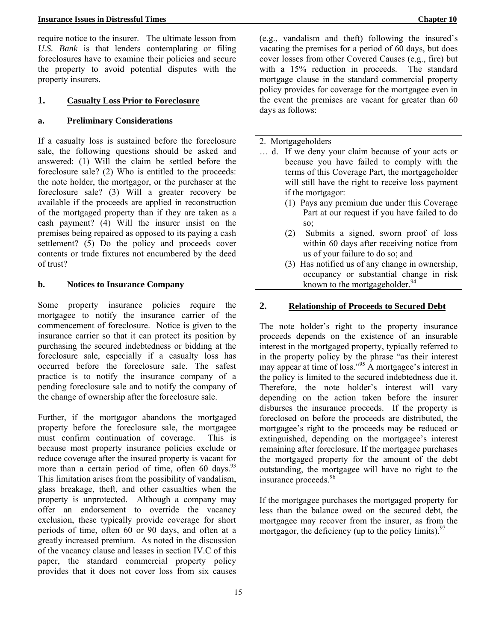require notice to the insurer. The ultimate lesson from *U.S. Bank* is that lenders contemplating or filing foreclosures have to examine their policies and secure the property to avoid potential disputes with the property insurers.

## **1. Casualty Loss Prior to Foreclosure**

## **a. Preliminary Considerations**

If a casualty loss is sustained before the foreclosure sale, the following questions should be asked and answered: (1) Will the claim be settled before the foreclosure sale? (2) Who is entitled to the proceeds: the note holder, the mortgagor, or the purchaser at the foreclosure sale? (3) Will a greater recovery be available if the proceeds are applied in reconstruction of the mortgaged property than if they are taken as a cash payment? (4) Will the insurer insist on the premises being repaired as opposed to its paying a cash settlement? (5) Do the policy and proceeds cover contents or trade fixtures not encumbered by the deed of trust?

# **b. Notices to Insurance Company**

Some property insurance policies require the mortgagee to notify the insurance carrier of the commencement of foreclosure. Notice is given to the insurance carrier so that it can protect its position by purchasing the secured indebtedness or bidding at the foreclosure sale, especially if a casualty loss has occurred before the foreclosure sale. The safest practice is to notify the insurance company of a pending foreclosure sale and to notify the company of the change of ownership after the foreclosure sale.

Further, if the mortgagor abandons the mortgaged property before the foreclosure sale, the mortgagee must confirm continuation of coverage. This is because most property insurance policies exclude or reduce coverage after the insured property is vacant for more than a certain period of time, often 60 days.  $93$ This limitation arises from the possibility of vandalism, glass breakage, theft, and other casualties when the property is unprotected. Although a company may offer an endorsement to override the vacancy exclusion, these typically provide coverage for short periods of time, often 60 or 90 days, and often at a greatly increased premium. As noted in the discussion of the vacancy clause and leases in section IV.C of this paper, the standard commercial property policy provides that it does not cover loss from six causes

(e.g., vandalism and theft) following the insured's vacating the premises for a period of 60 days, but does cover losses from other Covered Causes (e.g., fire) but with a 15% reduction in proceeds. The standard mortgage clause in the standard commercial property policy provides for coverage for the mortgagee even in the event the premises are vacant for greater than 60 days as follows:

2. Mortgageholders

- … d. If we deny your claim because of your acts or because you have failed to comply with the terms of this Coverage Part, the mortgageholder will still have the right to receive loss payment if the mortgagor:
	- (1) Pays any premium due under this Coverage Part at our request if you have failed to do so;
	- (2) Submits a signed, sworn proof of loss within 60 days after receiving notice from us of your failure to do so; and
	- (3) Has notified us of any change in ownership, occupancy or substantial change in risk known to the mortgageholder.<sup>94</sup>

#### **2. Relationship of Proceeds to Secured Debt**

The note holder's right to the property insurance proceeds depends on the existence of an insurable interest in the mortgaged property, typically referred to in the property policy by the phrase "as their interest may appear at time of loss."<sup>95</sup> A mortgagee's interest in the policy is limited to the secured indebtedness due it. Therefore, the note holder's interest will vary depending on the action taken before the insurer disburses the insurance proceeds. If the property is foreclosed on before the proceeds are distributed, the mortgagee's right to the proceeds may be reduced or extinguished, depending on the mortgagee's interest remaining after foreclosure. If the mortgagee purchases the mortgaged property for the amount of the debt outstanding, the mortgagee will have no right to the insurance proceeds.<sup>96</sup>

If the mortgagee purchases the mortgaged property for less than the balance owed on the secured debt, the mortgagee may recover from the insurer, as from the mortgagor, the deficiency (up to the policy limits).  $97$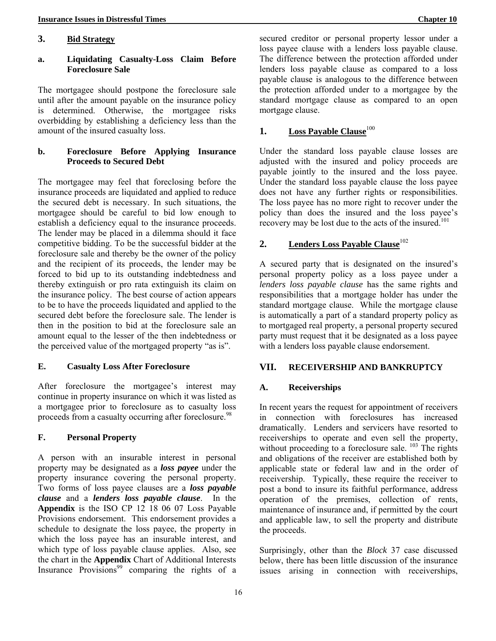#### **3. Bid Strategy**

#### **a. Liquidating Casualty-Loss Claim Before Foreclosure Sale**

The mortgagee should postpone the foreclosure sale until after the amount payable on the insurance policy is determined. Otherwise, the mortgagee risks overbidding by establishing a deficiency less than the amount of the insured casualty loss.

#### **b. Foreclosure Before Applying Insurance Proceeds to Secured Debt**

The mortgagee may feel that foreclosing before the insurance proceeds are liquidated and applied to reduce the secured debt is necessary. In such situations, the mortgagee should be careful to bid low enough to establish a deficiency equal to the insurance proceeds. The lender may be placed in a dilemma should it face competitive bidding. To be the successful bidder at the foreclosure sale and thereby be the owner of the policy and the recipient of its proceeds, the lender may be forced to bid up to its outstanding indebtedness and thereby extinguish or pro rata extinguish its claim on the insurance policy. The best course of action appears to be to have the proceeds liquidated and applied to the secured debt before the foreclosure sale. The lender is then in the position to bid at the foreclosure sale an amount equal to the lesser of the then indebtedness or the perceived value of the mortgaged property "as is".

#### **E. Casualty Loss After Foreclosure**

After foreclosure the mortgagee's interest may continue in property insurance on which it was listed as a mortgagee prior to foreclosure as to casualty loss proceeds from a casualty occurring after foreclosure.<sup>98</sup>

#### **F. Personal Property**

A person with an insurable interest in personal property may be designated as a *loss payee* under the property insurance covering the personal property. Two forms of loss payee clauses are a *loss payable clause* and a *lenders loss payable clause*. In the **Appendix** is the ISO CP 12 18 06 07 Loss Payable Provisions endorsement. This endorsement provides a schedule to designate the loss payee, the property in which the loss payee has an insurable interest, and which type of loss payable clause applies. Also, see the chart in the **Appendix** Chart of Additional Interests Insurance Provisions<sup>99</sup> comparing the rights of a secured creditor or personal property lessor under a loss payee clause with a lenders loss payable clause. The difference between the protection afforded under lenders loss payable clause as compared to a loss payable clause is analogous to the difference between the protection afforded under to a mortgagee by the standard mortgage clause as compared to an open mortgage clause.

#### **1. Loss Payable Clause**<sup>100</sup>

Under the standard loss payable clause losses are adjusted with the insured and policy proceeds are payable jointly to the insured and the loss payee. Under the standard loss payable clause the loss payee does not have any further rights or responsibilities. The loss payee has no more right to recover under the policy than does the insured and the loss payee's recovery may be lost due to the acts of the insured.<sup>101</sup>

# **2. Lenders Loss Payable Clause**<sup>102</sup>

A secured party that is designated on the insured's personal property policy as a loss payee under a *lenders loss payable clause* has the same rights and responsibilities that a mortgage holder has under the standard mortgage clause. While the mortgage clause is automatically a part of a standard property policy as to mortgaged real property, a personal property secured party must request that it be designated as a loss payee with a lenders loss payable clause endorsement.

#### **VII. RECEIVERSHIP AND BANKRUPTCY**

#### **A. Receiverships**

In recent years the request for appointment of receivers in connection with foreclosures has increased dramatically. Lenders and servicers have resorted to receiverships to operate and even sell the property, without proceeding to a foreclosure sale. <sup>103</sup> The rights and obligations of the receiver are established both by applicable state or federal law and in the order of receivership. Typically, these require the receiver to post a bond to insure its faithful performance, address operation of the premises, collection of rents, maintenance of insurance and, if permitted by the court and applicable law, to sell the property and distribute the proceeds.

Surprisingly, other than the *Block* 37 case discussed below, there has been little discussion of the insurance issues arising in connection with receiverships,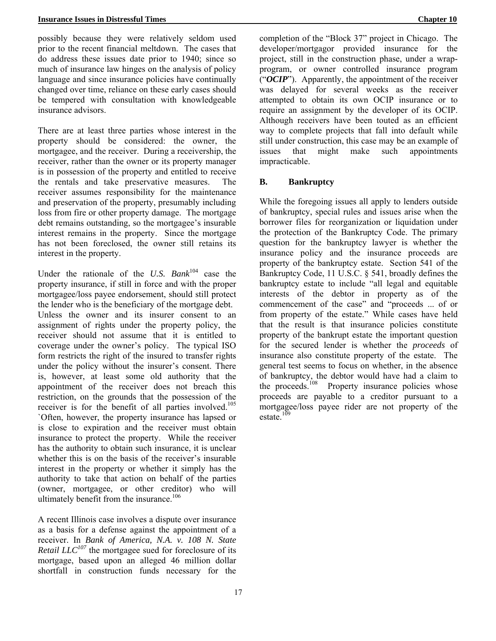possibly because they were relatively seldom used prior to the recent financial meltdown. The cases that do address these issues date prior to 1940; since so much of insurance law hinges on the analysis of policy language and since insurance policies have continually changed over time, reliance on these early cases should be tempered with consultation with knowledgeable insurance advisors.

There are at least three parties whose interest in the property should be considered: the owner, the mortgagee, and the receiver. During a receivership, the receiver, rather than the owner or its property manager is in possession of the property and entitled to receive the rentals and take preservative measures. receiver assumes responsibility for the maintenance and preservation of the property, presumably including loss from fire or other property damage. The mortgage debt remains outstanding, so the mortgagee's insurable interest remains in the property. Since the mortgage has not been foreclosed, the owner still retains its interest in the property.

Under the rationale of the *U.S. Bank*104 case the property insurance, if still in force and with the proper mortgagee/loss payee endorsement, should still protect the lender who is the beneficiary of the mortgage debt. Unless the owner and its insurer consent to an assignment of rights under the property policy, the receiver should not assume that it is entitled to coverage under the owner's policy. The typical ISO form restricts the right of the insured to transfer rights under the policy without the insurer's consent. There is, however, at least some old authority that the appointment of the receiver does not breach this restriction, on the grounds that the possession of the receiver is for the benefit of all parties involved.<sup>105</sup> `Often, however, the property insurance has lapsed or is close to expiration and the receiver must obtain insurance to protect the property. While the receiver has the authority to obtain such insurance, it is unclear whether this is on the basis of the receiver's insurable interest in the property or whether it simply has the authority to take that action on behalf of the parties (owner, mortgagee, or other creditor) who will ultimately benefit from the insurance.<sup>106</sup>

A recent Illinois case involves a dispute over insurance as a basis for a defense against the appointment of a receiver. In *Bank of America, N.A. v. 108 N. State Retail LLC<sup>107</sup>* the mortgagee sued for foreclosure of its mortgage, based upon an alleged 46 million dollar shortfall in construction funds necessary for the

completion of the "Block 37" project in Chicago. The developer/mortgagor provided insurance for the project, still in the construction phase, under a wrapprogram, or owner controlled insurance program ("*OCIP*"). Apparently, the appointment of the receiver was delayed for several weeks as the receiver attempted to obtain its own OCIP insurance or to require an assignment by the developer of its OCIP. Although receivers have been touted as an efficient way to complete projects that fall into default while still under construction, this case may be an example of issues that might make such appointments impracticable.

#### **B. Bankruptcy**

While the foregoing issues all apply to lenders outside of bankruptcy, special rules and issues arise when the borrower files for reorganization or liquidation under the protection of the Bankruptcy Code. The primary question for the bankruptcy lawyer is whether the insurance policy and the insurance proceeds are property of the bankruptcy estate. Section 541 of the Bankruptcy Code, 11 U.S.C. § 541, broadly defines the bankruptcy estate to include "all legal and equitable interests of the debtor in property as of the commencement of the case" and "proceeds ... of or from property of the estate." While cases have held that the result is that insurance policies constitute property of the bankrupt estate the important question for the secured lender is whether the *proceeds* of insurance also constitute property of the estate. The general test seems to focus on whether, in the absence of bankruptcy, the debtor would have had a claim to the proceeds.<sup>108</sup> Property insurance policies whose proceeds are payable to a creditor pursuant to a mortgagee/loss payee rider are not property of the estate. $109$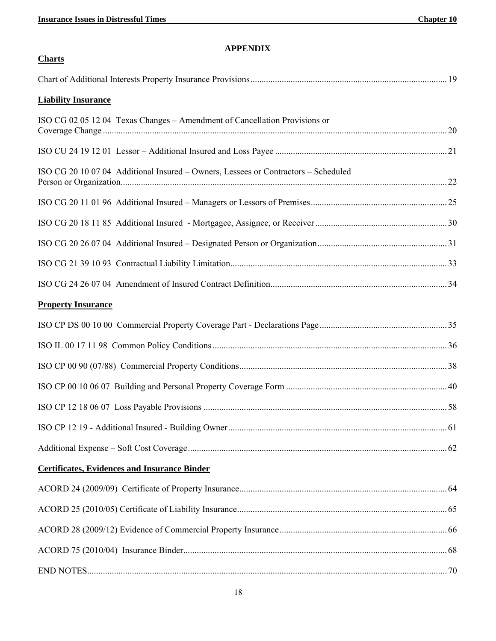### **APPENDIX**

| <b>Charts</b>                                                                      |  |
|------------------------------------------------------------------------------------|--|
|                                                                                    |  |
| <b>Liability Insurance</b>                                                         |  |
| ISO CG 02 05 12 04 Texas Changes - Amendment of Cancellation Provisions or         |  |
|                                                                                    |  |
| ISO CG 20 10 07 04 Additional Insured – Owners, Lessees or Contractors – Scheduled |  |
|                                                                                    |  |
|                                                                                    |  |
|                                                                                    |  |
|                                                                                    |  |
|                                                                                    |  |
| <b>Property Insurance</b>                                                          |  |
|                                                                                    |  |
|                                                                                    |  |
|                                                                                    |  |
|                                                                                    |  |
|                                                                                    |  |
|                                                                                    |  |
|                                                                                    |  |
| <b>Certificates, Evidences and Insurance Binder</b>                                |  |
|                                                                                    |  |
|                                                                                    |  |
|                                                                                    |  |
|                                                                                    |  |
|                                                                                    |  |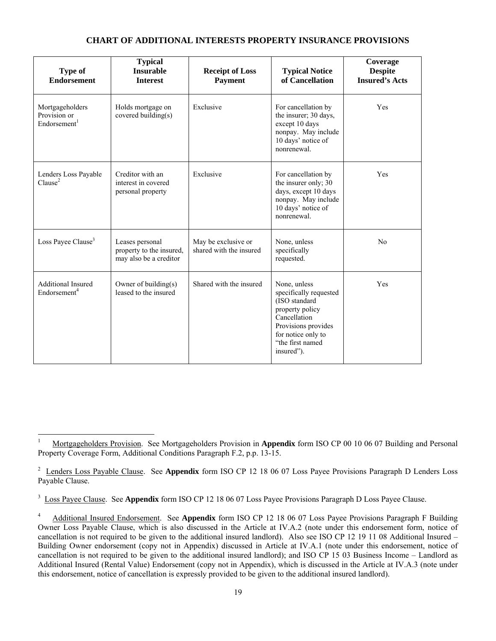| <b>Type of</b><br><b>Endorsement</b>                        | <b>Typical</b><br><b>Insurable</b><br><b>Interest</b>                 | <b>Receipt of Loss</b><br><b>Payment</b>       | <b>Typical Notice</b><br>of Cancellation                                                                                                                                  | Coverage<br><b>Despite</b><br><b>Insured's Acts</b> |
|-------------------------------------------------------------|-----------------------------------------------------------------------|------------------------------------------------|---------------------------------------------------------------------------------------------------------------------------------------------------------------------------|-----------------------------------------------------|
| Mortgageholders<br>Provision or<br>Endorsement <sup>1</sup> | Holds mortgage on<br>covered building(s)                              | Exclusive                                      | For cancellation by<br>the insurer; 30 days,<br>except 10 days<br>nonpay. May include<br>10 days' notice of<br>nonrenewal.                                                | Yes                                                 |
| Lenders Loss Payable<br>Clause <sup>2</sup>                 | Creditor with an<br>interest in covered<br>personal property          | Exclusive                                      | For cancellation by<br>the insurer only; 30<br>days, except 10 days<br>nonpay. May include<br>10 days' notice of<br>nonrenewal.                                           | Yes                                                 |
| Loss Payee Clause <sup>3</sup>                              | Leases personal<br>property to the insured,<br>may also be a creditor | May be exclusive or<br>shared with the insured | None, unless<br>specifically<br>requested.                                                                                                                                | No                                                  |
| <b>Additional Insured</b><br>Endorsement <sup>4</sup>       | Owner of building $(s)$<br>leased to the insured                      | Shared with the insured                        | None, unless<br>specifically requested<br>(ISO standard<br>property policy<br>Cancellation<br>Provisions provides<br>for notice only to<br>"the first named<br>insured"). | Yes                                                 |

#### **CHART OF ADDITIONAL INTERESTS PROPERTY INSURANCE PROVISIONS**

 $\frac{1}{1}$  Mortgageholders Provision. See Mortgageholders Provision in **Appendix** form ISO CP 00 10 06 07 Building and Personal Property Coverage Form, Additional Conditions Paragraph F.2, p.p. 13-15.

<sup>&</sup>lt;sup>2</sup> Lenders Loss Payable Clause. See Appendix form ISO CP 12 18 06 07 Loss Payee Provisions Paragraph D Lenders Loss Payable Clause.

<sup>&</sup>lt;sup>3</sup> Loss Payee Clause. See Appendix form ISO CP 12 18 06 07 Loss Payee Provisions Paragraph D Loss Payee Clause.

<sup>4</sup> Additional Insured Endorsement. See **Appendix** form ISO CP 12 18 06 07 Loss Payee Provisions Paragraph F Building Owner Loss Payable Clause, which is also discussed in the Article at IV.A.2 (note under this endorsement form, notice of cancellation is not required to be given to the additional insured landlord). Also see ISO CP 12 19 11 08 Additional Insured – Building Owner endorsement (copy not in Appendix) discussed in Article at IV.A.1 (note under this endorsement, notice of cancellation is not required to be given to the additional insured landlord); and ISO CP 15 03 Business Income – Landlord as Additional Insured (Rental Value) Endorsement (copy not in Appendix), which is discussed in the Article at IV.A.3 (note under this endorsement, notice of cancellation is expressly provided to be given to the additional insured landlord).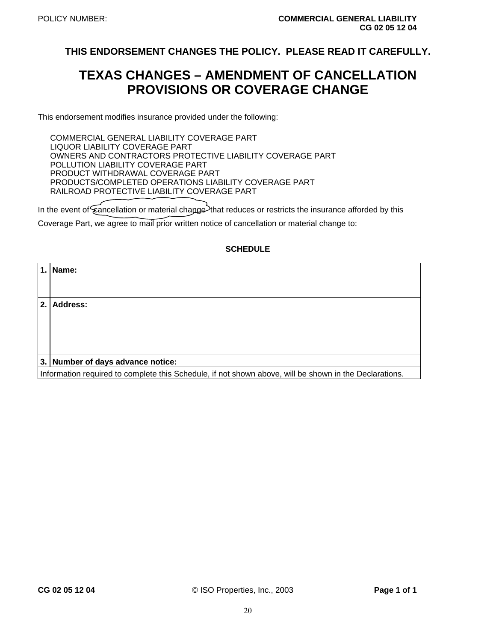# **TEXAS CHANGES – AMENDMENT OF CANCELLATION PROVISIONS OR COVERAGE CHANGE**

This endorsement modifies insurance provided under the following:

COMMERCIAL GENERAL LIABILITY COVERAGE PART LIQUOR LIABILITY COVERAGE PART OWNERS AND CONTRACTORS PROTECTIVE LIABILITY COVERAGE PART POLLUTION LIABILITY COVERAGE PART PRODUCT WITHDRAWAL COVERAGE PART PRODUCTS/COMPLETED OPERATIONS LIABILITY COVERAGE PART RAILROAD PROTECTIVE LIABILITY COVERAGE PART

In the event of cancellation or material change that reduces or restricts the insurance afforded by this

Coverage Part, we agree to mail prior written notice of cancellation or material change to:

#### **SCHEDULE**

|                                                                                                        | $1.$ Name:                        |  |
|--------------------------------------------------------------------------------------------------------|-----------------------------------|--|
|                                                                                                        |                                   |  |
|                                                                                                        | 2. Address:                       |  |
|                                                                                                        |                                   |  |
|                                                                                                        |                                   |  |
|                                                                                                        |                                   |  |
|                                                                                                        | 3. Number of days advance notice: |  |
| Information required to complete this Schedule, if not shown above, will be shown in the Declarations. |                                   |  |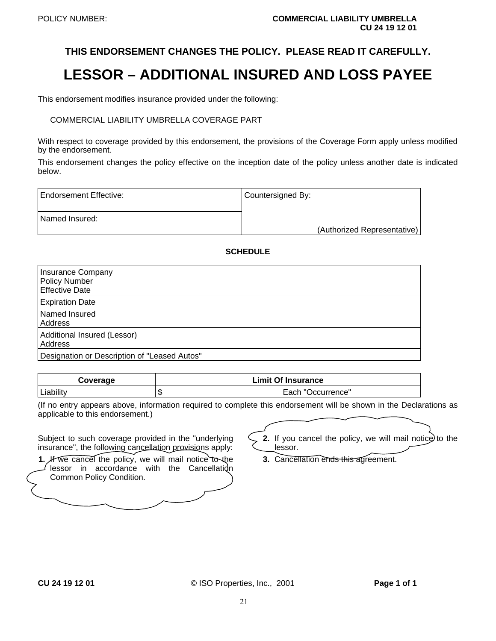# **LESSOR – ADDITIONAL INSURED AND LOSS PAYEE**

This endorsement modifies insurance provided under the following:

#### COMMERCIAL LIABILITY UMBRELLA COVERAGE PART

With respect to coverage provided by this endorsement, the provisions of the Coverage Form apply unless modified by the endorsement.

This endorsement changes the policy effective on the inception date of the policy unless another date is indicated below.

| l Endorsement Effective: | Countersigned By:           |
|--------------------------|-----------------------------|
|                          |                             |
| l Named Insured:         |                             |
|                          | (Authorized Representative) |

#### **SCHEDULE**

| <b>Insurance Company</b><br><b>Policy Number</b><br><b>Effective Date</b> |
|---------------------------------------------------------------------------|
| <b>Expiration Date</b>                                                    |
| Named Insured<br>Address                                                  |
| Additional Insured (Lessor)<br>Address                                    |
| Designation or Description of "Leased Autos"                              |

| Coverage   | <b>Limit Of Insurance</b>   |  |
|------------|-----------------------------|--|
| ' iability | Fach<br>_Ccurrence"<br>- 11 |  |

(If no entry appears above, information required to complete this endorsement will be shown in the Declarations as applicable to this endorsement.)

Subject to such coverage provided in the "underlying insurance", the following cancellation provisions apply:

- **2.** If you cancel the policy, we will mail notice to the lessor.
	- **3.** Cancellation ends this agreement.
- **1.** If we cancel the policy, we will mail notice to the lessor in accordance with the Cancellation Common Policy Condition.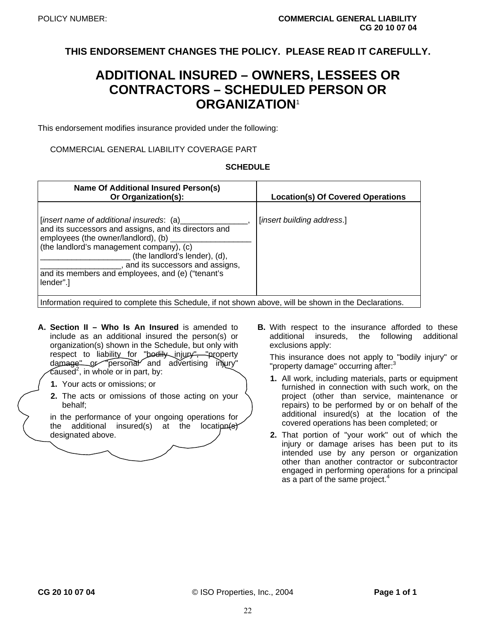# **ADDITIONAL INSURED – OWNERS, LESSEES OR CONTRACTORS – SCHEDULED PERSON OR ORGANIZATION**<sup>1</sup>

This endorsement modifies insurance provided under the following:

#### COMMERCIAL GENERAL LIABILITY COVERAGE PART

#### **SCHEDULE**

| <b>Name Of Additional Insured Person(s)</b><br>Or Organization(s):                                                                                                                                                                                                                                                         | <b>Location(s) Of Covered Operations</b> |
|----------------------------------------------------------------------------------------------------------------------------------------------------------------------------------------------------------------------------------------------------------------------------------------------------------------------------|------------------------------------------|
| [insert name of additional insureds: (a)<br>and its successors and assigns, and its directors and<br>employees (the owner/landlord), (b)<br>(the landlord's management company), (c)<br>(the landlord's lender), (d),<br>and its successors and assigns,<br>and its members and employees, and (e) ("tenant's<br>lender".] | [insert building address.]               |

Information required to complete this Schedule, if not shown above, will be shown in the Declarations.

- **A. Section II Who Is An Insured** is amended to include as an additional insured the person(s) or organization(s) shown in the Schedule, but only with respect to liability for "bodily injury", "property damage" or "personal and advertising injury"  $\epsilon$ aused<sup>2</sup>, in whole or in part, by:
	- **1.** Your acts or omissions; or
	- **2.** The acts or omissions of those acting on your behalf;

in the performance of your ongoing operations for the additional insured(s) at the location(s) designated above.

**B.** With respect to the insurance afforded to these additional insureds, the following additional exclusions apply:

This insurance does not apply to "bodily injury" or "property damage" occurring after:<sup>3</sup>

- **1.** All work, including materials, parts or equipment furnished in connection with such work, on the project (other than service, maintenance or repairs) to be performed by or on behalf of the additional insured(s) at the location of the covered operations has been completed; or
- **2.** That portion of "your work" out of which the injury or damage arises has been put to its intended use by any person or organization other than another contractor or subcontractor engaged in performing operations for a principal as a part of the same project.<sup>4</sup>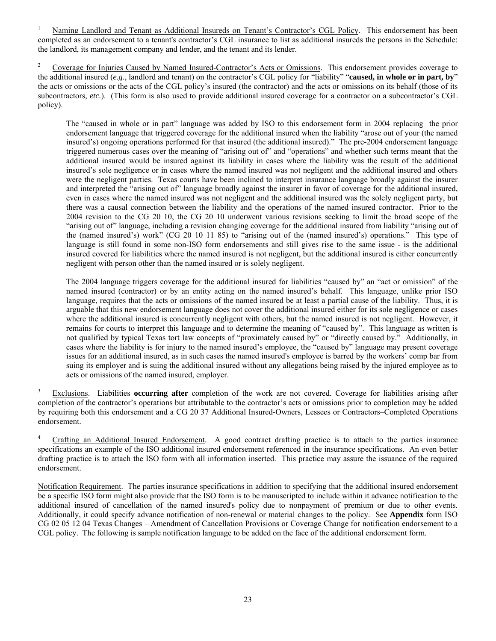Naming Landlord and Tenant as Additional Insureds on Tenant's Contractor's CGL Policy. This endorsement has been completed as an endorsement to a tenant's contractor's CGL insurance to list as additional insureds the persons in the Schedule: the landlord, its management company and lender, and the tenant and its lender.

2 Coverage for Injuries Caused by Named Insured-Contractor's Acts or Omissions. This endorsement provides coverage to the additional insured (*e.g*., landlord and tenant) on the contractor's CGL policy for "liability" "**caused, in whole or in part, by**" the acts or omissions or the acts of the CGL policy's insured (the contractor) and the acts or omissions on its behalf (those of its subcontractors, *etc.*). (This form is also used to provide additional insured coverage for a contractor on a subcontractor's CGL policy).

The "caused in whole or in part" language was added by ISO to this endorsement form in 2004 replacing the prior endorsement language that triggered coverage for the additional insured when the liability "arose out of your (the named insured's) ongoing operations performed for that insured (the additional insured)." The pre-2004 endorsement language triggered numerous cases over the meaning of "arising out of" and "operations" and whether such terms meant that the additional insured would be insured against its liability in cases where the liability was the result of the additional insured's sole negligence or in cases where the named insured was not negligent and the additional insured and others were the negligent parties. Texas courts have been inclined to interpret insurance language broadly against the insurer and interpreted the "arising out of" language broadly against the insurer in favor of coverage for the additional insured, even in cases where the named insured was not negligent and the additional insured was the solely negligent party, but there was a causal connection between the liability and the operations of the named insured contractor. Prior to the 2004 revision to the CG 20 10, the CG 20 10 underwent various revisions seeking to limit the broad scope of the "arising out of" language, including a revision changing coverage for the additional insured from liability "arising out of the (named insured's) work" (CG 20 10 11 85) to "arising out of the (named insured's) operations." This type of language is still found in some non-ISO form endorsements and still gives rise to the same issue - is the additional insured covered for liabilities where the named insured is not negligent, but the additional insured is either concurrently negligent with person other than the named insured or is solely negligent.

The 2004 language triggers coverage for the additional insured for liabilities "caused by" an "act or omission" of the named insured (contractor) or by an entity acting on the named insured's behalf. This language, unlike prior ISO language, requires that the acts or omissions of the named insured be at least a partial cause of the liability. Thus, it is arguable that this new endorsement language does not cover the additional insured either for its sole negligence or cases where the additional insured is concurrently negligent with others, but the named insured is not negligent. However, it remains for courts to interpret this language and to determine the meaning of "caused by". This language as written is not qualified by typical Texas tort law concepts of "proximately caused by" or "directly caused by." Additionally, in cases where the liability is for injury to the named insured's employee, the "caused by" language may present coverage issues for an additional insured, as in such cases the named insured's employee is barred by the workers' comp bar from suing its employer and is suing the additional insured without any allegations being raised by the injured employee as to acts or omissions of the named insured, employer.

3 Exclusions. Liabilities **occurring after** completion of the work are not covered. Coverage for liabilities arising after completion of the contractor's operations but attributable to the contractor's acts or omissions prior to completion may be added by requiring both this endorsement and a CG 20 37 Additional Insured-Owners, Lessees or Contractors–Completed Operations endorsement.

4 Crafting an Additional Insured Endorsement. A good contract drafting practice is to attach to the parties insurance specifications an example of the ISO additional insured endorsement referenced in the insurance specifications. An even better drafting practice is to attach the ISO form with all information inserted. This practice may assure the issuance of the required endorsement.

Notification Requirement. The parties insurance specifications in addition to specifying that the additional insured endorsement be a specific ISO form might also provide that the ISO form is to be manuscripted to include within it advance notification to the additional insured of cancellation of the named insured's policy due to nonpayment of premium or due to other events. Additionally, it could specify advance notification of non-renewal or material changes to the policy. See **Appendix** form ISO CG 02 05 12 04 Texas Changes – Amendment of Cancellation Provisions or Coverage Change for notification endorsement to a CGL policy. The following is sample notification language to be added on the face of the additional endorsement form.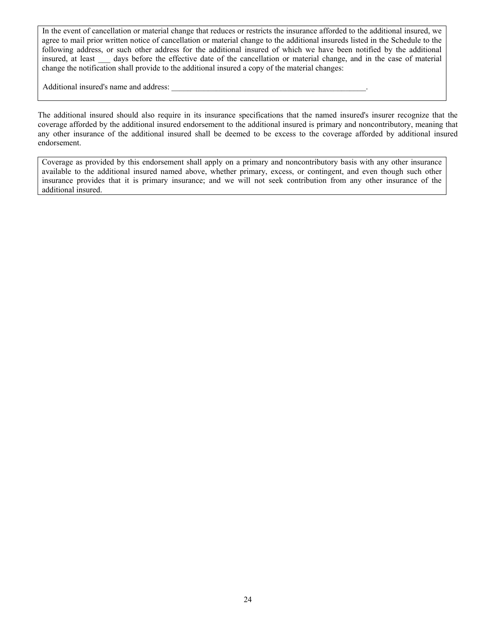In the event of cancellation or material change that reduces or restricts the insurance afforded to the additional insured, we agree to mail prior written notice of cancellation or material change to the additional insureds listed in the Schedule to the following address, or such other address for the additional insured of which we have been notified by the additional insured, at least days before the effective date of the cancellation or material change, and in the case of material change the notification shall provide to the additional insured a copy of the material changes:

Additional insured's name and address:

The additional insured should also require in its insurance specifications that the named insured's insurer recognize that the coverage afforded by the additional insured endorsement to the additional insured is primary and noncontributory, meaning that any other insurance of the additional insured shall be deemed to be excess to the coverage afforded by additional insured endorsement.

Coverage as provided by this endorsement shall apply on a primary and noncontributory basis with any other insurance available to the additional insured named above, whether primary, excess, or contingent, and even though such other insurance provides that it is primary insurance; and we will not seek contribution from any other insurance of the additional insured.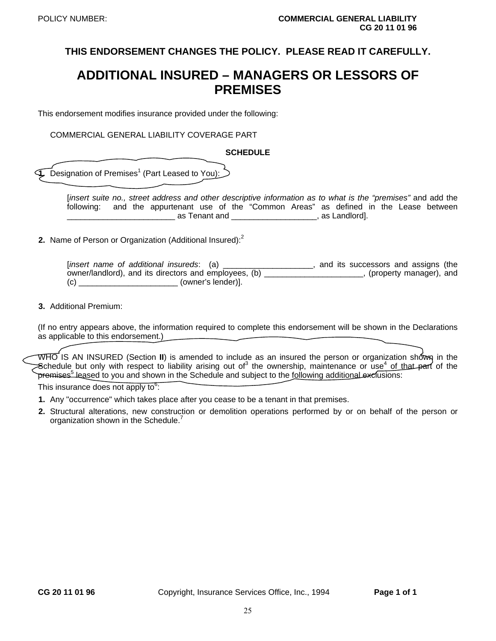# **ADDITIONAL INSURED – MANAGERS OR LESSORS OF PREMISES**

This endorsement modifies insurance provided under the following:

COMMERCIAL GENERAL LIABILITY COVERAGE PART

**4.** Designation of Premises<sup>1</sup> (Part Leased to You):

 [*insert suite no., street address and other descriptive information as to what is the "premises"* and add the following: and the appurtenant use of the "Common Areas" as defined in the Lease between \_\_\_\_\_\_\_\_\_\_\_\_\_\_\_\_\_\_\_\_\_\_\_\_ as Tenant and \_\_\_\_\_\_\_\_\_\_\_\_\_\_\_\_\_\_\_, as Landlord].

**2.** Name of Person or Organization (Additional Insured):<sup>2</sup>

 [*insert name of additional insureds*: (a) \_\_\_\_\_\_\_\_\_\_\_\_\_\_\_\_\_\_\_\_, and its successors and assigns (the owner/landlord), and its directors and employees, (b) \_\_\_\_\_\_\_\_\_\_\_\_\_\_\_\_\_\_\_\_\_\_, (property manager), and (c) \_\_\_\_\_\_\_\_\_\_\_\_\_\_\_\_\_\_\_\_\_\_ (owner's lender)].

 **3.** Additional Premium:

(If no entry appears above, the information required to complete this endorsement will be shown in the Declarations as applicable to this endorsement.)

WHO IS AN INSURED (Section **II**) is amended to include as an insured the person or organization shown in the Schedule but only with respect to liability arising out of<sup>3</sup> the ownership, maintenance or use<sup>4</sup> of that part of the premises<sup>5</sup> leased to you and shown in the Schedule and subject to the following additional exclusions:

This insurance does not apply to $6$ :

- **1.** Any "occurrence" which takes place after you cease to be a tenant in that premises.
- **2.** Structural alterations, new construction or demolition operations performed by or on behalf of the person or organization shown in the Schedule.<sup>7</sup>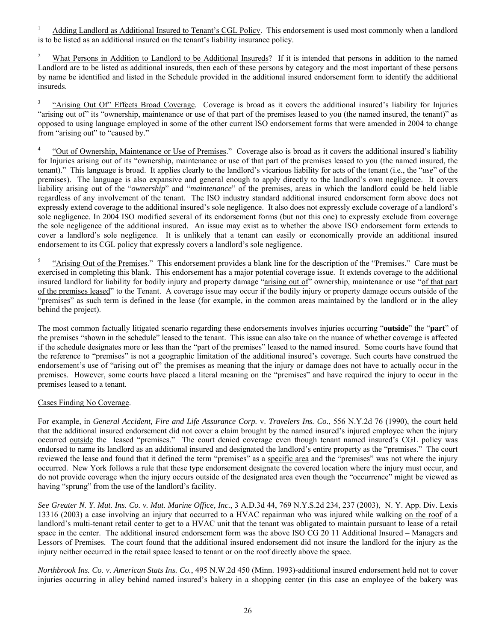1 Adding Landlord as Additional Insured to Tenant's CGL Policy. This endorsement is used most commonly when a landlord is to be listed as an additional insured on the tenant's liability insurance policy.

2 What Persons in Addition to Landlord to be Additional Insureds? If it is intended that persons in addition to the named Landlord are to be listed as additional insureds, then each of these persons by category and the most important of these persons by name be identified and listed in the Schedule provided in the additional insured endorsement form to identify the additional insureds.

3 "Arising Out Of" Effects Broad Coverage. Coverage is broad as it covers the additional insured's liability for Injuries "arising out of" its "ownership, maintenance or use of that part of the premises leased to you (the named insured, the tenant)" as opposed to using language employed in some of the other current ISO endorsement forms that were amended in 2004 to change from "arising out" to "caused by."

4 "Out of Ownership, Maintenance or Use of Premises." Coverage also is broad as it covers the additional insured's liability for Injuries arising out of its "ownership, maintenance or use of that part of the premises leased to you (the named insured, the tenant)." This language is broad. It applies clearly to the landlord's vicarious liability for acts of the tenant (i.e., the "*use*" of the premises). The language is also expansive and general enough to apply directly to the landlord's own negligence. It covers liability arising out of the "*ownership*" and "*maintenance*" of the premises, areas in which the landlord could be held liable regardless of any involvement of the tenant. The ISO industry standard additional insured endorsement form above does not expressly extend coverage to the additional insured's sole negligence. It also does not expressly exclude coverage of a landlord's sole negligence. In 2004 ISO modified several of its endorsement forms (but not this one) to expressly exclude from coverage the sole negligence of the additional insured. An issue may exist as to whether the above ISO endorsement form extends to cover a landlord's sole negligence. It is unlikely that a tenant can easily or economically provide an additional insured endorsement to its CGL policy that expressly covers a landlord's sole negligence.

5 "Arising Out of the Premises." This endorsement provides a blank line for the description of the "Premises." Care must be exercised in completing this blank. This endorsement has a major potential coverage issue. It extends coverage to the additional insured landlord for liability for bodily injury and property damage "arising out of" ownership, maintenance or use "of that part of the premises leased" to the Tenant. A coverage issue may occur if the bodily injury or property damage occurs outside of the "premises" as such term is defined in the lease (for example, in the common areas maintained by the landlord or in the alley behind the project).

The most common factually litigated scenario regarding these endorsements involves injuries occurring "**outside**" the "**part**" of the premises "shown in the schedule" leased to the tenant. This issue can also take on the nuance of whether coverage is affected if the schedule designates more or less than the "part of the premises" leased to the named insured. Some courts have found that the reference to "premises" is not a geographic limitation of the additional insured's coverage. Such courts have construed the endorsement's use of "arising out of" the premises as meaning that the injury or damage does not have to actually occur in the premises. However, some courts have placed a literal meaning on the "premises" and have required the injury to occur in the premises leased to a tenant.

#### Cases Finding No Coverage.

For example, in *General Accident, Fire and Life Assurance Corp.* v. *Travelers Ins. Co.*, 556 N.Y.2d 76 (1990), the court held that the additional insured endorsement did not cover a claim brought by the named insured's injured employee when the injury occurred outside the leased "premises." The court denied coverage even though tenant named insured's CGL policy was endorsed to name its landlord as an additional insured and designated the landlord's entire property as the "premises." The court reviewed the lease and found that it defined the term "premises" as a specific area and the "premises" was not where the injury occurred. New York follows a rule that these type endorsement designate the covered location where the injury must occur, and do not provide coverage when the injury occurs outside of the designated area even though the "occurrence" might be viewed as having "sprung" from the use of the landlord's facility.

*See Greater N. Y. Mut. Ins. Co. v. Mut. Marine Office, Inc.*, 3 A.D.3d 44, 769 N.Y.S.2d 234, 237 (2003), N. Y. App. Div. Lexis 13316 (2003) a case involving an injury that occurred to a HVAC repairman who was injured while walking on the roof of a landlord's multi-tenant retail center to get to a HVAC unit that the tenant was obligated to maintain pursuant to lease of a retail space in the center. The additional insured endorsement form was the above ISO CG 20 11 Additional Insured – Managers and Lessors of Premises. The court found that the additional insured endorsement did not insure the landlord for the injury as the injury neither occurred in the retail space leased to tenant or on the roof directly above the space.

*Northbrook Ins. Co. v. American Stats Ins. Co.*, 495 N.W.2d 450 (Minn. 1993)-additional insured endorsement held not to cover injuries occurring in alley behind named insured's bakery in a shopping center (in this case an employee of the bakery was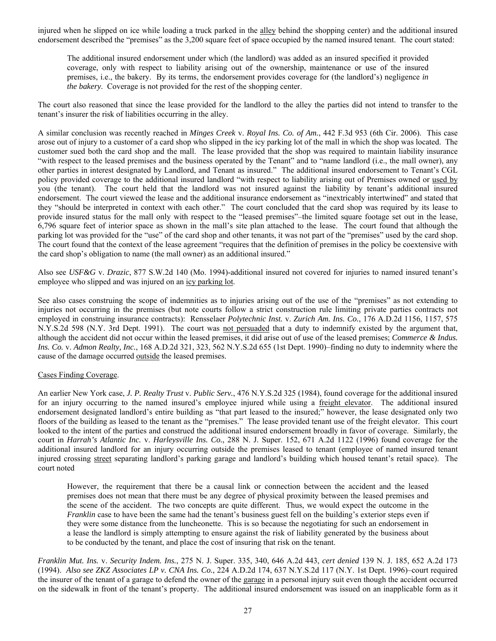injured when he slipped on ice while loading a truck parked in the alley behind the shopping center) and the additional insured endorsement described the "premises" as the 3,200 square feet of space occupied by the named insured tenant. The court stated:

The additional insured endorsement under which (the landlord) was added as an insured specified it provided coverage, only with respect to liability arising out of the ownership, maintenance or use of the insured premises, i.e., the bakery. By its terms, the endorsement provides coverage for (the landlord's) negligence *in the bakery*. Coverage is not provided for the rest of the shopping center.

The court also reasoned that since the lease provided for the landlord to the alley the parties did not intend to transfer to the tenant's insurer the risk of liabilities occurring in the alley.

A similar conclusion was recently reached in *Minges Creek* v. *Royal Ins. Co. of Am.*, 442 F.3d 953 (6th Cir. 2006). This case arose out of injury to a customer of a card shop who slipped in the icy parking lot of the mall in which the shop was located. The customer sued both the card shop and the mall. The lease provided that the shop was required to maintain liability insurance "with respect to the leased premises and the business operated by the Tenant" and to "name landlord (i.e., the mall owner), any other parties in interest designated by Landlord, and Tenant as insured." The additional insured endorsement to Tenant's CGL policy provided coverage to the additional insured landlord "with respect to liability arising out of Premises owned or used by you (the tenant). The court held that the landlord was not insured against the liability by tenant's additional insured endorsement. The court viewed the lease and the additional insurance endorsement as "inextricably intertwined" and stated that they "should be interpreted in context with each other." The court concluded that the card shop was required by its lease to provide insured status for the mall only with respect to the "leased premises"–the limited square footage set out in the lease, 6,796 square feet of interior space as shown in the mall's site plan attached to the lease. The court found that although the parking lot was provided for the "use" of the card shop and other tenants, it was not part of the "premises" used by the card shop. The court found that the context of the lease agreement "requires that the definition of premises in the policy be coextensive with the card shop's obligation to name (the mall owner) as an additional insured."

Also see *USF&G* v. *Drazic*, 877 S.W.2d 140 (Mo. 1994)-additional insured not covered for injuries to named insured tenant's employee who slipped and was injured on an icy parking lot.

See also cases construing the scope of indemnities as to injuries arising out of the use of the "premises" as not extending to injuries not occurring in the premises (but note courts follow a strict construction rule limiting private parties contracts not employed in construing insurance contracts): Rensselaer *Polytechnic Inst.* v. *Zurich Am. Ins. Co.*, 176 A.D.2d 1156, 1157, 575 N.Y.S.2d 598 (N.Y. 3rd Dept. 1991). The court was not persuaded that a duty to indemnify existed by the argument that, although the accident did not occur within the leased premises, it did arise out of use of the leased premises; *Commerce & Indus. Ins. Co.* v. *Admon Realty, Inc.*, 168 A.D.2d 321, 323, 562 N.Y.S.2d 655 (1st Dept. 1990)–finding no duty to indemnity where the cause of the damage occurred outside the leased premises.

#### Cases Finding Coverage.

An earlier New York case, *J. P. Realty Trust* v. *Public Serv.*, 476 N.Y.S.2d 325 (1984), found coverage for the additional insured for an injury occurring to the named insured's employee injured while using a freight elevator. The additional insured endorsement designated landlord's entire building as "that part leased to the insured;" however, the lease designated only two floors of the building as leased to the tenant as the "premises." The lease provided tenant use of the freight elevator. This court looked to the intent of the parties and construed the additional insured endorsement broadly in favor of coverage. Similarly, the court in *Harrah's Atlantic Inc.* v. *Harleysville Ins. Co.*, 288 N. J. Super. 152, 671 A.2d 1122 (1996) found coverage for the additional insured landlord for an injury occurring outside the premises leased to tenant (employee of named insured tenant injured crossing street separating landlord's parking garage and landlord's building which housed tenant's retail space). The court noted

However, the requirement that there be a causal link or connection between the accident and the leased premises does not mean that there must be any degree of physical proximity between the leased premises and the scene of the accident. The two concepts are quite different. Thus, we would expect the outcome in the *Franklin* case to have been the same had the tenant's business guest fell on the building's exterior steps even if they were some distance from the luncheonette. This is so because the negotiating for such an endorsement in a lease the landlord is simply attempting to ensure against the risk of liability generated by the business about to be conducted by the tenant, and place the cost of insuring that risk on the tenant.

*Franklin Mut. Ins.* v. *Security Indem. Ins.*, 275 N. J. Super. 335, 340, 646 A.2d 443, *cert denied* 139 N. J. 185, 652 A.2d 173 (1994). *Also see ZKZ Associates LP v. CNA Ins. Co.*, 224 A.D.2d 174, 637 N.Y.S.2d 117 (N.Y. 1st Dept. 1996)–court required the insurer of the tenant of a garage to defend the owner of the garage in a personal injury suit even though the accident occurred on the sidewalk in front of the tenant's property. The additional insured endorsement was issued on an inapplicable form as it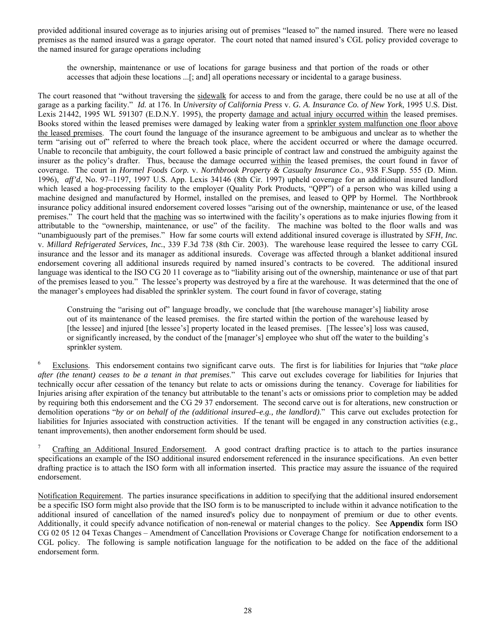provided additional insured coverage as to injuries arising out of premises "leased to" the named insured. There were no leased premises as the named insured was a garage operator. The court noted that named insured's CGL policy provided coverage to the named insured for garage operations including

the ownership, maintenance or use of locations for garage business and that portion of the roads or other accesses that adjoin these locations ...[; and] all operations necessary or incidental to a garage business.

The court reasoned that "without traversing the sidewalk for access to and from the garage, there could be no use at all of the garage as a parking facility." *Id.* at 176. In *University of California Press* v. *G. A. Insurance Co. of New York*, 1995 U.S. Dist. Lexis 21442, 1995 WL 591307 (E.D.N.Y. 1995), the property damage and actual injury occurred within the leased premises. Books stored within the leased premises were damaged by leaking water from a sprinkler system malfunction one floor above the leased premises. The court found the language of the insurance agreement to be ambiguous and unclear as to whether the term "arising out of" referred to where the breach took place, where the accident occurred or where the damage occurred. Unable to reconcile that ambiguity, the court followed a basic principle of contract law and construed the ambiguity against the insurer as the policy's drafter. Thus, because the damage occurred within the leased premises, the court found in favor of coverage. The court in *Hormel Foods Corp.* v. *Northbrook Property & Casualty Insurance Co.*, 938 F.Supp. 555 (D. Minn. 1996), *aff'd*, No. 97–1197, 1997 U.S. App. Lexis 34146 (8th Cir. 1997) upheld coverage for an additional insured landlord which leased a hog-processing facility to the employer (Quality Pork Products, "QPP") of a person who was killed using a machine designed and manufactured by Hormel, installed on the premises, and leased to QPP by Hormel. The Northbrook insurance policy additional insured endorsement covered losses "arising out of the ownership, maintenance or use, of the leased premises." The court held that the machine was so intertwined with the facility's operations as to make injuries flowing from it attributable to the "ownership, maintenance, or use" of the facility. The machine was bolted to the floor walls and was "unambiguously part of the premises." How far some courts will extend additional insured coverage is illustrated by *SFH, Inc.* v. *Millard Refrigerated Services, Inc.*, 339 F.3d 738 (8th Cir. 2003). The warehouse lease required the lessee to carry CGL insurance and the lessor and its manager as additional insureds. Coverage was affected through a blanket additional insured endorsement covering all additional insureds required by named insured's contracts to be covered. The additional insured language was identical to the ISO CG 2011 coverage as to "liability arising out of the ownership, maintenance or use of that part of the premises leased to you." The lessee's property was destroyed by a fire at the warehouse. It was determined that the one of the manager's employees had disabled the sprinkler system. The court found in favor of coverage, stating

Construing the "arising out of" language broadly, we conclude that [the warehouse manager's] liability arose out of its maintenance of the leased premises. the fire started within the portion of the warehouse leased by [the lessee] and injured [the lessee's] property located in the leased premises. [The lessee's] loss was caused, or significantly increased, by the conduct of the [manager's] employee who shut off the water to the building's sprinkler system.

6 Exclusions. This endorsement contains two significant carve outs. The first is for liabilities for Injuries that "*take place after (the tenant) ceases to be a tenant in that premises*." This carve out excludes coverage for liabilities for Injuries that technically occur after cessation of the tenancy but relate to acts or omissions during the tenancy. Coverage for liabilities for Injuries arising after expiration of the tenancy but attributable to the tenant's acts or omissions prior to completion may be added by requiring both this endorsement and the CG 29 37 endorsement. The second carve out is for alterations, new construction or demolition operations "*by or on behalf of the (additional insured–e.g., the landlord)*." This carve out excludes protection for liabilities for Injuries associated with construction activities. If the tenant will be engaged in any construction activities (e.g., tenant improvements), then another endorsement form should be used.

7 Crafting an Additional Insured Endorsement. A good contract drafting practice is to attach to the parties insurance specifications an example of the ISO additional insured endorsement referenced in the insurance specifications. An even better drafting practice is to attach the ISO form with all information inserted. This practice may assure the issuance of the required endorsement.

Notification Requirement. The parties insurance specifications in addition to specifying that the additional insured endorsement be a specific ISO form might also provide that the ISO form is to be manuscripted to include within it advance notification to the additional insured of cancellation of the named insured's policy due to nonpayment of premium or due to other events. Additionally, it could specify advance notification of non-renewal or material changes to the policy. See **Appendix** form ISO CG 02 05 12 04 Texas Changes – Amendment of Cancellation Provisions or Coverage Change for notification endorsement to a CGL policy. The following is sample notification language for the notification to be added on the face of the additional endorsement form.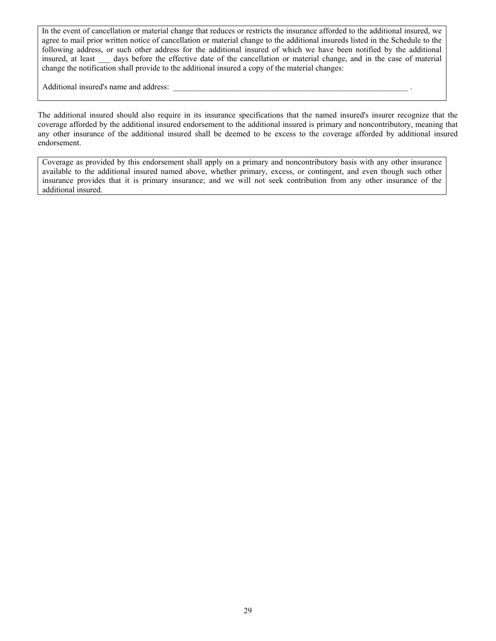In the event of cancellation or material change that reduces or restricts the insurance afforded to the additional insured, we agree to mail prior written notice of cancellation or material change to the additional insureds listed in the Schedule to the following address, or such other address for the additional insured of which we have been notified by the additional insured, at least days before the effective date of the cancellation or material change, and in the case of material change the notification shall provide to the additional insured a copy of the material changes:

Additional insured's name and address:

The additional insured should also require in its insurance specifications that the named insured's insurer recognize that the coverage afforded by the additional insured endorsement to the additional insured is primary and noncontributory, meaning that any other insurance of the additional insured shall be deemed to be excess to the coverage afforded by additional insured endorsement.

Coverage as provided by this endorsement shall apply on a primary and noncontributory basis with any other insurance available to the additional insured named above, whether primary, excess, or contingent, and even though such other insurance provides that it is primary insurance; and we will not seek contribution from any other insurance of the additional insured.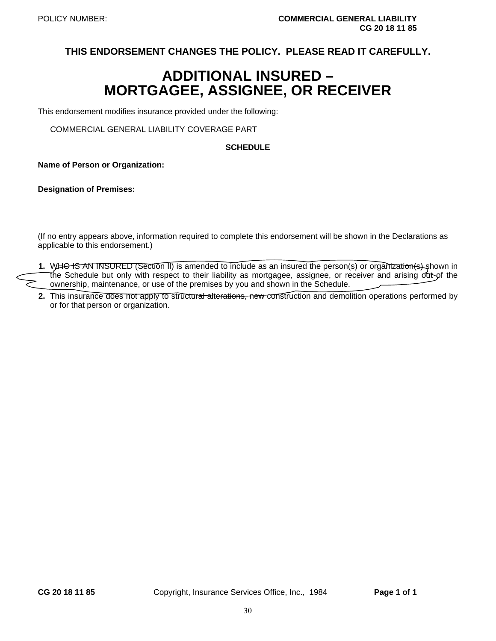# **THIS ENDORSEMENT CHANGES THE POLICY. PLEASE READ IT CAREFULLY.**

# **ADDITIONAL INSURED – MORTGAGEE, ASSIGNEE, OR RECEIVER**

This endorsement modifies insurance provided under the following:

COMMERCIAL GENERAL LIABILITY COVERAGE PART

# **SCHEDULE**

**Name of Person or Organization:** 

**Designation of Premises:** 

(If no entry appears above, information required to complete this endorsement will be shown in the Declarations as applicable to this endorsement.)

 **1.** WHO IS AN INSURED (Section Il) is amended to include as an insured the person(s) or organization(s) shown in the Schedule but only with respect to their liability as mortgagee, assignee, or receiver and arising out of the ownership, maintenance, or use of the premises by you and shown in the Schedule.

 **2.** This insurance does not apply to structural alterations, new construction and demolition operations performed by or for that person or organization.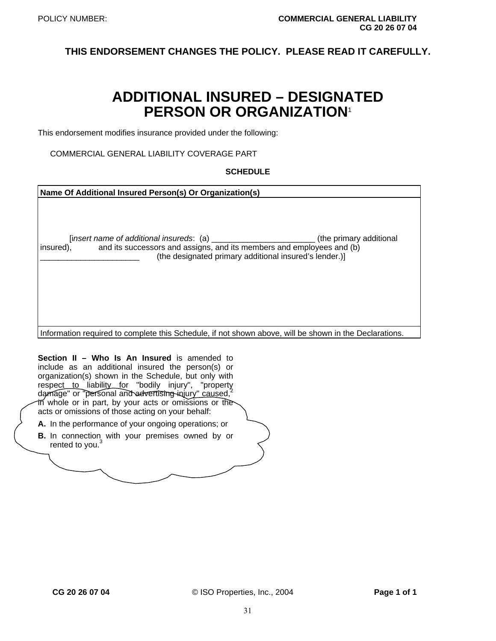**THIS ENDORSEMENT CHANGES THE POLICY. PLEASE READ IT CAREFULLY.** 

# **ADDITIONAL INSURED – DESIGNATED PERSON OR ORGANIZATION**<sup>1</sup>

This endorsement modifies insurance provided under the following:

COMMERCIAL GENERAL LIABILITY COVERAGE PART

**SCHEDULE** 

| Name Of Additional Insured Person(s) Or Organization(s)                                                                                                                 |
|-------------------------------------------------------------------------------------------------------------------------------------------------------------------------|
| (the primary additional<br>and its successors and assigns, and its members and employees and (b)<br>insured),<br>(the designated primary additional insured's lender.)] |
| Information required to complete this Schedule, if not shown above, will be shown in the Declarations.                                                                  |

**Section II – Who Is An Insured** is amended to include as an additional insured the person(s) or organization(s) shown in the Schedule, but only with respect to liability for "bodily injury", "property damage" or "personal and advertising injury" caused,<sup>2</sup> in whole or in part, by your acts or omissions or the acts or omissions of those acting on your behalf:

**A.** In the performance of your ongoing operations; or

**B.** In connection with your premises owned by or rented to you.<sup>3</sup>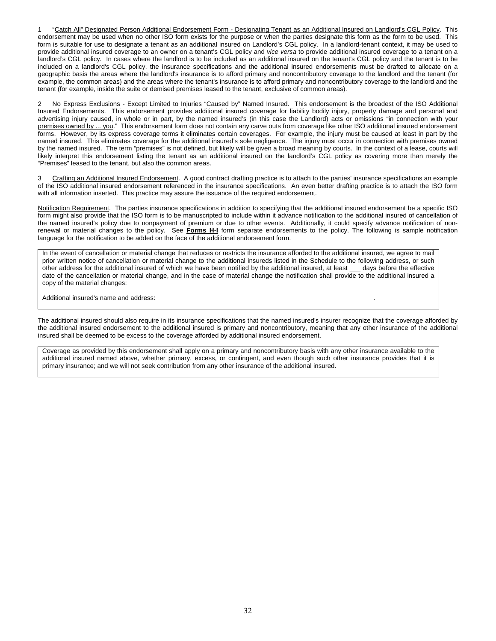"Catch All" Designated Person Additional Endorsement Form - Designating Tenant as an Additional Insured on Landlord's CGL Policy. This endorsement may be used when no other ISO form exists for the purpose or when the parties designate this form as the form to be used. This form is suitable for use to designate a tenant as an additional insured on Landlord's CGL policy. In a landlord-tenant context, it may be used to provide additional insured coverage to an owner on a tenant's CGL policy and *vice versa* to provide additional insured coverage to a tenant on a landlord's CGL policy. In cases where the landlord is to be included as an additional insured on the tenant's CGL policy and the tenant is to be included on a landlord's CGL policy, the insurance specifications and the additional insured endorsements must be drafted to allocate on a geographic basis the areas where the landlord's insurance is to afford primary and noncontributory coverage to the landlord and the tenant (for example, the common areas) and the areas where the tenant's insurance is to afford primary and noncontributory coverage to the landlord and the tenant (for example, inside the suite or demised premises leased to the tenant, exclusive of common areas).

2 No Express Exclusions - Except Limited to Injuries "Caused by" Named Insured. This endorsement is the broadest of the ISO Additional Insured Endorsements. This endorsement provides additional insured coverage for liability bodily injury, property damage and personal and advertising injury caused, in whole or in part, by the named insured's (in this case the Landlord) acts or omissions "in connection with your premises owned by ... you." This endorsement form does not contain any carve outs from coverage like other ISO additional insured endorsement forms. However, by its express coverage terms it eliminates certain coverages. For example, the injury must be caused at least in part by the named insured. This eliminates coverage for the additional insured's sole negligence. The injury must occur in connection with premises owned by the named insured. The term "premises" is not defined, but likely will be given a broad meaning by courts. In the context of a lease, courts will likely interpret this endorsement listing the tenant as an additional insured on the landlord's CGL policy as covering more than merely the "Premises" leased to the tenant, but also the common areas.

3 Crafting an Additional Insured Endorsement. A good contract drafting practice is to attach to the parties' insurance specifications an example of the ISO additional insured endorsement referenced in the insurance specifications. An even better drafting practice is to attach the ISO form with all information inserted. This practice may assure the issuance of the required endorsement.

Notification Requirement. The parties insurance specifications in addition to specifying that the additional insured endorsement be a specific ISO form might also provide that the ISO form is to be manuscripted to include within it advance notification to the additional insured of cancellation of the named insured's policy due to nonpayment of premium or due to other events. Additionally, it could specify advance notification of nonrenewal or material changes to the policy. See **Forms H-I** form separate endorsements to the policy. The following is sample notification language for the notification to be added on the face of the additional endorsement form.

In the event of cancellation or material change that reduces or restricts the insurance afforded to the additional insured, we agree to mail prior written notice of cancellation or material change to the additional insureds listed in the Schedule to the following address, or such other address for the additional insured of which we have been notified by the additional insured, at least \_\_\_ days before the effective date of the cancellation or material change, and in the case of material change the notification shall provide to the additional insured a copy of the material changes:

Additional insured's name and address:

The additional insured should also require in its insurance specifications that the named insured's insurer recognize that the coverage afforded by the additional insured endorsement to the additional insured is primary and noncontributory, meaning that any other insurance of the additional insured shall be deemed to be excess to the coverage afforded by additional insured endorsement.

Coverage as provided by this endorsement shall apply on a primary and noncontributory basis with any other insurance available to the additional insured named above, whether primary, excess, or contingent, and even though such other insurance provides that it is primary insurance; and we will not seek contribution from any other insurance of the additional insured.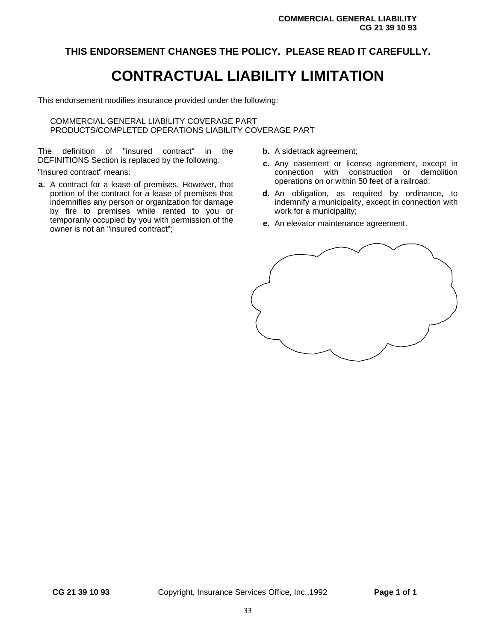# **THIS ENDORSEMENT CHANGES THE POLICY. PLEASE READ IT CAREFULLY.**

# **CONTRACTUAL LIABILITY LIMITATION**

This endorsement modifies insurance provided under the following:

#### COMMERCIAL GENERAL LIABILITY COVERAGE PART PRODUCTS/COMPLETED OPERATIONS LIABILITY COVERAGE PART

The definition of "insured contract" in the DEFINITIONS Section is replaced by the following:

"Insured contract" means:

- **a.** A contract for a lease of premises. However, that portion of the contract for a lease of premises that indemnifies any person or organization for damage by fire to premises while rented to you or temporarily occupied by you with permission of the owner is not an "insured contract";
- **b.** A sidetrack agreement;
- **c.** Any easement or license agreement, except in connection with construction or demolition operations on or within 50 feet of a railroad;
- **d.** An obligation, as required by ordinance, to indemnify a municipality, except in connection with work for a municipality;
- **e.** An elevator maintenance agreement.

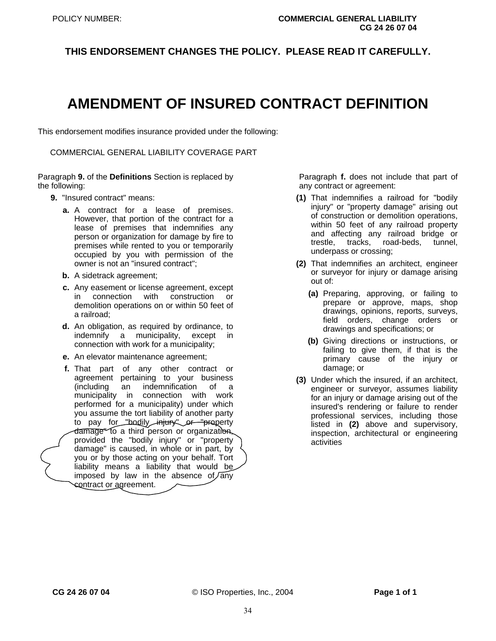**THIS ENDORSEMENT CHANGES THE POLICY. PLEASE READ IT CAREFULLY.** 

# **AMENDMENT OF INSURED CONTRACT DEFINITION**

This endorsement modifies insurance provided under the following:

COMMERCIAL GENERAL LIABILITY COVERAGE PART

Paragraph **9.** of the **Definitions** Section is replaced by the following:

- **9.** "Insured contract" means:
	- **a.** A contract for a lease of premises. However, that portion of the contract for a lease of premises that indemnifies any person or organization for damage by fire to premises while rented to you or temporarily occupied by you with permission of the owner is not an "insured contract";
	- **b.** A sidetrack agreement;
	- **c.** Any easement or license agreement, except in connection with construction or demolition operations on or within 50 feet of a railroad;
	- **d.** An obligation, as required by ordinance, to indemnify a municipality, except in connection with work for a municipality;
	- **e.** An elevator maintenance agreement;
	- **f.** That part of any other contract or agreement pertaining to your business (including an indemnification of a municipality in connection with work performed for a municipality) under which you assume the tort liability of another party to pay for "bodily injury" or "property damage" to a third person or organization, provided the "bodily injury" or "property damage" is caused, in whole or in part, by you or by those acting on your behalf. Tort liability means a liability that would be imposed by law in the absence of  $\sqrt{any}$ contract or agreement.

Paragraph **f.** does not include that part of any contract or agreement:

- **(1)** That indemnifies a railroad for "bodily injury" or "property damage" arising out of construction or demolition operations, within 50 feet of any railroad property and affecting any railroad bridge or trestle, tracks, road-beds, tunnel, underpass or crossing;
- **(2)** That indemnifies an architect, engineer or surveyor for injury or damage arising out of:
	- **(a)** Preparing, approving, or failing to prepare or approve, maps, shop drawings, opinions, reports, surveys, field orders, change orders or drawings and specifications; or
	- **(b)** Giving directions or instructions, or failing to give them, if that is the primary cause of the injury or damage; or
- **(3)** Under which the insured, if an architect, engineer or surveyor, assumes liability for an injury or damage arising out of the insured's rendering or failure to render professional services, including those listed in **(2)** above and supervisory, inspection, architectural or engineering activities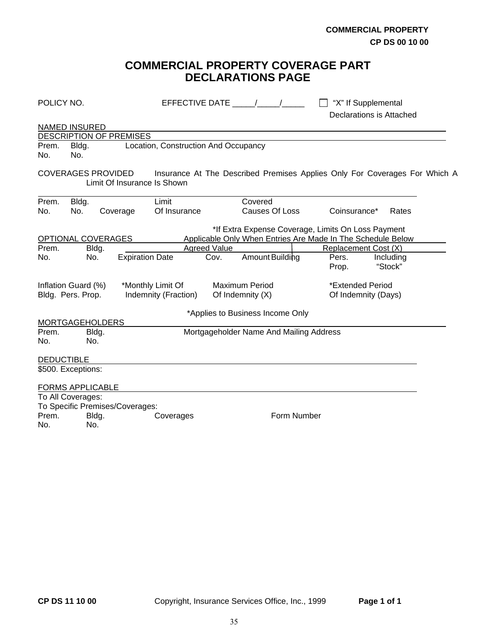# **COMMERCIAL PROPERTY COVERAGE PART DECLARATIONS PAGE**

| POLICY NO.                                                              |                         |                                                          |                                      |                     | EFFECTIVE DATE / /               | "X" If Supplemental<br>Declarations is Attached                            |  |
|-------------------------------------------------------------------------|-------------------------|----------------------------------------------------------|--------------------------------------|---------------------|----------------------------------|----------------------------------------------------------------------------|--|
|                                                                         | <b>NAMED INSURED</b>    | <b>DESCRIPTION OF PREMISES</b>                           |                                      |                     |                                  |                                                                            |  |
| Prem.                                                                   | Bldg.                   |                                                          | Location, Construction And Occupancy |                     |                                  |                                                                            |  |
| No.                                                                     | No.                     |                                                          |                                      |                     |                                  |                                                                            |  |
|                                                                         |                         | <b>COVERAGES PROVIDED</b><br>Limit Of Insurance Is Shown |                                      |                     |                                  | Insurance At The Described Premises Applies Only For Coverages For Which A |  |
| Prem.                                                                   | Bldg.                   |                                                          | Limit                                |                     | Covered                          |                                                                            |  |
| No.                                                                     | No.                     | Coverage                                                 | Of Insurance                         |                     | Causes Of Loss                   | Coinsurance*<br>Rates                                                      |  |
|                                                                         |                         |                                                          |                                      |                     |                                  | *If Extra Expense Coverage, Limits On Loss Payment                         |  |
|                                                                         |                         | <b>OPTIONAL COVERAGES</b>                                |                                      |                     |                                  | Applicable Only When Entries Are Made In The Schedule Below                |  |
| Prem.                                                                   | Bldg.                   |                                                          |                                      | <b>Agreed Value</b> |                                  | Replacement Cost (X)                                                       |  |
| No.                                                                     | No.                     |                                                          | <b>Expiration Date</b>               | Cov.                | Amount Building                  | Including<br>Pers.<br>"Stock"<br>Prop.                                     |  |
|                                                                         | Inflation Guard (%)     |                                                          | *Monthly Limit Of                    |                     | <b>Maximum Period</b>            | *Extended Period                                                           |  |
|                                                                         | Bldg. Pers. Prop.       |                                                          | Indemnity (Fraction)                 |                     | Of Indemnity (X)                 | Of Indemnity (Days)                                                        |  |
|                                                                         |                         |                                                          |                                      |                     | *Applies to Business Income Only |                                                                            |  |
|                                                                         | <b>MORTGAGEHOLDERS</b>  |                                                          |                                      |                     |                                  |                                                                            |  |
| Mortgageholder Name And Mailing Address<br>Prem.<br>Bldg.<br>No.<br>No. |                         |                                                          |                                      |                     |                                  |                                                                            |  |
| <b>DEDUCTIBLE</b>                                                       |                         |                                                          |                                      |                     |                                  |                                                                            |  |
|                                                                         | \$500. Exceptions:      |                                                          |                                      |                     |                                  |                                                                            |  |
|                                                                         | <b>FORMS APPLICABLE</b> |                                                          |                                      |                     |                                  |                                                                            |  |
|                                                                         | To All Coverages:       | To Specific Premises/Coverages:                          |                                      |                     |                                  |                                                                            |  |
| Prem.<br>No.                                                            | Bldg.<br>No.            |                                                          | Coverages                            |                     | Form Number                      |                                                                            |  |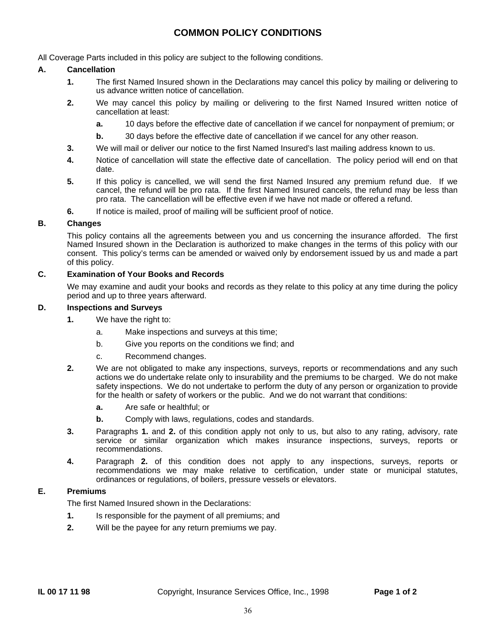# **COMMON POLICY CONDITIONS**

All Coverage Parts included in this policy are subject to the following conditions.

# **A. Cancellation**

- **1.** The first Named Insured shown in the Declarations may cancel this policy by mailing or delivering to us advance written notice of cancellation.
- **2.** We may cancel this policy by mailing or delivering to the first Named Insured written notice of cancellation at least:
	- **a.** 10 days before the effective date of cancellation if we cancel for nonpayment of premium; or
	- **b.** 30 days before the effective date of cancellation if we cancel for any other reason.
- **3.** We will mail or deliver our notice to the first Named Insured's last mailing address known to us.
- **4.** Notice of cancellation will state the effective date of cancellation. The policy period will end on that date.
- **5.** If this policy is cancelled, we will send the first Named Insured any premium refund due. If we cancel, the refund will be pro rata. If the first Named Insured cancels, the refund may be less than pro rata. The cancellation will be effective even if we have not made or offered a refund.
- **6.** If notice is mailed, proof of mailing will be sufficient proof of notice.

# **B. Changes**

 This policy contains all the agreements between you and us concerning the insurance afforded. The first Named Insured shown in the Declaration is authorized to make changes in the terms of this policy with our consent. This policy's terms can be amended or waived only by endorsement issued by us and made a part of this policy.

# **C. Examination of Your Books and Records**

We may examine and audit your books and records as they relate to this policy at any time during the policy period and up to three years afterward.

# **D. Inspections and Surveys**

- **1.** We have the right to:
	- a. Make inspections and surveys at this time;
	- b. Give you reports on the conditions we find; and
	- c. Recommend changes.
- **2.** We are not obligated to make any inspections, surveys, reports or recommendations and any such actions we do undertake relate only to insurability and the premiums to be charged. We do not make safety inspections. We do not undertake to perform the duty of any person or organization to provide for the health or safety of workers or the public. And we do not warrant that conditions:
	- **a.** Are safe or healthful; or
	- **b.** Comply with laws, regulations, codes and standards.
- **3.** Paragraphs **1.** and **2.** of this condition apply not only to us, but also to any rating, advisory, rate service or similar organization which makes insurance inspections, surveys, reports or recommendations.
- **4.** Paragraph **2.** of this condition does not apply to any inspections, surveys, reports or recommendations we may make relative to certification, under state or municipal statutes, ordinances or regulations, of boilers, pressure vessels or elevators.

# **E. Premiums**

The first Named Insured shown in the Declarations:

- **1.** Is responsible for the payment of all premiums; and
- **2.** Will be the payee for any return premiums we pay.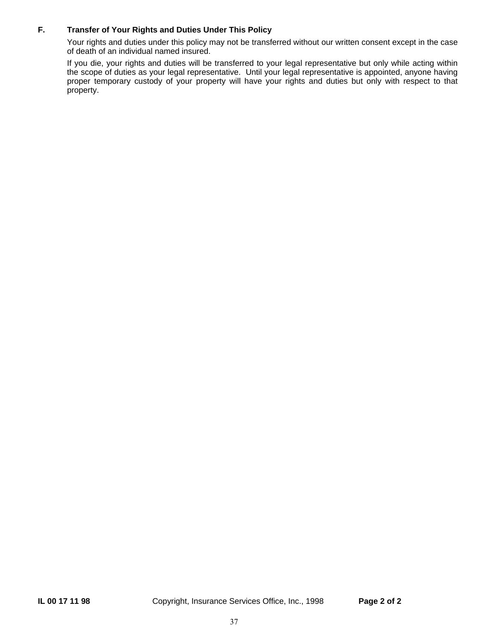# **F. Transfer of Your Rights and Duties Under This Policy**

 Your rights and duties under this policy may not be transferred without our written consent except in the case of death of an individual named insured.

 If you die, your rights and duties will be transferred to your legal representative but only while acting within the scope of duties as your legal representative. Until your legal representative is appointed, anyone having proper temporary custody of your property will have your rights and duties but only with respect to that property.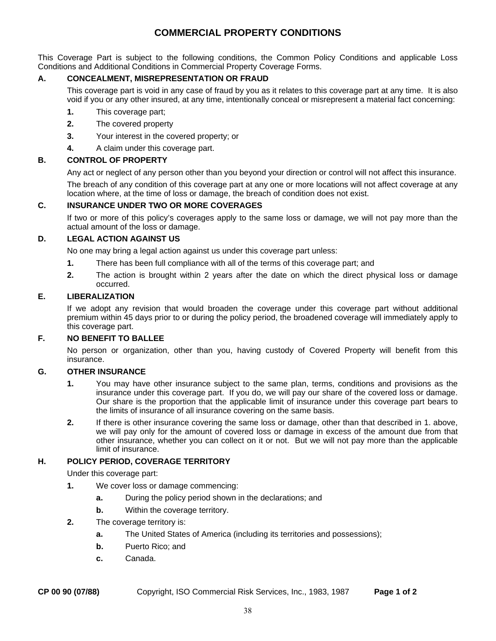# **COMMERCIAL PROPERTY CONDITIONS**

This Coverage Part is subject to the following conditions, the Common Policy Conditions and applicable Loss Conditions and Additional Conditions in Commercial Property Coverage Forms.

# **A. CONCEALMENT, MISREPRESENTATION OR FRAUD**

 This coverage part is void in any case of fraud by you as it relates to this coverage part at any time. It is also void if you or any other insured, at any time, intentionally conceal or misrepresent a material fact concerning:

- **1.** This coverage part;
- **2.** The covered property
- **3.** Your interest in the covered property; or
- **4.** A claim under this coverage part.

### **B. CONTROL OF PROPERTY**

Any act or neglect of any person other than you beyond your direction or control will not affect this insurance.

 The breach of any condition of this coverage part at any one or more locations will not affect coverage at any location where, at the time of loss or damage, the breach of condition does not exist.

#### **C. INSURANCE UNDER TWO OR MORE COVERAGES**

 If two or more of this policy's coverages apply to the same loss or damage, we will not pay more than the actual amount of the loss or damage.

#### **D. LEGAL ACTION AGAINST US**

No one may bring a legal action against us under this coverage part unless:

- **1.** There has been full compliance with all of the terms of this coverage part; and
- **2.** The action is brought within 2 years after the date on which the direct physical loss or damage occurred.

#### **E. LIBERALIZATION**

 If we adopt any revision that would broaden the coverage under this coverage part without additional premium within 45 days prior to or during the policy period, the broadened coverage will immediately apply to this coverage part.

#### **F. NO BENEFIT TO BALLEE**

 No person or organization, other than you, having custody of Covered Property will benefit from this insurance.

#### **G. OTHER INSURANCE**

- **1.** You may have other insurance subject to the same plan, terms, conditions and provisions as the insurance under this coverage part. If you do, we will pay our share of the covered loss or damage. Our share is the proportion that the applicable limit of insurance under this coverage part bears to the limits of insurance of all insurance covering on the same basis.
- **2.** If there is other insurance covering the same loss or damage, other than that described in 1. above, we will pay only for the amount of covered loss or damage in excess of the amount due from that other insurance, whether you can collect on it or not. But we will not pay more than the applicable limit of insurance.

# **H. POLICY PERIOD, COVERAGE TERRITORY**

Under this coverage part:

- **1.** We cover loss or damage commencing:
	- **a.** During the policy period shown in the declarations; and
	- **b.** Within the coverage territory.
- **2.** The coverage territory is:
	- **a.** The United States of America (including its territories and possessions);
	- **b.** Puerto Rico; and
	- **c.** Canada.

**CP 00 90 (07/88)** Copyright, ISO Commercial Risk Services, Inc., 1983, 1987 **Page 1 of 2**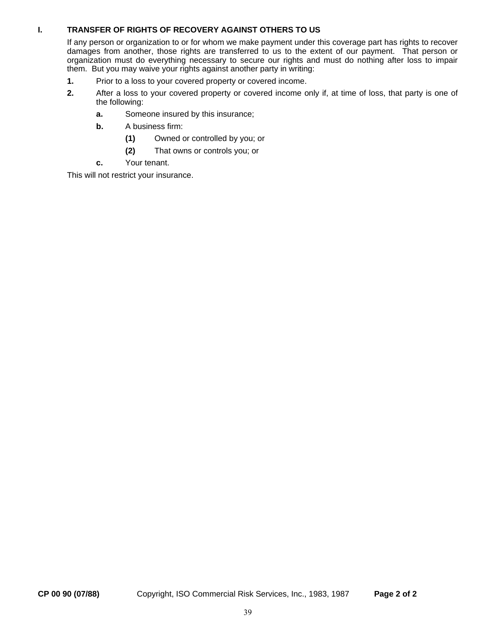# **I. TRANSFER OF RIGHTS OF RECOVERY AGAINST OTHERS TO US**

 If any person or organization to or for whom we make payment under this coverage part has rights to recover damages from another, those rights are transferred to us to the extent of our payment. That person or organization must do everything necessary to secure our rights and must do nothing after loss to impair them. But you may waive your rights against another party in writing:

- **1.** Prior to a loss to your covered property or covered income.
- **2.** After a loss to your covered property or covered income only if, at time of loss, that party is one of the following:
	- **a.** Someone insured by this insurance;
	- **b.** A business firm:
		- **(1)** Owned or controlled by you; or
		- **(2)** That owns or controls you; or
	- **c.** Your tenant.

This will not restrict your insurance.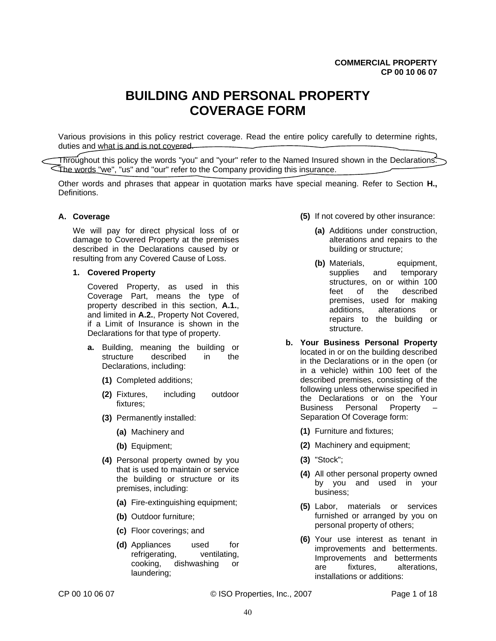# **BUILDING AND PERSONAL PROPERTY COVERAGE FORM**

Various provisions in this policy restrict coverage. Read the entire policy carefully to determine rights, duties and what is and is not covered.

Throughout this policy the words "you" and "your" refer to the Named Insured shown in the Declarations. The words "we", "us" and "our" refer to the Company providing this insurance.

Other words and phrases that appear in quotation marks have special meaning. Refer to Section **H.,** Definitions.

#### **A. Coverage**

We will pay for direct physical loss of or damage to Covered Property at the premises described in the Declarations caused by or resulting from any Covered Cause of Loss.

#### **1. Covered Property**

Covered Property, as used in this Coverage Part, means the type of property described in this section, **A.1.**, and limited in **A.2.**, Property Not Covered, if a Limit of Insurance is shown in the Declarations for that type of property.

- **a.** Building, meaning the building or structure described in the Declarations, including:
	- **(1)** Completed additions;
	- **(2)** Fixtures, including outdoor fixtures;
	- **(3)** Permanently installed:
		- **(a)** Machinery and
		- **(b)** Equipment;
	- **(4)** Personal property owned by you that is used to maintain or service the building or structure or its premises, including:
		- **(a)** Fire-extinguishing equipment;
		- **(b)** Outdoor furniture;
		- **(c)** Floor coverings; and
		- **(d)** Appliances used for refrigerating, ventilating, cooking, dishwashing or laundering;
- **(5)** If not covered by other insurance:
	- **(a)** Additions under construction, alterations and repairs to the building or structure;
	- **(b)** Materials, equipment, supplies and temporary structures, on or within 100 feet of the described premises, used for making additions, alterations or repairs to the building or structure.
- **b. Your Business Personal Property** located in or on the building described in the Declarations or in the open (or in a vehicle) within 100 feet of the described premises, consisting of the following unless otherwise specified in the Declarations or on the Your Business Personal Property – Separation Of Coverage form:
	- **(1)** Furniture and fixtures;
	- **(2)** Machinery and equipment;
	- **(3)** "Stock";
	- **(4)** All other personal property owned by you and used in your business;
	- **(5)** Labor, materials or services furnished or arranged by you on personal property of others;
	- **(6)** Your use interest as tenant in improvements and betterments. Improvements and betterments are fixtures, alterations, installations or additions: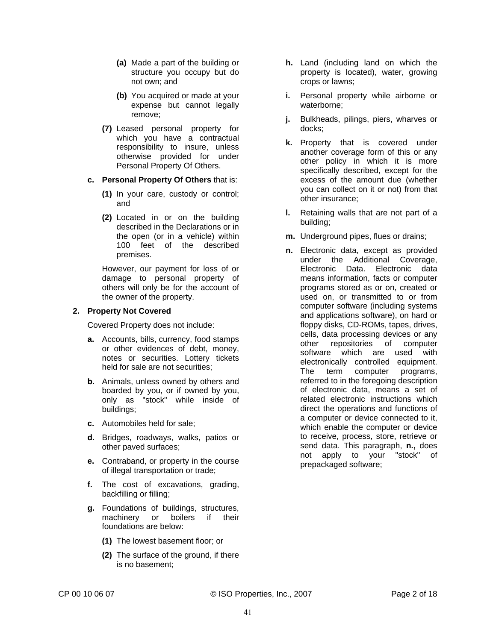- **(a)** Made a part of the building or structure you occupy but do not own; and
- **(b)** You acquired or made at your expense but cannot legally remove;
- **(7)** Leased personal property for which you have a contractual responsibility to insure, unless otherwise provided for under Personal Property Of Others.
- **c. Personal Property Of Others** that is:
	- **(1)** In your care, custody or control; and
	- **(2)** Located in or on the building described in the Declarations or in the open (or in a vehicle) within 100 feet of the described premises.

However, our payment for loss of or damage to personal property of others will only be for the account of the owner of the property.

# **2. Property Not Covered**

Covered Property does not include:

- **a.** Accounts, bills, currency, food stamps or other evidences of debt, money, notes or securities. Lottery tickets held for sale are not securities;
- **b.** Animals, unless owned by others and boarded by you, or if owned by you, only as "stock" while inside of buildings;
- **c.** Automobiles held for sale;
- **d.** Bridges, roadways, walks, patios or other paved surfaces;
- **e.** Contraband, or property in the course of illegal transportation or trade;
- **f.** The cost of excavations, grading, backfilling or filling;
- **g.** Foundations of buildings, structures, machinery or boilers if their foundations are below:
	- **(1)** The lowest basement floor; or
	- **(2)** The surface of the ground, if there is no basement;
- **h.** Land (including land on which the property is located), water, growing crops or lawns;
- **i.** Personal property while airborne or waterborne;
- **j.** Bulkheads, pilings, piers, wharves or docks;
- **k.** Property that is covered under another coverage form of this or any other policy in which it is more specifically described, except for the excess of the amount due (whether you can collect on it or not) from that other insurance;
- **l.** Retaining walls that are not part of a building;
- **m.** Underground pipes, flues or drains;
- **n.** Electronic data, except as provided under the Additional Coverage, Electronic Data. Electronic data means information, facts or computer programs stored as or on, created or used on, or transmitted to or from computer software (including systems and applications software), on hard or floppy disks, CD-ROMs, tapes, drives, cells, data processing devices or any other repositories of computer software which are used with electronically controlled equipment. The term computer programs, referred to in the foregoing description of electronic data, means a set of related electronic instructions which direct the operations and functions of a computer or device connected to it, which enable the computer or device to receive, process, store, retrieve or send data. This paragraph, **n.,** does not apply to your "stock" of prepackaged software;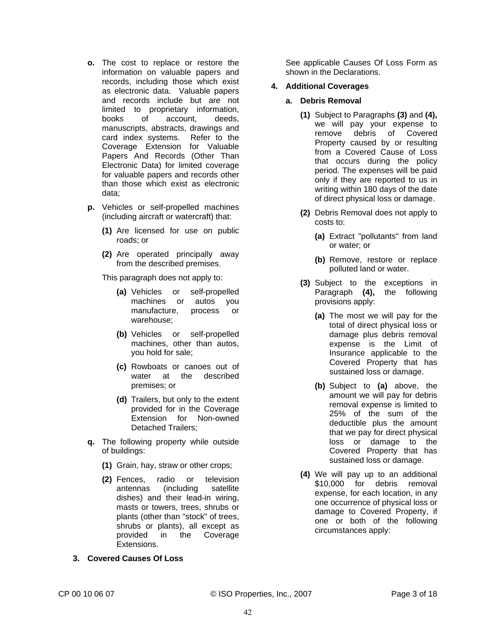- **o.** The cost to replace or restore the information on valuable papers and records, including those which exist as electronic data. Valuable papers and records include but are not limited to proprietary information, books of account, deeds, manuscripts, abstracts, drawings and card index systems. Refer to the Coverage Extension for Valuable Papers And Records (Other Than Electronic Data) for limited coverage for valuable papers and records other than those which exist as electronic data;
- **p.** Vehicles or self-propelled machines (including aircraft or watercraft) that:
	- **(1)** Are licensed for use on public roads; or
	- **(2)** Are operated principally away from the described premises.

This paragraph does not apply to:

- **(a)** Vehicles or self-propelled machines or autos you manufacture, process or warehouse;
- **(b)** Vehicles or self-propelled machines, other than autos, you hold for sale;
- **(c)** Rowboats or canoes out of water at the described premises; or
- **(d)** Trailers, but only to the extent provided for in the Coverage Extension for Non-owned Detached Trailers;
- **q.** The following property while outside of buildings:
	- **(1)** Grain, hay, straw or other crops;
	- **(2)** Fences, radio or television antennas (including satellite dishes) and their lead-in wiring, masts or towers, trees, shrubs or plants (other than "stock" of trees, shrubs or plants), all except as provided in the Coverage Extensions.

# **3. Covered Causes Of Loss**

See applicable Causes Of Loss Form as shown in the Declarations.

# **4. Additional Coverages**

- **a. Debris Removal** 
	- **(1)** Subject to Paragraphs **(3)** and **(4),** we will pay your expense to remove debris of Covered Property caused by or resulting from a Covered Cause of Loss that occurs during the policy period. The expenses will be paid only if they are reported to us in writing within 180 days of the date of direct physical loss or damage.
	- **(2)** Debris Removal does not apply to costs to:
		- **(a)** Extract "pollutants" from land or water; or
		- **(b)** Remove, restore or replace polluted land or water.
	- **(3)** Subject to the exceptions in Paragraph **(4),** the following provisions apply:
		- **(a)** The most we will pay for the total of direct physical loss or damage plus debris removal expense is the Limit of Insurance applicable to the Covered Property that has sustained loss or damage.
		- **(b)** Subject to **(a)** above, the amount we will pay for debris removal expense is limited to 25% of the sum of the deductible plus the amount that we pay for direct physical loss or damage to the Covered Property that has sustained loss or damage.
	- **(4)** We will pay up to an additional \$10,000 for debris removal expense, for each location, in any one occurrence of physical loss or damage to Covered Property, if one or both of the following circumstances apply: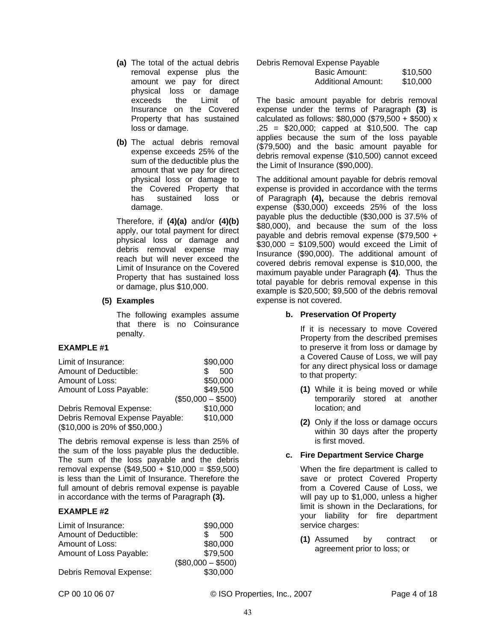- **(a)** The total of the actual debris removal expense plus the amount we pay for direct physical loss or damage exceeds the Limit of Insurance on the Covered Property that has sustained loss or damage.
- **(b)** The actual debris removal expense exceeds 25% of the sum of the deductible plus the amount that we pay for direct physical loss or damage to the Covered Property that has sustained loss or damage.

Therefore, if **(4)(a)** and/or **(4)(b)** apply, our total payment for direct physical loss or damage and debris removal expense may reach but will never exceed the Limit of Insurance on the Covered Property that has sustained loss or damage, plus \$10,000.

#### **(5) Examples**

The following examples assume that there is no Coinsurance penalty.

# **EXAMPLE #1**

| Limit of Insurance:             | \$90,000           |
|---------------------------------|--------------------|
| Amount of Deductible:           | 500<br>\$.         |
| Amount of Loss:                 | \$50,000           |
| Amount of Loss Payable:         | \$49,500           |
|                                 | $($50,000 - $500)$ |
| Debris Removal Expense:         | \$10,000           |
| Debris Removal Expense Payable: | \$10,000           |
| (\$10,000 is 20% of \$50,000.)  |                    |

The debris removal expense is less than 25% of the sum of the loss payable plus the deductible. The sum of the loss payable and the debris removal expense (\$49,500 + \$10,000 = \$59,500) is less than the Limit of Insurance. Therefore the full amount of debris removal expense is payable in accordance with the terms of Paragraph **(3).**

# **EXAMPLE #2**

| Limit of Insurance:          | \$90,000           |
|------------------------------|--------------------|
| <b>Amount of Deductible:</b> | 500<br>\$.         |
| Amount of Loss:              | \$80,000           |
| Amount of Loss Payable:      | \$79,500           |
|                              | $($80,000 - $500)$ |
| Debris Removal Expense:      | \$30,000           |
|                              |                    |

| Debris Removal Expense Payable |          |
|--------------------------------|----------|
| Basic Amount:                  | \$10,500 |
| Additional Amount:             | \$10,000 |

The basic amount payable for debris removal expense under the terms of Paragraph **(3)** is calculated as follows: \$80,000 (\$79,500 + \$500) x .25 = \$20,000; capped at \$10,500. The cap applies because the sum of the loss payable (\$79,500) and the basic amount payable for debris removal expense (\$10,500) cannot exceed the Limit of Insurance (\$90,000).

The additional amount payable for debris removal expense is provided in accordance with the terms of Paragraph **(4),** because the debris removal expense (\$30,000) exceeds 25% of the loss payable plus the deductible (\$30,000 is 37.5% of \$80,000), and because the sum of the loss payable and debris removal expense (\$79,500 + \$30,000 = \$109,500) would exceed the Limit of Insurance (\$90,000). The additional amount of covered debris removal expense is \$10,000, the maximum payable under Paragraph **(4)**. Thus the total payable for debris removal expense in this example is \$20,500; \$9,500 of the debris removal expense is not covered.

# **b. Preservation Of Property**

If it is necessary to move Covered Property from the described premises to preserve it from loss or damage by a Covered Cause of Loss, we will pay for any direct physical loss or damage to that property:

- **(1)** While it is being moved or while temporarily stored at another location; and
- **(2)** Only if the loss or damage occurs within 30 days after the property is first moved.

# **c. Fire Department Service Charge**

When the fire department is called to save or protect Covered Property from a Covered Cause of Loss, we will pay up to \$1,000, unless a higher limit is shown in the Declarations, for your liability for fire department service charges:

**(1)** Assumed by contract or agreement prior to loss; or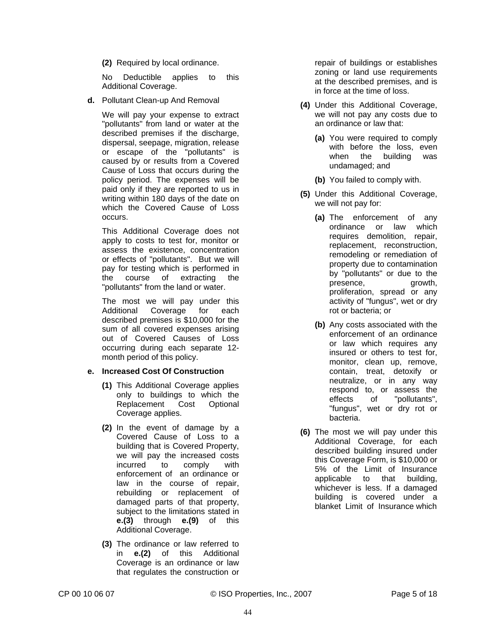**(2)** Required by local ordinance.

No Deductible applies to this Additional Coverage.

**d.** Pollutant Clean-up And Removal

We will pay your expense to extract "pollutants" from land or water at the described premises if the discharge, dispersal, seepage, migration, release or escape of the "pollutants" is caused by or results from a Covered Cause of Loss that occurs during the policy period. The expenses will be paid only if they are reported to us in writing within 180 days of the date on which the Covered Cause of Loss occurs.

This Additional Coverage does not apply to costs to test for, monitor or assess the existence, concentration or effects of "pollutants". But we will pay for testing which is performed in the course of extracting the "pollutants" from the land or water.

The most we will pay under this Additional Coverage for each described premises is \$10,000 for the sum of all covered expenses arising out of Covered Causes of Loss occurring during each separate 12 month period of this policy.

# **e. Increased Cost Of Construction**

- **(1)** This Additional Coverage applies only to buildings to which the Replacement Cost Optional Coverage applies.
- **(2)** In the event of damage by a Covered Cause of Loss to a building that is Covered Property, we will pay the increased costs incurred to comply with enforcement of an ordinance or law in the course of repair, rebuilding or replacement of damaged parts of that property, subject to the limitations stated in **e.(3)** through **e.(9)** of this Additional Coverage.
- **(3)** The ordinance or law referred to in **e.(2)** of this Additional Coverage is an ordinance or law that regulates the construction or

repair of buildings or establishes zoning or land use requirements at the described premises, and is in force at the time of loss.

- **(4)** Under this Additional Coverage, we will not pay any costs due to an ordinance or law that:
	- **(a)** You were required to comply with before the loss, even when the building was undamaged; and
	- **(b)** You failed to comply with.
- **(5)** Under this Additional Coverage, we will not pay for:
	- **(a)** The enforcement of any ordinance or law which requires demolition, repair, replacement, reconstruction, remodeling or remediation of property due to contamination by "pollutants" or due to the<br>presence, arrowth. presence. proliferation, spread or any activity of "fungus", wet or dry rot or bacteria; or
	- **(b)** Any costs associated with the enforcement of an ordinance or law which requires any insured or others to test for, monitor, clean up, remove, contain, treat, detoxify or neutralize, or in any way respond to, or assess the effects of "pollutants", "fungus", wet or dry rot or bacteria.
- **(6)** The most we will pay under this Additional Coverage, for each described building insured under this Coverage Form, is \$10,000 or 5% of the Limit of Insurance applicable to that building, whichever is less. If a damaged building is covered under a blanket Limit of Insurance which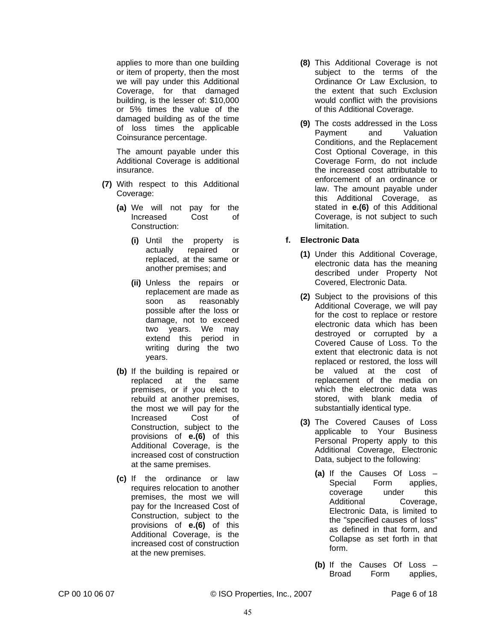applies to more than one building or item of property, then the most we will pay under this Additional Coverage, for that damaged building, is the lesser of: \$10,000 or 5% times the value of the damaged building as of the time of loss times the applicable Coinsurance percentage.

The amount payable under this Additional Coverage is additional insurance.

- **(7)** With respect to this Additional Coverage:
	- **(a)** We will not pay for the Increased Cost of Construction:
		- **(i)** Until the property is actually repaired or replaced, at the same or another premises; and
		- **(ii)** Unless the repairs or replacement are made as soon as reasonably possible after the loss or damage, not to exceed two years. We may extend this period in writing during the two years.
	- **(b)** If the building is repaired or replaced at the same premises, or if you elect to rebuild at another premises, the most we will pay for the Increased Cost of Construction, subject to the provisions of **e.(6)** of this Additional Coverage, is the increased cost of construction at the same premises.
	- **(c)** If the ordinance or law requires relocation to another premises, the most we will pay for the Increased Cost of Construction, subject to the provisions of **e.(6)** of this Additional Coverage, is the increased cost of construction at the new premises.
- **(8)** This Additional Coverage is not subject to the terms of the Ordinance Or Law Exclusion, to the extent that such Exclusion would conflict with the provisions of this Additional Coverage.
- **(9)** The costs addressed in the Loss Payment and Valuation Conditions, and the Replacement Cost Optional Coverage, in this Coverage Form, do not include the increased cost attributable to enforcement of an ordinance or law. The amount payable under this Additional Coverage, as stated in **e.(6)** of this Additional Coverage, is not subject to such limitation.
- **f. Electronic Data**
	- **(1)** Under this Additional Coverage, electronic data has the meaning described under Property Not Covered, Electronic Data.
	- **(2)** Subject to the provisions of this Additional Coverage, we will pay for the cost to replace or restore electronic data which has been destroyed or corrupted by a Covered Cause of Loss. To the extent that electronic data is not replaced or restored, the loss will be valued at the cost of replacement of the media on which the electronic data was stored, with blank media of substantially identical type.
	- **(3)** The Covered Causes of Loss applicable to Your Business Personal Property apply to this Additional Coverage, Electronic Data, subject to the following:
		- **(a)** If the Causes Of Loss Special Form applies, coverage under this Additional Coverage, Electronic Data, is limited to the "specified causes of loss" as defined in that form, and Collapse as set forth in that form.
		- **(b)** If the Causes Of Loss Broad Form applies,

CP 00 10 06 07 © ISO Properties, Inc., 2007 Page 6 of 18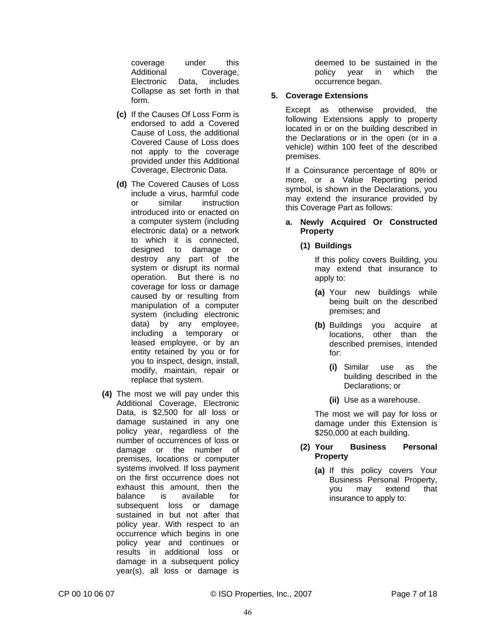coverage under this Additional Coverage, Electronic Data, includes Collapse as set forth in that form.

- **(c)** If the Causes Of Loss Form is endorsed to add a Covered Cause of Loss, the additional Covered Cause of Loss does not apply to the coverage provided under this Additional Coverage, Electronic Data.
- **(d)** The Covered Causes of Loss include a virus, harmful code or similar instruction introduced into or enacted on a computer system (including electronic data) or a network to which it is connected, designed to damage or destroy any part of the system or disrupt its normal operation. But there is no coverage for loss or damage caused by or resulting from manipulation of a computer system (including electronic data) by any employee, including a temporary or leased employee, or by an entity retained by you or for you to inspect, design, install, modify, maintain, repair or replace that system.
- **(4)** The most we will pay under this Additional Coverage, Electronic Data, is \$2,500 for all loss or damage sustained in any one policy year, regardless of the number of occurrences of loss or damage or the number of premises, locations or computer systems involved. If loss payment on the first occurrence does not exhaust this amount, then the balance is available for subsequent loss or damage sustained in but not after that policy year. With respect to an occurrence which begins in one policy year and continues or results in additional loss or damage in a subsequent policy year(s), all loss or damage is

deemed to be sustained in the policy year in which the occurrence began.

### **5. Coverage Extensions**

Except as otherwise provided, the following Extensions apply to property located in or on the building described in the Declarations or in the open (or in a vehicle) within 100 feet of the described premises.

If a Coinsurance percentage of 80% or more, or a Value Reporting period symbol, is shown in the Declarations, you may extend the insurance provided by this Coverage Part as follows:

#### **a. Newly Acquired Or Constructed Property**

**(1) Buildings** 

If this policy covers Building, you may extend that insurance to apply to:

- **(a)** Your new buildings while being built on the described premises; and
- **(b)** Buildings you acquire at locations, other than the described premises, intended for:
	- **(i)** Similar use as the building described in the Declarations; or
	- **(ii)** Use as a warehouse.

The most we will pay for loss or damage under this Extension is \$250,000 at each building.

- **(2) Your Business Personal Property** 
	- **(a)** If this policy covers Your Business Personal Property, you may extend that insurance to apply to: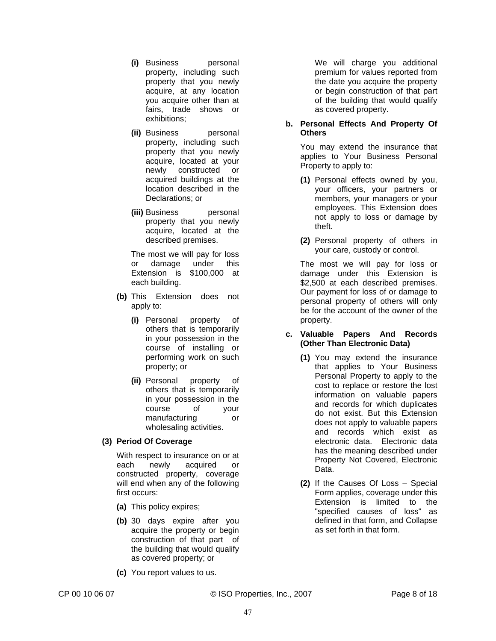- **(i)** Business personal property, including such property that you newly acquire, at any location you acquire other than at fairs, trade shows or exhibitions;
- **(ii)** Business personal property, including such property that you newly acquire, located at your newly constructed or acquired buildings at the location described in the Declarations; or
- **(iii)** Business personal property that you newly acquire, located at the described premises.

The most we will pay for loss or damage under this Extension is \$100,000 at each building.

- **(b)** This Extension does not apply to:
	- **(i)** Personal property of others that is temporarily in your possession in the course of installing or performing work on such property; or
	- **(ii)** Personal property of others that is temporarily in your possession in the course of your manufacturing or wholesaling activities.
- **(3) Period Of Coverage**

With respect to insurance on or at each newly acquired or constructed property, coverage will end when any of the following first occurs:

- **(a)** This policy expires;
- **(b)** 30 days expire after you acquire the property or begin construction of that part of the building that would qualify as covered property; or
- **(c)** You report values to us.

We will charge you additional premium for values reported from the date you acquire the property or begin construction of that part of the building that would qualify as covered property.

**b. Personal Effects And Property Of Others** 

You may extend the insurance that applies to Your Business Personal Property to apply to:

- **(1)** Personal effects owned by you, your officers, your partners or members, your managers or your employees. This Extension does not apply to loss or damage by theft.
- **(2)** Personal property of others in your care, custody or control.

The most we will pay for loss or damage under this Extension is \$2,500 at each described premises. Our payment for loss of or damage to personal property of others will only be for the account of the owner of the property.

#### **c. Valuable Papers And Records (Other Than Electronic Data)**

- **(1)** You may extend the insurance that applies to Your Business Personal Property to apply to the cost to replace or restore the lost information on valuable papers and records for which duplicates do not exist. But this Extension does not apply to valuable papers and records which exist as electronic data. Electronic data has the meaning described under Property Not Covered, Electronic Data.
- **(2)** If the Causes Of Loss Special Form applies, coverage under this Extension is limited to the "specified causes of loss" as defined in that form, and Collapse as set forth in that form.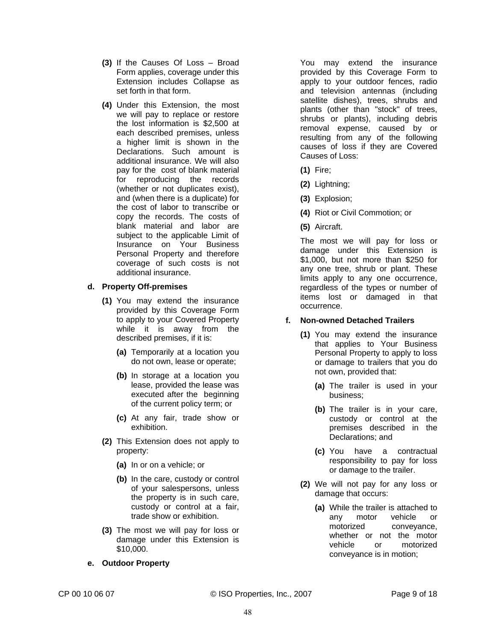- **(3)** If the Causes Of Loss Broad Form applies, coverage under this Extension includes Collapse as set forth in that form.
- **(4)** Under this Extension, the most we will pay to replace or restore the lost information is \$2,500 at each described premises, unless a higher limit is shown in the Declarations. Such amount is additional insurance. We will also pay for the cost of blank material for reproducing the records (whether or not duplicates exist), and (when there is a duplicate) for the cost of labor to transcribe or copy the records. The costs of blank material and labor are subject to the applicable Limit of Insurance on Your Business Personal Property and therefore coverage of such costs is not additional insurance.

#### **d. Property Off-premises**

- **(1)** You may extend the insurance provided by this Coverage Form to apply to your Covered Property while it is away from the described premises, if it is:
	- **(a)** Temporarily at a location you do not own, lease or operate;
	- **(b)** In storage at a location you lease, provided the lease was executed after the beginning of the current policy term; or
	- **(c)** At any fair, trade show or exhibition.
- **(2)** This Extension does not apply to property:
	- **(a)** In or on a vehicle; or
	- **(b)** In the care, custody or control of your salespersons, unless the property is in such care, custody or control at a fair, trade show or exhibition.
- **(3)** The most we will pay for loss or damage under this Extension is \$10,000.
- **e. Outdoor Property**

You may extend the insurance provided by this Coverage Form to apply to your outdoor fences, radio and television antennas (including satellite dishes), trees, shrubs and plants (other than "stock" of trees, shrubs or plants), including debris removal expense, caused by or resulting from any of the following causes of loss if they are Covered Causes of Loss:

- **(1)** Fire;
- **(2)** Lightning;
- **(3)** Explosion;
- **(4)** Riot or Civil Commotion; or
- **(5)** Aircraft.

The most we will pay for loss or damage under this Extension is \$1,000, but not more than \$250 for any one tree, shrub or plant. These limits apply to any one occurrence, regardless of the types or number of items lost or damaged in that occurrence.

#### **f. Non-owned Detached Trailers**

- **(1)** You may extend the insurance that applies to Your Business Personal Property to apply to loss or damage to trailers that you do not own, provided that:
	- **(a)** The trailer is used in your business;
	- **(b)** The trailer is in your care, custody or control at the premises described in the Declarations; and
	- **(c)** You have a contractual responsibility to pay for loss or damage to the trailer.
- **(2)** We will not pay for any loss or damage that occurs:
	- **(a)** While the trailer is attached to any motor vehicle or motorized conveyance, whether or not the motor vehicle or motorized conveyance is in motion;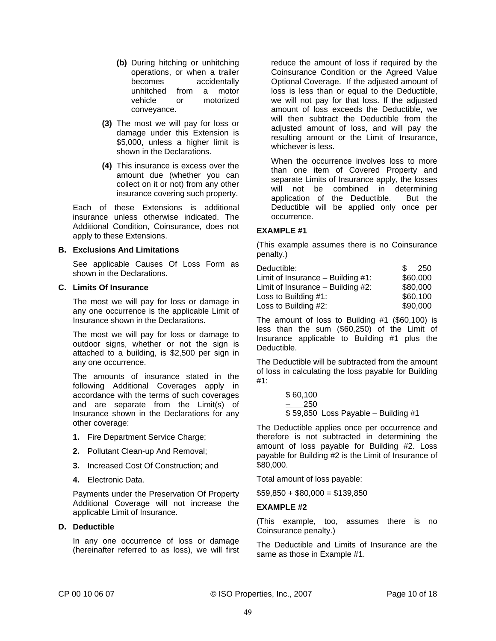- **(b)** During hitching or unhitching operations, or when a trailer becomes accidentally unhitched from a motor vehicle or motorized conveyance.
- **(3)** The most we will pay for loss or damage under this Extension is \$5,000, unless a higher limit is shown in the Declarations.
- **(4)** This insurance is excess over the amount due (whether you can collect on it or not) from any other insurance covering such property.

Each of these Extensions is additional insurance unless otherwise indicated. The Additional Condition, Coinsurance, does not apply to these Extensions.

#### **B. Exclusions And Limitations**

See applicable Causes Of Loss Form as shown in the Declarations.

#### **C. Limits Of Insurance**

The most we will pay for loss or damage in any one occurrence is the applicable Limit of Insurance shown in the Declarations.

The most we will pay for loss or damage to outdoor signs, whether or not the sign is attached to a building, is \$2,500 per sign in any one occurrence.

The amounts of insurance stated in the following Additional Coverages apply in accordance with the terms of such coverages and are separate from the Limit(s) of Insurance shown in the Declarations for any other coverage:

- **1.** Fire Department Service Charge;
- **2.** Pollutant Clean-up And Removal;
- **3.** Increased Cost Of Construction; and
- **4.** Electronic Data.

Payments under the Preservation Of Property Additional Coverage will not increase the applicable Limit of Insurance.

#### **D. Deductible**

In any one occurrence of loss or damage (hereinafter referred to as loss), we will first reduce the amount of loss if required by the Coinsurance Condition or the Agreed Value Optional Coverage. If the adjusted amount of loss is less than or equal to the Deductible, we will not pay for that loss. If the adjusted amount of loss exceeds the Deductible, we will then subtract the Deductible from the adjusted amount of loss, and will pay the resulting amount or the Limit of Insurance, whichever is less.

When the occurrence involves loss to more than one item of Covered Property and separate Limits of Insurance apply, the losses will not be combined in determining application of the Deductible. But the Deductible will be applied only once per occurrence.

#### **EXAMPLE #1**

(This example assumes there is no Coinsurance penalty.)

| Deductible:                         | 250<br>·SS |
|-------------------------------------|------------|
| Limit of Insurance $-$ Building #1: | \$60,000   |
| Limit of Insurance $-$ Building #2: | \$80,000   |
| Loss to Building #1:                | \$60,100   |
| Loss to Building #2:                | \$90,000   |

The amount of loss to Building #1 (\$60,100) is less than the sum (\$60,250) of the Limit of Insurance applicable to Building #1 plus the Deductible.

The Deductible will be subtracted from the amount of loss in calculating the loss payable for Building #1:

| \$60,100 |                                      |
|----------|--------------------------------------|
| $-250$   |                                      |
|          | $$59,850$ Loss Payable - Building #1 |

The Deductible applies once per occurrence and therefore is not subtracted in determining the amount of loss payable for Building #2. Loss payable for Building #2 is the Limit of Insurance of \$80,000.

Total amount of loss payable:

 $$59,850 + $80,000 = $139,850$ 

#### **EXAMPLE #2**

(This example, too, assumes there is no Coinsurance penalty.)

The Deductible and Limits of Insurance are the same as those in Example #1.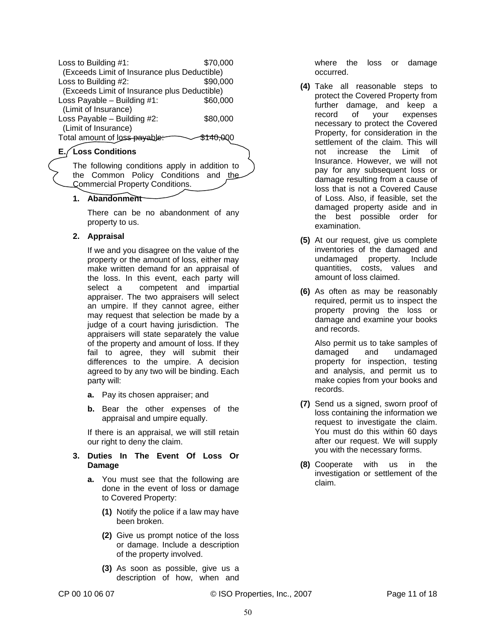| Loss to Building #1:                         | \$70,000 |
|----------------------------------------------|----------|
| (Exceeds Limit of Insurance plus Deductible) |          |
| Loss to Building #2:                         | \$90,000 |
| (Exceeds Limit of Insurance plus Deductible) |          |
| Loss Payable $-$ Building #1:                | \$60,000 |
| (Limit of Insurance)                         |          |
| Loss Payable - Building #2:                  | \$80,000 |
| (Limit of Insurance)                         |          |
| Total amount of loss-payable:                |          |
|                                              |          |

# **E. Loss Conditions**

The following conditions apply in addition to the Common Policy Conditions and the Commercial Property Conditions.

# **1. Abandonment**

There can be no abandonment of any property to us.

#### **2. Appraisal**

If we and you disagree on the value of the property or the amount of loss, either may make written demand for an appraisal of the loss. In this event, each party will select a competent and impartial appraiser. The two appraisers will select an umpire. If they cannot agree, either may request that selection be made by a judge of a court having jurisdiction. The appraisers will state separately the value of the property and amount of loss. If they fail to agree, they will submit their differences to the umpire. A decision agreed to by any two will be binding. Each party will:

- **a.** Pay its chosen appraiser; and
- **b.** Bear the other expenses of the appraisal and umpire equally.

If there is an appraisal, we will still retain our right to deny the claim.

- **3. Duties In The Event Of Loss Or Damage**
	- **a.** You must see that the following are done in the event of loss or damage to Covered Property:
		- **(1)** Notify the police if a law may have been broken.
		- **(2)** Give us prompt notice of the loss or damage. Include a description of the property involved.
		- **(3)** As soon as possible, give us a description of how, when and

where the loss or damage occurred.

- **(4)** Take all reasonable steps to protect the Covered Property from further damage, and keep a record of your expenses necessary to protect the Covered Property, for consideration in the settlement of the claim. This will not increase the Limit of Insurance. However, we will not pay for any subsequent loss or damage resulting from a cause of loss that is not a Covered Cause of Loss. Also, if feasible, set the damaged property aside and in the best possible order for examination.
- **(5)** At our request, give us complete inventories of the damaged and undamaged property. Include quantities, costs, values and amount of loss claimed.
- **(6)** As often as may be reasonably required, permit us to inspect the property proving the loss or damage and examine your books and records.

Also permit us to take samples of damaged and undamaged property for inspection, testing and analysis, and permit us to make copies from your books and records.

- **(7)** Send us a signed, sworn proof of loss containing the information we request to investigate the claim. You must do this within 60 days after our request. We will supply you with the necessary forms.
- **(8)** Cooperate with us in the investigation or settlement of the claim.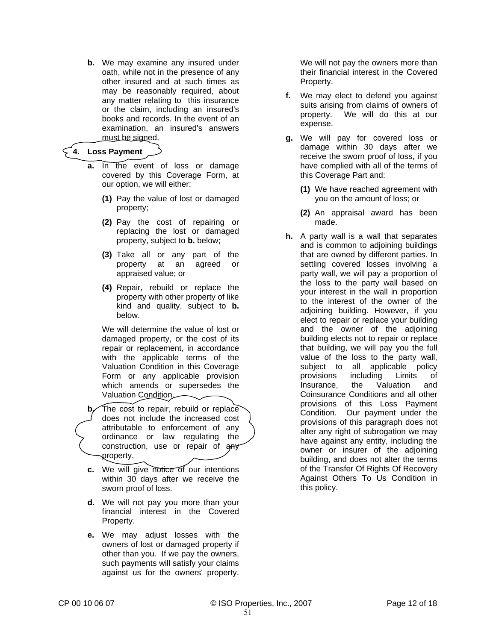**b.** We may examine any insured under oath, while not in the presence of any other insured and at such times as may be reasonably required, about any matter relating to this insurance or the claim, including an insured's books and records. In the event of an examination, an insured's answers must be signed.

# **4. Loss Payment**

- **a.** In the event of loss or damage covered by this Coverage Form, at our option, we will either:
	- **(1)** Pay the value of lost or damaged property;
	- **(2)** Pay the cost of repairing or replacing the lost or damaged property, subject to **b.** below;
	- **(3)** Take all or any part of the property at an agreed or appraised value; or
	- **(4)** Repair, rebuild or replace the property with other property of like kind and quality, subject to **b.** below.

We will determine the value of lost or damaged property, or the cost of its repair or replacement, in accordance with the applicable terms of the Valuation Condition in this Coverage Form or any applicable provision which amends or supersedes the Valuation Condition.

**b**, The cost to repair, rebuild or replace does not include the increased cost attributable to enforcement of any ordinance or law regulating the construction, use or repair of any property.

- **c.** We will give notice of our intentions within 30 days after we receive the sworn proof of loss.
- **d.** We will not pay you more than your financial interest in the Covered Property.
- **e.** We may adjust losses with the owners of lost or damaged property if other than you. If we pay the owners, such payments will satisfy your claims against us for the owners' property.

We will not pay the owners more than their financial interest in the Covered Property.

- **f.** We may elect to defend you against suits arising from claims of owners of property. We will do this at our expense.
- **g.** We will pay for covered loss or damage within 30 days after we receive the sworn proof of loss, if you have complied with all of the terms of this Coverage Part and:
	- **(1)** We have reached agreement with you on the amount of loss; or
	- **(2)** An appraisal award has been made.
- **h.** A party wall is a wall that separates and is common to adjoining buildings that are owned by different parties. In settling covered losses involving a party wall, we will pay a proportion of the loss to the party wall based on your interest in the wall in proportion to the interest of the owner of the adjoining building. However, if you elect to repair or replace your building and the owner of the adjoining building elects not to repair or replace that building, we will pay you the full value of the loss to the party wall, subject to all applicable policy provisions including Limits of Insurance, the Valuation and Coinsurance Conditions and all other provisions of this Loss Payment Condition. Our payment under the provisions of this paragraph does not alter any right of subrogation we may have against any entity, including the owner or insurer of the adjoining building, and does not alter the terms of the Transfer Of Rights Of Recovery Against Others To Us Condition in this policy.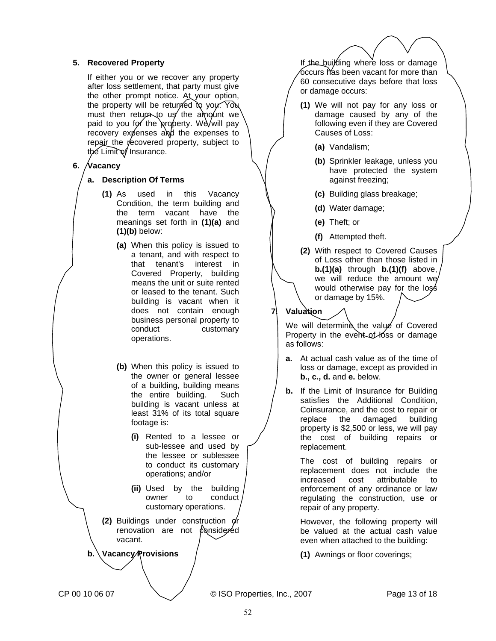#### **5. Recovered Property**

If either you or we recover any property after loss settlement, that party must give the other prompt notice. At your option, the property will be returged to you. You must then return to us the amount we paid to you for the property. We will pay recovery expenses and the expenses to repair the recovered property, subject to the Limit of Insurance.

#### **6. Vacancy**

#### **a. Description Of Terms**

- **(1)** As used in this Vacancy Condition, the term building and the term vacant have the meanings set forth in **(1)(a)** and **(1)(b)** below:
	- **(a)** When this policy is issued to a tenant, and with respect to that tenant's interest in Covered Property, building means the unit or suite rented or leased to the tenant. Such building is vacant when it does not contain enough business personal property to conduct customary operations.
	- **(b)** When this policy is issued to the owner or general lessee of a building, building means the entire building. Such building is vacant unless at least 31% of its total square footage is:
		- **(i)** Rented to a lessee or sub-lessee and used by the lessee or sublessee to conduct its customary operations; and/or
		- **(ii)** Used by the building owner to conduct customary operations.
- **(2)** Buildings under construction or renovation are not  $\ell$  onside red vacant.

**b. Vacancy Provisions** 

If the building where loss or damage occurs has been vacant for more than 60 consecutive days before that loss or damage occurs:

- **(1)** We will not pay for any loss or damage caused by any of the following even if they are Covered Causes of Loss:
	- **(a)** Vandalism;
	- **(b)** Sprinkler leakage, unless you have protected the system against freezing;
	- **(c)** Building glass breakage;
	- **(d)** Water damage;
	- **(e)** Theft; or
	- **(f)** Attempted theft.
- **(2)** With respect to Covered Causes of Loss other than those listed in **b.(1)(a)** through **b.(1)(f)** above, we will reduce the amount we would otherwise pay for the loss or damage by 15%.

# **7. Valuation**

We will determine the value of Covered Property in the event of loss or damage as follows:

- **a.** At actual cash value as of the time of loss or damage, except as provided in **b., c., d.** and **e.** below.
- **b.** If the Limit of Insurance for Building satisfies the Additional Condition, Coinsurance, and the cost to repair or replace the damaged building property is \$2,500 or less, we will pay the cost of building repairs or replacement.

The cost of building repairs or replacement does not include the increased cost attributable to enforcement of any ordinance or law regulating the construction, use or repair of any property.

However, the following property will be valued at the actual cash value even when attached to the building:

**(1)** Awnings or floor coverings;

CP 00 10 06 07  $\bigvee$   $\bigvee$  © ISO Properties, Inc., 2007 Page 13 of 18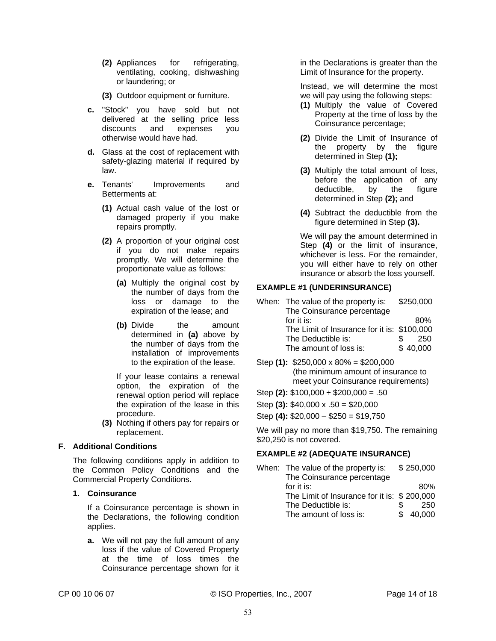- **(2)** Appliances for refrigerating, ventilating, cooking, dishwashing or laundering; or
- **(3)** Outdoor equipment or furniture.
- **c.** "Stock" you have sold but not delivered at the selling price less discounts and expenses you otherwise would have had.
- **d.** Glass at the cost of replacement with safety-glazing material if required by law.
- **e.** Tenants' Improvements and Betterments at:
	- **(1)** Actual cash value of the lost or damaged property if you make repairs promptly.
	- **(2)** A proportion of your original cost if you do not make repairs promptly. We will determine the proportionate value as follows:
		- **(a)** Multiply the original cost by the number of days from the loss or damage to the expiration of the lease; and
		- **(b)** Divide the amount determined in **(a)** above by the number of days from the installation of improvements to the expiration of the lease.

If your lease contains a renewal option, the expiration of the renewal option period will replace the expiration of the lease in this procedure.

**(3)** Nothing if others pay for repairs or replacement.

# **F. Additional Conditions**

The following conditions apply in addition to the Common Policy Conditions and the Commercial Property Conditions.

# **1. Coinsurance**

If a Coinsurance percentage is shown in the Declarations, the following condition applies.

**a.** We will not pay the full amount of any loss if the value of Covered Property at the time of loss times the Coinsurance percentage shown for it in the Declarations is greater than the Limit of Insurance for the property.

Instead, we will determine the most we will pay using the following steps:

- **(1)** Multiply the value of Covered Property at the time of loss by the Coinsurance percentage;
- **(2)** Divide the Limit of Insurance of the property by the figure determined in Step **(1);**
- **(3)** Multiply the total amount of loss, before the application of any<br>deductible. by the figure deductible, by the figure determined in Step **(2);** and
- **(4)** Subtract the deductible from the figure determined in Step **(3).**

We will pay the amount determined in Step **(4)** or the limit of insurance, whichever is less. For the remainder, you will either have to rely on other insurance or absorb the loss yourself.

# **EXAMPLE #1 (UNDERINSURANCE)**

| When: The value of the property is:         | \$250,000 |
|---------------------------------------------|-----------|
| The Coinsurance percentage                  |           |
| for it is:                                  | 80%       |
| The Limit of Insurance for it is: \$100,000 |           |
| The Deductible is:                          | 250       |
| The amount of loss is:                      | \$40,000  |

- Step **(1):** \$250,000 x 80% = \$200,000 (the minimum amount of insurance to meet your Coinsurance requirements)
- Step **(2):** \$100,000 ÷ \$200,000 = .50
- Step **(3):** \$40,000 x .50 = \$20,000
- Step **(4):** \$20,000 \$250 = \$19,750

We will pay no more than \$19,750. The remaining \$20,250 is not covered.

# **EXAMPLE #2 (ADEQUATE INSURANCE)**

| When: The value of the property is:         | \$250,000 |
|---------------------------------------------|-----------|
| The Coinsurance percentage                  |           |
| for it is:                                  | 80%       |
| The Limit of Insurance for it is: \$200,000 |           |
| The Deductible is:                          | 250       |
| The amount of loss is:                      | \$40,000  |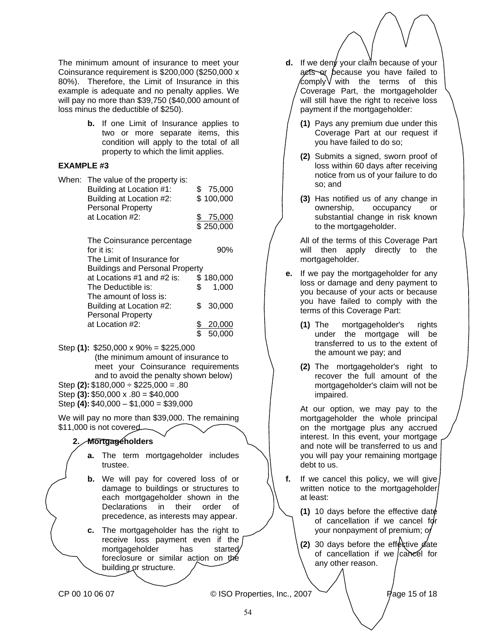The minimum amount of insurance to meet your Coinsurance requirement is \$200,000 (\$250,000 x 80%). Therefore, the Limit of Insurance in this example is adequate and no penalty applies. We will pay no more than \$39,750 (\$40,000 amount of loss minus the deductible of \$250).

> **b.** If one Limit of Insurance applies to two or more separate items, this condition will apply to the total of all property to which the limit applies.

# **EXAMPLE #3**

| When: | The value of the property is:          |              |
|-------|----------------------------------------|--------------|
|       | Building at Location #1:               | \$<br>75,000 |
|       | Building at Location #2:               | \$100,000    |
|       | <b>Personal Property</b>               |              |
|       | at Location #2:                        | 75,000       |
|       |                                        | \$250,000    |
|       | The Coinsurance percentage             |              |
|       | for it is:                             | $90\%$       |
|       | The Limit of Insurance for             |              |
|       | <b>Buildings and Personal Property</b> |              |
|       | at Locations #1 and #2 is:             | \$180,000    |
|       | The Deductible is:                     | \$<br>1,000  |
|       | The amount of loss is:                 |              |
|       | Building at Location #2:               | \$<br>30,000 |
|       | <b>Personal Property</b>               |              |
|       | at Location #2:                        | 20,000       |
|       |                                        | \$<br>50,000 |

- Step **(1):** \$250,000 x 90% = \$225,000 (the minimum amount of insurance to meet your Coinsurance requirements and to avoid the penalty shown below) Step **(2):** \$180,000 ÷ \$225,000 = .80
- Step **(3):** \$50,000 x .80 = \$40,000
- Step **(4):** \$40,000 \$1,000 = \$39,000

We will pay no more than \$39,000. The remaining \$11,000 is not covered.

# **2. Mortgageholders**

- **a.** The term mortgageholder includes trustee.
- **b.** We will pay for covered loss of or damage to buildings or structures to each mortgageholder shown in the Declarations in their order of precedence, as interests may appear.
- **c.** The mortgageholder has the right to receive loss payment even if the mortgageholder has started/ foreclosure or similar action on the building or structure.
- **d.** If we den*y* your claim because of your acts or because you have failed to  $\mathsf{complexV}$  with the terms of this Coverage Part, the mortgageholder will still have the right to receive loss payment if the mortgageholder:
	- **(1)** Pays any premium due under this Coverage Part at our request if you have failed to do so;
	- **(2)** Submits a signed, sworn proof of loss within 60 days after receiving notice from us of your failure to do so; and
	- **(3)** Has notified us of any change in ownership, occupancy or substantial change in risk known to the mortgageholder.

All of the terms of this Coverage Part will then apply directly to the mortgageholder.

- **e.** If we pay the mortgageholder for any loss or damage and deny payment to you because of your acts or because you have failed to comply with the terms of this Coverage Part:
	- **(1)** The mortgageholder's rights under the mortgage will be transferred to us to the extent of the amount we pay; and
	- **(2)** The mortgageholder's right to recover the full amount of the mortgageholder's claim will not be impaired.

At our option, we may pay to the mortgageholder the whole principal on the mortgage plus any accrued interest. In this event, your mortgage and note will be transferred to us and you will pay your remaining mortgage debt to us.

- **f.** If we cancel this policy, we will give written notice to the mortgageholder at least:
	- **(1)** 10 days before the effective date of cancellation if we cancel  $f$ or your nonpayment of premium; or
	- **(2)** 30 days before the effective date of cancellation if we cancel for any other reason.

CP 00 10 06 07  $\degree$  C ISO Properties, Inc., 2007  $\degree$  \ Fage 15 of 18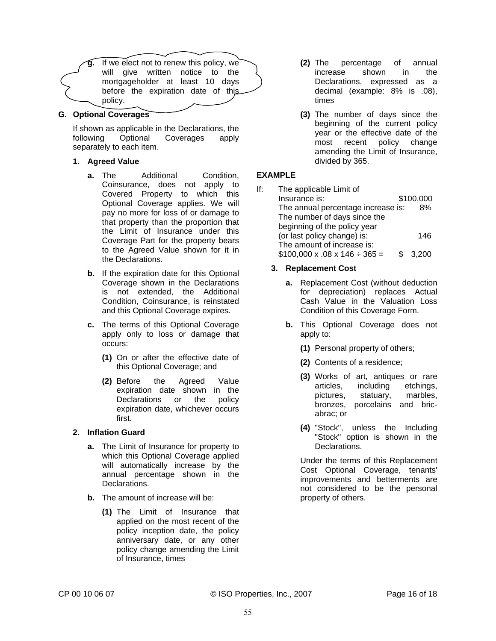**g.** If we elect not to renew this policy, we will give written notice to the mortgageholder at least 10 days before the expiration date of this policy.

### **G. Optional Coverages**

If shown as applicable in the Declarations, the following Optional Coverages apply separately to each item.

#### **1. Agreed Value**

- **a.** The Additional Condition, Coinsurance, does not apply to Covered Property to which this Optional Coverage applies. We will pay no more for loss of or damage to that property than the proportion that the Limit of Insurance under this Coverage Part for the property bears to the Agreed Value shown for it in the Declarations.
- **b.** If the expiration date for this Optional Coverage shown in the Declarations is not extended, the Additional Condition, Coinsurance, is reinstated and this Optional Coverage expires.
- **c.** The terms of this Optional Coverage apply only to loss or damage that occurs:
	- **(1)** On or after the effective date of this Optional Coverage; and
	- **(2)** Before the Agreed Value expiration date shown in the Declarations or the policy expiration date, whichever occurs first.

# **2. Inflation Guard**

- **a.** The Limit of Insurance for property to which this Optional Coverage applied will automatically increase by the annual percentage shown in the Declarations.
- **b.** The amount of increase will be:
	- **(1)** The Limit of Insurance that applied on the most recent of the policy inception date, the policy anniversary date, or any other policy change amending the Limit of Insurance, times
- **(2)** The percentage of annual increase shown in the Declarations, expressed as a decimal (example: 8% is .08), times
- **(3)** The number of days since the beginning of the current policy year or the effective date of the most recent policy change amending the Limit of Insurance, divided by 365.

#### **EXAMPLE**

- If: The applicable Limit of Insurance is: \$100,000 The annual percentage increase is: 8% The number of days since the beginning of the policy year (or last policy change) is: 146 The amount of increase is:  $$100,000 \times .08 \times 146 \div 365 = $3,200$ 
	- **3. Replacement Cost**
		- **a.** Replacement Cost (without deduction for depreciation) replaces Actual Cash Value in the Valuation Loss Condition of this Coverage Form.
		- **b.** This Optional Coverage does not apply to:
			- **(1)** Personal property of others;
			- **(2)** Contents of a residence;
			- **(3)** Works of art, antiques or rare articles, including etchings, pictures, statuary, marbles, bronzes, porcelains and bricabrac; or
			- **(4)** "Stock", unless the Including "Stock" option is shown in the Declarations.

Under the terms of this Replacement Cost Optional Coverage, tenants' improvements and betterments are not considered to be the personal property of others.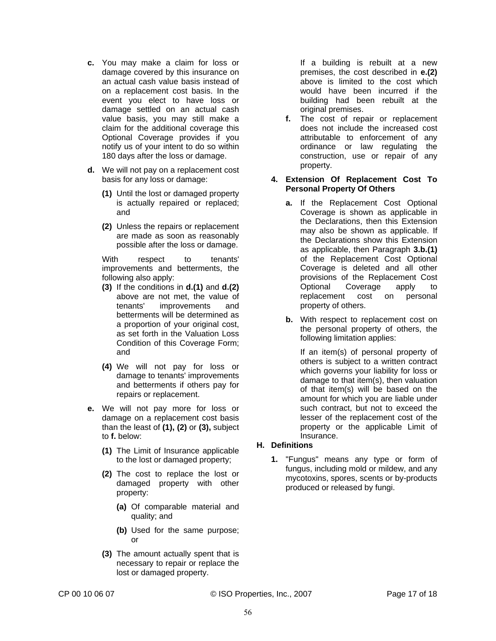- **c.** You may make a claim for loss or damage covered by this insurance on an actual cash value basis instead of on a replacement cost basis. In the event you elect to have loss or damage settled on an actual cash value basis, you may still make a claim for the additional coverage this Optional Coverage provides if you notify us of your intent to do so within 180 days after the loss or damage.
- **d.** We will not pay on a replacement cost basis for any loss or damage:
	- **(1)** Until the lost or damaged property is actually repaired or replaced; and
	- **(2)** Unless the repairs or replacement are made as soon as reasonably possible after the loss or damage.

With respect to tenants' improvements and betterments, the following also apply:

- **(3)** If the conditions in **d.(1)** and **d.(2)** above are not met, the value of tenants' improvements and betterments will be determined as a proportion of your original cost, as set forth in the Valuation Loss Condition of this Coverage Form; and
- **(4)** We will not pay for loss or damage to tenants' improvements and betterments if others pay for repairs or replacement.
- **e.** We will not pay more for loss or damage on a replacement cost basis than the least of **(1), (2)** or **(3),** subject to **f.** below:
	- **(1)** The Limit of Insurance applicable to the lost or damaged property;
	- **(2)** The cost to replace the lost or damaged property with other property:
		- **(a)** Of comparable material and quality; and
		- **(b)** Used for the same purpose; or
	- **(3)** The amount actually spent that is necessary to repair or replace the lost or damaged property.

If a building is rebuilt at a new premises, the cost described in **e.(2)** above is limited to the cost which would have been incurred if the building had been rebuilt at the original premises.

**f.** The cost of repair or replacement does not include the increased cost attributable to enforcement of any ordinance or law regulating the construction, use or repair of any property.

#### **4. Extension Of Replacement Cost To Personal Property Of Others**

- **a.** If the Replacement Cost Optional Coverage is shown as applicable in the Declarations, then this Extension may also be shown as applicable. If the Declarations show this Extension as applicable, then Paragraph **3.b.(1)** of the Replacement Cost Optional Coverage is deleted and all other provisions of the Replacement Cost Optional Coverage apply to replacement cost on personal property of others.
- **b.** With respect to replacement cost on the personal property of others, the following limitation applies:

If an item(s) of personal property of others is subject to a written contract which governs your liability for loss or damage to that item(s), then valuation of that item(s) will be based on the amount for which you are liable under such contract, but not to exceed the lesser of the replacement cost of the property or the applicable Limit of Insurance.

# **H. Definitions**

**1.** "Fungus" means any type or form of fungus, including mold or mildew, and any mycotoxins, spores, scents or by-products produced or released by fungi.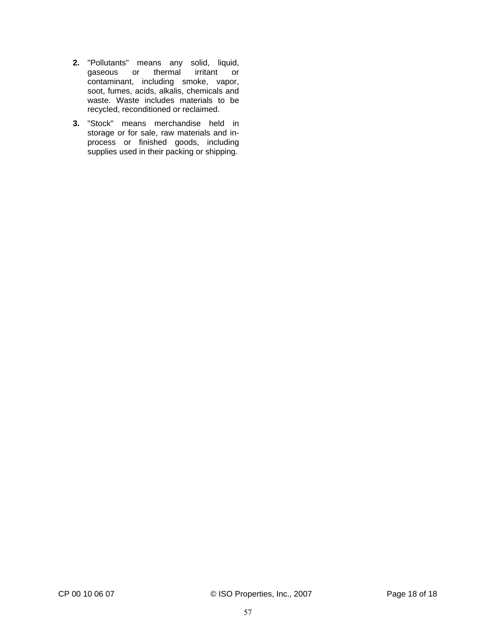- **2.** "Pollutants" means any solid, liquid,<br>gaseous or thermal irritant or gaseous or thermal contaminant, including smoke, vapor, soot, fumes, acids, alkalis, chemicals and waste. Waste includes materials to be recycled, reconditioned or reclaimed.
- **3.** "Stock" means merchandise held in storage or for sale, raw materials and inprocess or finished goods, including supplies used in their packing or shipping.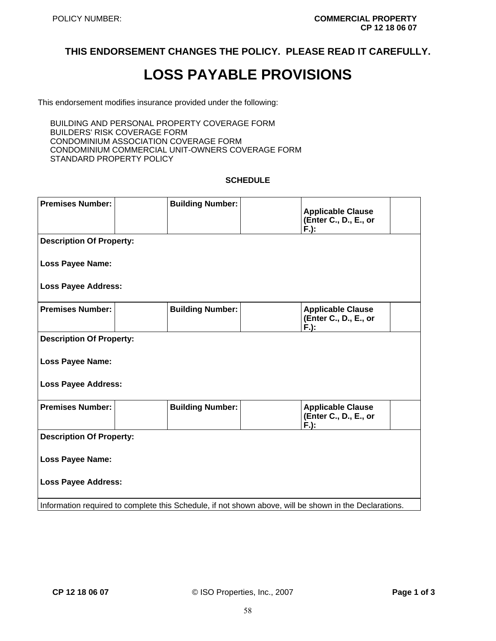**THIS ENDORSEMENT CHANGES THE POLICY. PLEASE READ IT CAREFULLY.** 

# **LOSS PAYABLE PROVISIONS**

This endorsement modifies insurance provided under the following:

BUILDING AND PERSONAL PROPERTY COVERAGE FORM BUILDERS' RISK COVERAGE FORM CONDOMINIUM ASSOCIATION COVERAGE FORM CONDOMINIUM COMMERCIAL UNIT-OWNERS COVERAGE FORM STANDARD PROPERTY POLICY

### **SCHEDULE**

| <b>Premises Number:</b>         | <b>Building Number:</b> | <b>Applicable Clause</b><br>(Enter C., D., E., or<br>$F.$ ):                                           |  |
|---------------------------------|-------------------------|--------------------------------------------------------------------------------------------------------|--|
| <b>Description Of Property:</b> |                         |                                                                                                        |  |
| <b>Loss Payee Name:</b>         |                         |                                                                                                        |  |
| <b>Loss Payee Address:</b>      |                         |                                                                                                        |  |
| <b>Premises Number:</b>         | <b>Building Number:</b> | <b>Applicable Clause</b><br>(Enter C., D., E., or<br>$F.$ ):                                           |  |
| <b>Description Of Property:</b> |                         |                                                                                                        |  |
| <b>Loss Payee Name:</b>         |                         |                                                                                                        |  |
| <b>Loss Payee Address:</b>      |                         |                                                                                                        |  |
| <b>Premises Number:</b>         | <b>Building Number:</b> | <b>Applicable Clause</b><br>(Enter C., D., E., or<br>$F.$ ):                                           |  |
| <b>Description Of Property:</b> |                         |                                                                                                        |  |
| <b>Loss Payee Name:</b>         |                         |                                                                                                        |  |
| <b>Loss Payee Address:</b>      |                         |                                                                                                        |  |
|                                 |                         | Information required to complete this Schedule, if not shown above, will be shown in the Declarations. |  |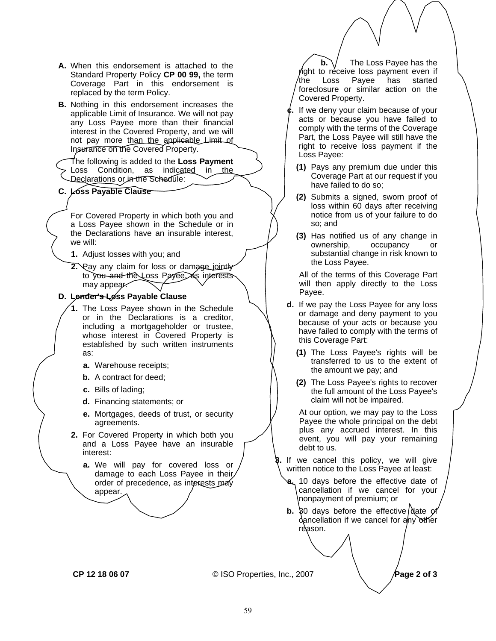- **A.** When this endorsement is attached to the Standard Property Policy **CP 00 99,** the term Coverage Part in this endorsement is replaced by the term Policy.
- **B.** Nothing in this endorsement increases the applicable Limit of Insurance. We will not pay any Loss Payee more than their financial interest in the Covered Property, and we will not pay more than the applicable Limit of Insurance on the Covered Property.

The following is added to the **Loss Payment** Loss Condition, as indicated in the Declarations or in the Schedule:

#### **C. Loss Payable Clause**

For Covered Property in which both you and a Loss Payee shown in the Schedule or in the Declarations have an insurable interest, we will:

- **1.** Adjust losses with you; and
- **2.** Pay any claim for loss or damage jointly to you and the Loss Payee, as interests may appear.

**D. Lender's Loss Payable Clause** 

- **1.** The Loss Payee shown in the Schedule or in the Declarations is a creditor, including a mortgageholder or trustee, whose interest in Covered Property is established by such written instruments as:
	- **a.** Warehouse receipts;
	- **b.** A contract for deed;
	- **c.** Bills of lading;
	- **d.** Financing statements; or
	- **e.** Mortgages, deeds of trust, or security agreements.
- **2.** For Covered Property in which both you and a Loss Payee have an insurable interest:
	- **a.** We will pay for covered loss or damage to each Loss Payee in their order of precedence, as interests may appear.

have failed to comply with the terms of this Coverage Part:  **(1)** The Loss Payee's rights will be

transferred to us to the extent of the amount we pay; and

**b.**  $\sqrt{}$  The Loss Payee has the right to receive loss payment even if the Loss Payee has started foreclosure or similar action on the

If we deny your claim because of your acts or because you have failed to comply with the terms of the Coverage Part, the Loss Payee will still have the right to receive loss payment if the

 **(1)** Pays any premium due under this Coverage Part at our request if you

 **(2)** Submits a signed, sworn proof of loss within 60 days after receiving notice from us of your failure to do

 **(3)** Has notified us of any change in ownership, occupancy or substantial change in risk known to

All of the terms of this Coverage Part will then apply directly to the Loss

**d.** If we pay the Loss Payee for any loss or damage and deny payment to you because of your acts or because you

have failed to do so;

the Loss Payee.

Covered Property.

Loss Payee:

so; and

Payee.

 **(2)** The Loss Payee's rights to recover the full amount of the Loss Payee's claim will not be impaired.

At our option, we may pay to the Loss Payee the whole principal on the debt plus any accrued interest. In this event, you will pay your remaining debt to us.

- If we cancel this policy, we will give written notice to the Loss Payee at least:
- **a.** 10 days before the effective date of cancellation if we cancel for your nonpayment of premium; or
- **b.** 80 days before the effective date of dancellation if we cancel for any other reason.

**CP 12 18 06 07** © ISO Properties, Inc., 2007 **Page 2 of 3**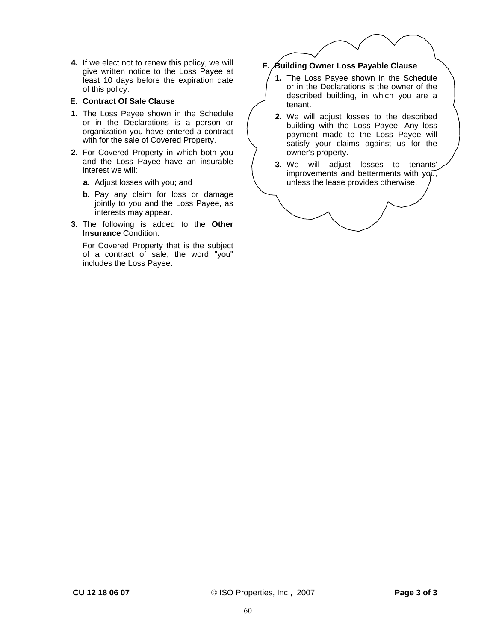**4.** If we elect not to renew this policy, we will give written notice to the Loss Payee at least 10 days before the expiration date of this policy.

#### **E. Contract Of Sale Clause**

- **1.** The Loss Payee shown in the Schedule or in the Declarations is a person or organization you have entered a contract with for the sale of Covered Property.
- **2.** For Covered Property in which both you and the Loss Payee have an insurable interest we will:
	- **a.** Adjust losses with you; and
	- **b.** Pay any claim for loss or damage jointly to you and the Loss Payee, as interests may appear.
- **3.** The following is added to the **Other Insurance** Condition:

For Covered Property that is the subject of a contract of sale, the word "you" includes the Loss Payee.

# **F. Building Owner Loss Payable Clause**

- **1.** The Loss Payee shown in the Schedule or in the Declarations is the owner of the described building, in which you are a tenant.
- **2.** We will adjust losses to the described building with the Loss Payee. Any loss payment made to the Loss Payee will satisfy your claims against us for the owner's property.
- **3.** We will adjust losses to tenants' improvements and betterments with you, unless the lease provides otherwise.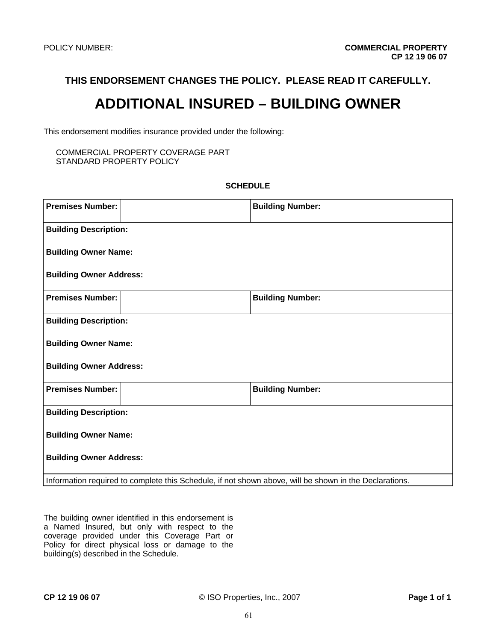**THIS ENDORSEMENT CHANGES THE POLICY. PLEASE READ IT CAREFULLY.** 

# **ADDITIONAL INSURED – BUILDING OWNER**

This endorsement modifies insurance provided under the following:

COMMERCIAL PROPERTY COVERAGE PART STANDARD PROPERTY POLICY

#### **SCHEDULE**

| <b>Premises Number:</b>                                                                                |  | <b>Building Number:</b> |  |  |
|--------------------------------------------------------------------------------------------------------|--|-------------------------|--|--|
| <b>Building Description:</b>                                                                           |  |                         |  |  |
| <b>Building Owner Name:</b>                                                                            |  |                         |  |  |
| <b>Building Owner Address:</b>                                                                         |  |                         |  |  |
| <b>Premises Number:</b>                                                                                |  | <b>Building Number:</b> |  |  |
| <b>Building Description:</b>                                                                           |  |                         |  |  |
| <b>Building Owner Name:</b>                                                                            |  |                         |  |  |
| <b>Building Owner Address:</b>                                                                         |  |                         |  |  |
| <b>Premises Number:</b>                                                                                |  | <b>Building Number:</b> |  |  |
| <b>Building Description:</b>                                                                           |  |                         |  |  |
| <b>Building Owner Name:</b>                                                                            |  |                         |  |  |
| <b>Building Owner Address:</b>                                                                         |  |                         |  |  |
| Information required to complete this Schedule, if not shown above, will be shown in the Declarations. |  |                         |  |  |

The building owner identified in this endorsement is a Named Insured, but only with respect to the coverage provided under this Coverage Part or Policy for direct physical loss or damage to the building(s) described in the Schedule.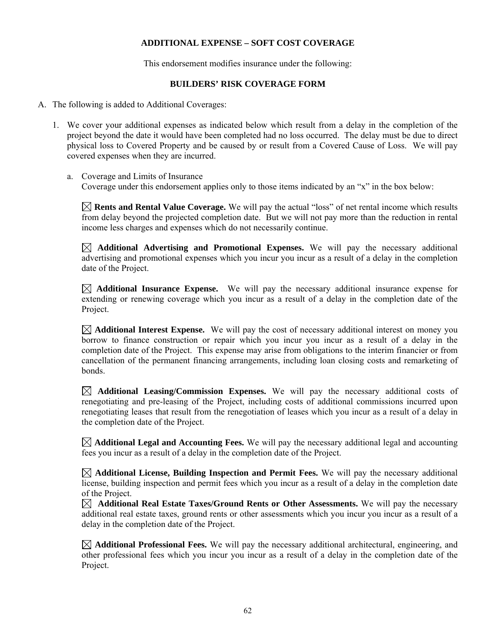# **ADDITIONAL EXPENSE – SOFT COST COVERAGE**

This endorsement modifies insurance under the following:

# **BUILDERS' RISK COVERAGE FORM**

- A. The following is added to Additional Coverages:
	- 1. We cover your additional expenses as indicated below which result from a delay in the completion of the project beyond the date it would have been completed had no loss occurred. The delay must be due to direct physical loss to Covered Property and be caused by or result from a Covered Cause of Loss. We will pay covered expenses when they are incurred.
		- a. Coverage and Limits of Insurance Coverage under this endorsement applies only to those items indicated by an "x" in the box below:

 $\boxtimes$  **Rents and Rental Value Coverage.** We will pay the actual "loss" of net rental income which results from delay beyond the projected completion date. But we will not pay more than the reduction in rental income less charges and expenses which do not necessarily continue.

 $\boxtimes$  **Additional Advertising and Promotional Expenses.** We will pay the necessary additional advertising and promotional expenses which you incur you incur as a result of a delay in the completion date of the Project.

 $\boxtimes$  **Additional Insurance Expense.** We will pay the necessary additional insurance expense for extending or renewing coverage which you incur as a result of a delay in the completion date of the Project.

 $\boxtimes$  **Additional Interest Expense.** We will pay the cost of necessary additional interest on money you borrow to finance construction or repair which you incur you incur as a result of a delay in the completion date of the Project. This expense may arise from obligations to the interim financier or from cancellation of the permanent financing arrangements, including loan closing costs and remarketing of bonds.

 $\boxtimes$  **Additional Leasing/Commission Expenses.** We will pay the necessary additional costs of renegotiating and pre-leasing of the Project, including costs of additional commissions incurred upon renegotiating leases that result from the renegotiation of leases which you incur as a result of a delay in the completion date of the Project.

 $\boxtimes$  **Additional Legal and Accounting Fees.** We will pay the necessary additional legal and accounting fees you incur as a result of a delay in the completion date of the Project.

 **Additional License, Building Inspection and Permit Fees.** We will pay the necessary additional license, building inspection and permit fees which you incur as a result of a delay in the completion date of the Project.

 **Additional Real Estate Taxes/Ground Rents or Other Assessments.** We will pay the necessary additional real estate taxes, ground rents or other assessments which you incur you incur as a result of a delay in the completion date of the Project.

 **Additional Professional Fees.** We will pay the necessary additional architectural, engineering, and other professional fees which you incur you incur as a result of a delay in the completion date of the Project.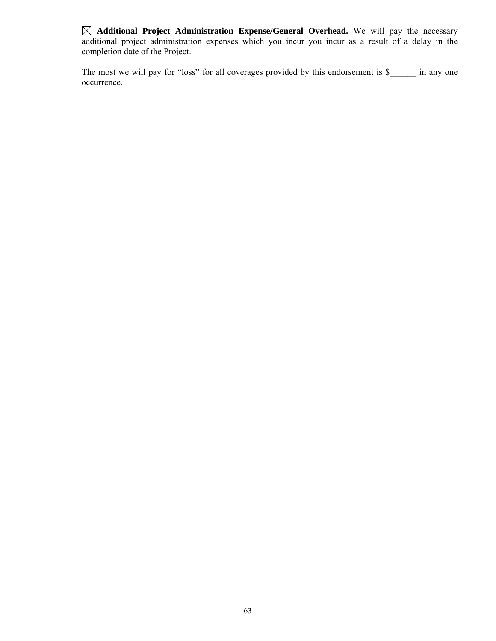**Additional Project Administration Expense/General Overhead.** We will pay the necessary additional project administration expenses which you incur you incur as a result of a delay in the completion date of the Project.

The most we will pay for "loss" for all coverages provided by this endorsement is \$ \_\_\_\_ in any one occurrence.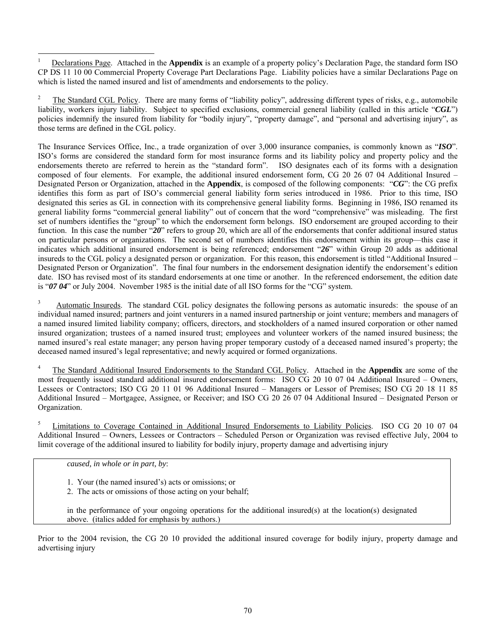1 Declarations Page. Attached in the **Appendix** is an example of a property policy's Declaration Page, the standard form ISO CP DS 11 10 00 Commercial Property Coverage Part Declarations Page. Liability policies have a similar Declarations Page on which is listed the named insured and list of amendments and endorsements to the policy.

2 The Standard CGL Policy. There are many forms of "liability policy", addressing different types of risks, e.g., automobile liability, workers injury liability. Subject to specified exclusions, commercial general liability (called in this article "*CGL*") policies indemnify the insured from liability for "bodily injury", "property damage", and "personal and advertising injury", as those terms are defined in the CGL policy.

The Insurance Services Office, Inc., a trade organization of over 3,000 insurance companies, is commonly known as "*ISO*". ISO's forms are considered the standard form for most insurance forms and its liability policy and property policy and the endorsements thereto are referred to herein as the "standard form". ISO designates each of its forms with a designation composed of four elements. For example, the additional insured endorsement form, CG 20 26 07 04 Additional Insured – Designated Person or Organization, attached in the **Appendix**, is composed of the following components: "*CG*": the CG prefix identifies this form as part of ISO's commercial general liability form series introduced in 1986. Prior to this time, ISO designated this series as GL in connection with its comprehensive general liability forms. Beginning in 1986, ISO renamed its general liability forms "commercial general liability" out of concern that the word "comprehensive" was misleading. The first set of numbers identifies the "group" to which the endorsement form belongs. ISO endorsement are grouped according to their function. In this case the number "*20*" refers to group 20, which are all of the endorsements that confer additional insured status on particular persons or organizations. The second set of numbers identifies this endorsement within its group—this case it indicates which additional insured endorsement is being referenced; endorsement "*26*" within Group 20 adds as additional insureds to the CGL policy a designated person or organization. For this reason, this endorsement is titled "Additional Insured – Designated Person or Organization". The final four numbers in the endorsement designation identify the endorsement's edition date. ISO has revised most of its standard endorsements at one time or another. In the referenced endorsement, the edition date is "*07 04*" or July 2004. November 1985 is the initial date of all ISO forms for the "CG" system.

3 Automatic Insureds. The standard CGL policy designates the following persons as automatic insureds: the spouse of an individual named insured; partners and joint venturers in a named insured partnership or joint venture; members and managers of a named insured limited liability company; officers, directors, and stockholders of a named insured corporation or other named insured organization; trustees of a named insured trust; employees and volunteer workers of the named insured business; the named insured's real estate manager; any person having proper temporary custody of a deceased named insured's property; the deceased named insured's legal representative; and newly acquired or formed organizations.

4 The Standard Additional Insured Endorsements to the Standard CGL Policy. Attached in the **Appendix** are some of the most frequently issued standard additional insured endorsement forms: ISO CG 20 10 07 04 Additional Insured – Owners, Lessees or Contractors; ISO CG 20 11 01 96 Additional Insured – Managers or Lessor of Premises; ISO CG 20 18 11 85 Additional Insured – Mortgagee, Assignee, or Receiver; and ISO CG 20 26 07 04 Additional Insured – Designated Person or Organization.

5 Limitations to Coverage Contained in Additional Insured Endorsements to Liability Policies. ISO CG 20 10 07 04 Additional Insured – Owners, Lessees or Contractors – Scheduled Person or Organization was revised effective July, 2004 to limit coverage of the additional insured to liability for bodily injury, property damage and advertising injury

*caused, in whole or in part, by*:

<u>.</u>

1. Your (the named insured's) acts or omissions; or

2. The acts or omissions of those acting on your behalf;

in the performance of your ongoing operations for the additional insured(s) at the location(s) designated above. (italics added for emphasis by authors.)

Prior to the 2004 revision, the CG 20 10 provided the additional insured coverage for bodily injury, property damage and advertising injury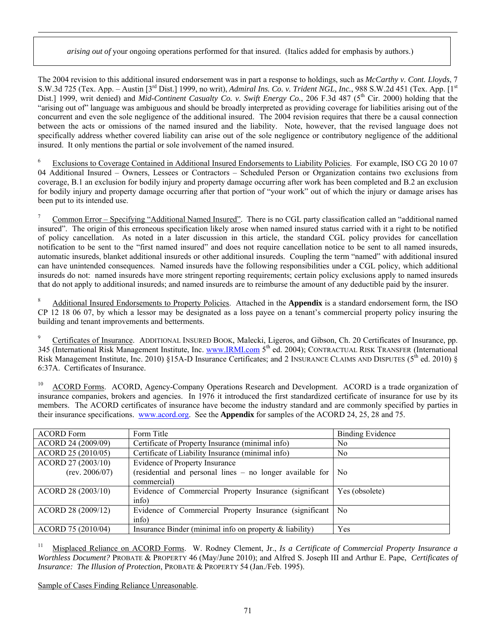#### *arising out of* your ongoing operations performed for that insured. (Italics added for emphasis by authors.)

The 2004 revision to this additional insured endorsement was in part a response to holdings, such as *McCarthy v. Cont. Lloyds*, 7 S.W.3d 725 (Tex. App. – Austin [3<sup>rd</sup> Dist.] 1999, no writ), *Admiral Ins. Co. v. Trident NGL, Inc.*, 988 S.W.2d 451 (Tex. App. [1<sup>st</sup> Dist.] 1999, writ denied) and *Mid-Continent Casualty Co. v. Swift Energy Co.*, 206 F.3d 487 (5<sup>th</sup> Cir. 2000) holding that the "arising out of" language was ambiguous and should be broadly interpreted as providing coverage for liabilities arising out of the concurrent and even the sole negligence of the additional insured. The 2004 revision requires that there be a causal connection between the acts or omissions of the named insured and the liability. Note, however, that the revised language does not specifically address whether covered liability can arise out of the sole negligence or contributory negligence of the additional insured. It only mentions the partial or sole involvement of the named insured.

6 Exclusions to Coverage Contained in Additional Insured Endorsements to Liability Policies. For example, ISO CG 20 10 07 04 Additional Insured – Owners, Lessees or Contractors – Scheduled Person or Organization contains two exclusions from coverage, B.1 an exclusion for bodily injury and property damage occurring after work has been completed and B.2 an exclusion for bodily injury and property damage occurring after that portion of "your work" out of which the injury or damage arises has been put to its intended use.

7 Common Error – Specifying "Additional Named Insured". There is no CGL party classification called an "additional named insured". The origin of this erroneous specification likely arose when named insured status carried with it a right to be notified of policy cancellation. As noted in a later discussion in this article, the standard CGL policy provides for cancellation notification to be sent to the "first named insured" and does not require cancellation notice to be sent to all named insureds, automatic insureds, blanket additional insureds or other additional insureds. Coupling the term "named" with additional insured can have unintended consequences. Named insureds have the following responsibilities under a CGL policy, which additional insureds do not: named insureds have more stringent reporting requirements; certain policy exclusions apply to named insureds that do not apply to additional insureds; and named insureds are to reimburse the amount of any deductible paid by the insurer.

8 Additional Insured Endorsements to Property Policies. Attached in the **Appendix** is a standard endorsement form, the ISO CP 12 18 06 07, by which a lessor may be designated as a loss payee on a tenant's commercial property policy insuring the building and tenant improvements and betterments.

9 Certificates of Insurance. ADDITIONAL INSURED BOOK, Malecki, Ligeros, and Gibson, Ch. 20 Certificates of Insurance, pp. 345 (International Risk Management Institute, Inc. www.IRMI.com 5<sup>th</sup> ed. 2004); CONTRACTUAL RISK TRANSFER (International Risk Management Institute, Inc. 2010) §15A-D Insurance Certificates; and 2 INSURANCE CLAIMS AND DISPUTES ( $5<sup>th</sup>$  ed. 2010) § 6:37A. Certificates of Insurance.

<sup>10</sup> ACORD Forms. ACORD, Agency-Company Operations Research and Development. ACORD is a trade organization of insurance companies, brokers and agencies. In 1976 it introduced the first standardized certificate of insurance for use by its members. The ACORD certificates of insurance have become the industry standard and are commonly specified by parties in their insurance specifications. www.acord.org. See the **Appendix** for samples of the ACORD 24, 25, 28 and 75.

| <b>ACORD Form</b>  | Form Title                                                     | <b>Binding Evidence</b> |
|--------------------|----------------------------------------------------------------|-------------------------|
| ACORD 24 (2009/09) | Certificate of Property Insurance (minimal info)               | No                      |
| ACORD 25 (2010/05) | Certificate of Liability Insurance (minimal info)              | No.                     |
| ACORD 27 (2003/10) | Evidence of Property Insurance                                 |                         |
| (rev. 2006/07)     | (residential and personal lines – no longer available for   No |                         |
|                    | commercial)                                                    |                         |
| ACORD 28 (2003/10) | Evidence of Commercial Property Insurance (significant         | Yes (obsolete)          |
|                    | info)                                                          |                         |
| ACORD 28 (2009/12) | Evidence of Commercial Property Insurance (significant         | N <sub>0</sub>          |
|                    | info)                                                          |                         |
| ACORD 75 (2010/04) | Insurance Binder (minimal info on property $\&$ liability)     | Yes                     |

11 Misplaced Reliance on ACORD Forms. W. Rodney Clement, Jr., *Is a Certificate of Commercial Property Insurance a Worthless Document?* PROBATE & PROPERTY 46 (May/June 2010); and Alfred S. Joseph III and Arthur E. Pape, *Certificates of Insurance: The Illusion of Protection*, PROBATE & PROPERTY 54 (Jan./Feb. 1995).

Sample of Cases Finding Reliance Unreasonable.

1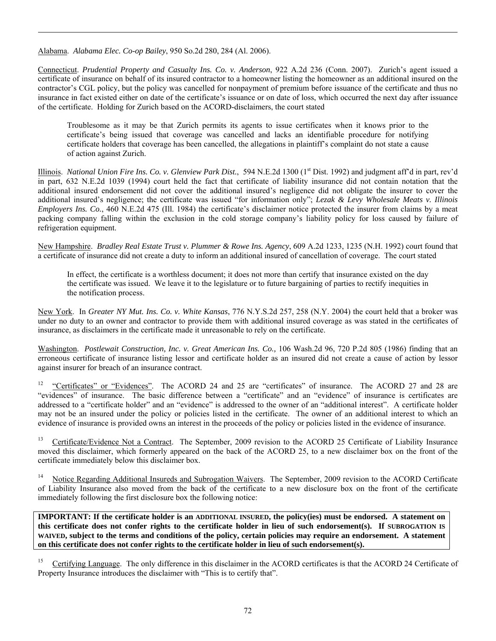Alabama. *Alabama Elec. Co-op Bailey*, 950 So.2d 280, 284 (Al. 2006).

1

Connecticut. *Prudential Property and Casualty Ins. Co. v. Anderson*, 922 A.2d 236 (Conn. 2007). Zurich's agent issued a certificate of insurance on behalf of its insured contractor to a homeowner listing the homeowner as an additional insured on the contractor's CGL policy, but the policy was cancelled for nonpayment of premium before issuance of the certificate and thus no insurance in fact existed either on date of the certificate's issuance or on date of loss, which occurred the next day after issuance of the certificate. Holding for Zurich based on the ACORD-disclaimers, the court stated

Troublesome as it may be that Zurich permits its agents to issue certificates when it knows prior to the certificate's being issued that coverage was cancelled and lacks an identifiable procedure for notifying certificate holders that coverage has been cancelled, the allegations in plaintiff's complaint do not state a cause of action against Zurich.

Illinois. *National Union Fire Ins. Co. v. Glenview Park Dist.*, 594 N.E.2d 1300 (1<sup>st</sup> Dist. 1992) and judgment aff'd in part, rev'd in part, 632 N.E.2d 1039 (1994) court held the fact that certificate of liability insurance did not contain notation that the additional insured endorsement did not cover the additional insured's negligence did not obligate the insurer to cover the additional insured's negligence; the certificate was issued "for information only"; *Lezak & Levy Wholesale Meats v. Illinois Employers Ins. Co.*, 460 N.E.2d 475 (Ill. 1984) the certificate's disclaimer notice protected the insurer from claims by a meat packing company falling within the exclusion in the cold storage company's liability policy for loss caused by failure of refrigeration equipment.

New Hampshire. *Bradley Real Estate Trust v. Plummer & Rowe Ins. Agency*, 609 A.2d 1233, 1235 (N.H. 1992) court found that a certificate of insurance did not create a duty to inform an additional insured of cancellation of coverage. The court stated

In effect, the certificate is a worthless document; it does not more than certify that insurance existed on the day the certificate was issued. We leave it to the legislature or to future bargaining of parties to rectify inequities in the notification process.

New York. In *Greater NY Mut. Ins. Co. v. White Kansas*, 776 N.Y.S.2d 257, 258 (N.Y. 2004) the court held that a broker was under no duty to an owner and contractor to provide them with additional insured coverage as was stated in the certificates of insurance, as disclaimers in the certificate made it unreasonable to rely on the certificate.

Washington. *Postlewait Construction, Inc. v. Great American Ins. Co.,* 106 Wash.2d 96, 720 P.2d 805 (1986) finding that an erroneous certificate of insurance listing lessor and certificate holder as an insured did not create a cause of action by lessor against insurer for breach of an insurance contract.

<sup>12</sup> "Certificates" or "Evidences". The ACORD 24 and 25 are "certificates" of insurance. The ACORD 27 and 28 are "evidences" of insurance. The basic difference between a "certificate" and an "evidence" of insurance is certificates are addressed to a "certificate holder" and an "evidence" is addressed to the owner of an "additional interest". A certificate holder may not be an insured under the policy or policies listed in the certificate. The owner of an additional interest to which an evidence of insurance is provided owns an interest in the proceeds of the policy or policies listed in the evidence of insurance.

13 Certificate/Evidence Not a Contract. The September, 2009 revision to the ACORD 25 Certificate of Liability Insurance moved this disclaimer, which formerly appeared on the back of the ACORD 25, to a new disclaimer box on the front of the certificate immediately below this disclaimer box.

<sup>14</sup> Notice Regarding Additional Insureds and Subrogation Waivers. The September, 2009 revision to the ACORD Certificate of Liability Insurance also moved from the back of the certificate to a new disclosure box on the front of the certificate immediately following the first disclosure box the following notice:

**IMPORTANT: If the certificate holder is an ADDITIONAL INSURED, the policy(ies) must be endorsed. A statement on this certificate does not confer rights to the certificate holder in lieu of such endorsement(s). If SUBROGATION IS WAIVED, subject to the terms and conditions of the policy, certain policies may require an endorsement. A statement on this certificate does not confer rights to the certificate holder in lieu of such endorsement(s).** 

15 Certifying Language. The only difference in this disclaimer in the ACORD certificates is that the ACORD 24 Certificate of Property Insurance introduces the disclaimer with "This is to certify that".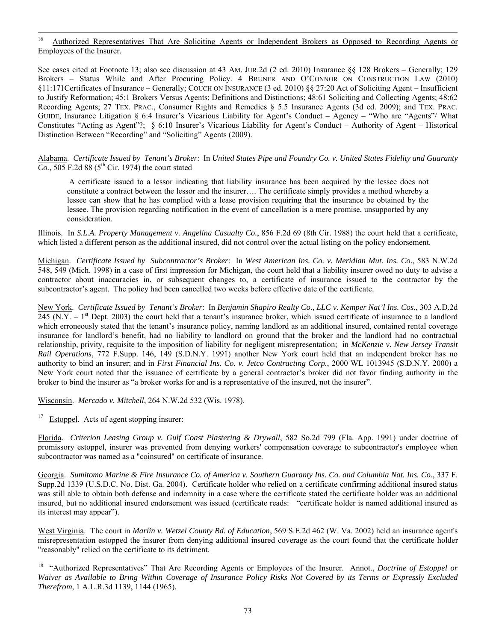## <sup>16</sup> Authorized Representatives That Are Soliciting Agents or Independent Brokers as Opposed to Recording Agents or Employees of the Insurer.

See cases cited at Footnote 13; also see discussion at 43 AM. JUR.2d (2 ed. 2010) Insurance §§ 128 Brokers – Generally; 129 Brokers – Status While and After Procuring Policy. 4 BRUNER AND O'CONNOR ON CONSTRUCTION LAW (2010) §11:171Certificates of Insurance – Generally; COUCH ON INSURANCE (3 ed. 2010) §§ 27:20 Act of Soliciting Agent – Insufficient to Justify Reformation; 45:1 Brokers Versus Agents; Definitions and Distinctions; 48:61 Soliciting and Collecting Agents; 48:62 Recording Agents; 27 TEX. PRAC., Consumer Rights and Remedies § 5.5 Insurance Agents (3d ed. 2009); and TEX. PRAC. GUIDE, Insurance Litigation § 6:4 Insurer's Vicarious Liability for Agent's Conduct – Agency – "Who are "Agents"/ What Constitutes "Acting as Agent"?; § 6:10 Insurer's Vicarious Liability for Agent's Conduct – Authority of Agent – Historical Distinction Between "Recording" and "Soliciting" Agents (2009).

Alabama. *Certificate Issued by Tenant's Broker*: In *United States Pipe and Foundry Co. v. United States Fidelity and Guaranty Co.*, 505 F.2d 88 ( $5<sup>th</sup>$  Cir. 1974) the court stated

 A certificate issued to a lessor indicating that liability insurance has been acquired by the lessee does not constitute a contract between the lessor and the insurer…. The certificate simply provides a method whereby a lessee can show that he has complied with a lease provision requiring that the insurance be obtained by the lessee. The provision regarding notification in the event of cancellation is a mere promise, unsupported by any consideration.

Illinois. In *S.L.A. Property Management v. Angelina Casualty Co.*, 856 F.2d 69 (8th Cir. 1988) the court held that a certificate, which listed a different person as the additional insured, did not control over the actual listing on the policy endorsement.

Michigan. *Certificate Issued by Subcontractor's Broker*: In *West American Ins. Co. v. Meridian Mut. Ins. Co.*, 583 N.W.2d 548, 549 (Mich. 1998) in a case of first impression for Michigan, the court held that a liability insurer owed no duty to advise a contractor about inaccuracies in, or subsequent changes to, a certificate of insurance issued to the contractor by the subcontractor's agent. The policy had been cancelled two weeks before effective date of the certificate.

New York. *Certificate Issued by Tenant's Broker*: In *Benjamin Shapiro Realty Co., LLC v. Kemper Nat'l Ins. Cos.*, 303 A.D.2d 245 (N.Y.  $-1^{st}$  Dept. 2003) the court held that a tenant's insurance broker, which issued certificate of insurance to a landlord which erroneously stated that the tenant's insurance policy, naming landlord as an additional insured, contained rental coverage insurance for landlord's benefit, had no liability to landlord on ground that the broker and the landlord had no contractual relationship, privity, requisite to the imposition of liability for negligent misrepresentation; in *McKenzie v. New Jersey Transit Rail Operations*, 772 F.Supp. 146, 149 (S.D.N.Y. 1991) another New York court held that an independent broker has no authority to bind an insurer; and in *First Financial Ins. Co. v. Jetco Contracting Corp.*, 2000 WL 1013945 (S.D.N.Y. 2000) a New York court noted that the issuance of certificate by a general contractor's broker did not favor finding authority in the broker to bind the insurer as "a broker works for and is a representative of the insured, not the insurer".

Wisconsin. *Mercado v. Mitchell*, 264 N.W.2d 532 (Wis. 1978).

<sup>17</sup> Estoppel. Acts of agent stopping insurer:

Florida. *Criterion Leasing Group v. Gulf Coast Plastering & Drywall*, 582 So.2d 799 (Fla. App. 1991) under doctrine of promissory estoppel, insurer was prevented from denying workers' compensation coverage to subcontractor's employee when subcontractor was named as a "coinsured" on certificate of insurance.

Georgia. *Sumitomo Marine & Fire Insurance Co. of America v. Southern Guaranty Ins. Co. and Columbia Nat. Ins. Co.*, 337 F. Supp.2d 1339 (U.S.D.C. No. Dist. Ga. 2004). Certificate holder who relied on a certificate confirming additional insured status was still able to obtain both defense and indemnity in a case where the certificate stated the certificate holder was an additional insured, but no additional insured endorsement was issued (certificate reads: "certificate holder is named additional insured as its interest may appear").

West Virginia. The court in *Marlin v. Wetzel County Bd. of Education*, 569 S.E.2d 462 (W. Va. 2002) held an insurance agent's misrepresentation estopped the insurer from denying additional insured coverage as the court found that the certificate holder "reasonably" relied on the certificate to its detriment.

18 "Authorized Representatives" That Are Recording Agents or Employees of the Insurer. Annot., *Doctrine of Estoppel or Waiver as Available to Bring Within Coverage of Insurance Policy Risks Not Covered by its Terms or Expressly Excluded Therefrom*, 1 A.L.R.3d 1139, 1144 (1965).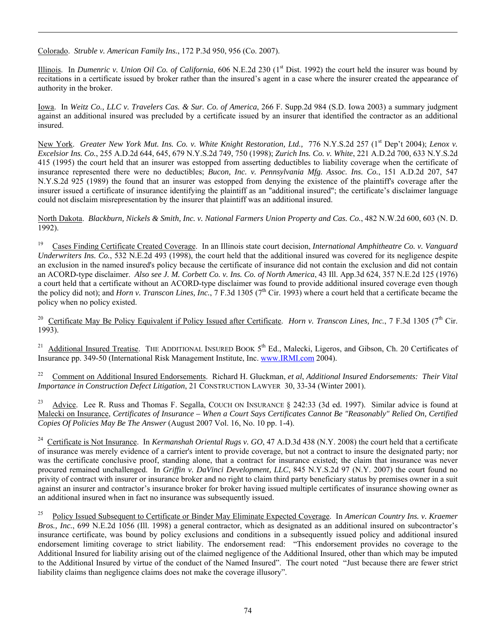Colorado. *Struble v. American Family Ins.*, 172 P.3d 950, 956 (Co. 2007).

1

Illinois. In *Dumenric v. Union Oil Co. of California*, 606 N.E.2d 230 (1<sup>st</sup> Dist. 1992) the court held the insurer was bound by recitations in a certificate issued by broker rather than the insured's agent in a case where the insurer created the appearance of authority in the broker.

Iowa. In *Weitz Co., LLC v. Travelers Cas. & Sur. Co. of America*, 266 F. Supp.2d 984 (S.D. Iowa 2003) a summary judgment against an additional insured was precluded by a certificate issued by an insurer that identified the contractor as an additional insured.

New York. *Greater New York Mut. Ins. Co. v. White Knight Restoration, Ltd., 776 N.Y.S.2d 257* (1<sup>st</sup> Dep't 2004); *Lenox v. Excelsior Ins. Co.*, 255 A.D.2d 644, 645, 679 N.Y.S.2d 749, 750 (1998); *Zurich Ins. Co. v. White*, 221 A.D.2d 700, 633 N.Y.S.2d 415 (1995) the court held that an insurer was estopped from asserting deductibles to liability coverage when the certificate of insurance represented there were no deductibles; *Bucon, Inc. v. Pennsylvania Mfg. Assoc. Ins. Co.*, 151 A.D.2d 207, 547 N.Y.S.2d 925 (1989) the found that an insurer was estopped from denying the existence of the plaintiff's coverage after the insurer issued a certificate of insurance identifying the plaintiff as an "additional insured"; the certificate's disclaimer language could not disclaim misrepresentation by the insurer that plaintiff was an additional insured.

North Dakota. *Blackburn, Nickels & Smith, Inc. v. National Farmers Union Property and Cas. Co.*, 482 N.W.2d 600, 603 (N. D. 1992).

19 Cases Finding Certificate Created Coverage. In an Illinois state court decision, *International Amphitheatre Co. v. Vanguard Underwriters Ins. Co.*, 532 N.E.2d 493 (1998), the court held that the additional insured was covered for its negligence despite an exclusion in the named insured's policy because the certificate of insurance did not contain the exclusion and did not contain an ACORD-type disclaimer. *Also see J. M. Corbett Co. v. Ins. Co. of North America*, 43 Ill. App.3d 624, 357 N.E.2d 125 (1976) a court held that a certificate without an ACORD-type disclaimer was found to provide additional insured coverage even though the policy did not); and *Horn v. Transcon Lines, Inc.*, 7 F.3d 1305 ( $7<sup>th</sup>$  Cir. 1993) where a court held that a certificate became the policy when no policy existed.

<sup>20</sup> Certificate May Be Policy Equivalent if Policy Issued after Certificate. *Horn v. Transcon Lines, Inc.*, 7 F.3d 1305 (7<sup>th</sup> Cir. 1993).

<sup>21</sup> Additional Insured Treatise. THE ADDITIONAL INSURED BOOK  $5<sup>th</sup>$  Ed., Malecki, Ligeros, and Gibson, Ch. 20 Certificates of Insurance pp. 349-50 (International Risk Management Institute, Inc. www.IRMI.com 2004).

22 Comment on Additional Insured Endorsements. Richard H. Gluckman, *et al*, *Additional Insured Endorsements: Their Vital Importance in Construction Defect Litigation*, 21 CONSTRUCTION LAWYER 30, 33-34 (Winter 2001).

<sup>23</sup> Advice. Lee R. Russ and Thomas F. Segalla, COUCH ON INSURANCE § 242:33 (3d ed. 1997). Similar advice is found at Malecki on Insurance, *Certificates of Insurance – When a Court Says Certificates Cannot Be "Reasonably" Relied On, Certified Copies Of Policies May Be The Answer* (August 2007 Vol. 16, No. 10 pp. 1-4).

<sup>24</sup> Certificate is Not Insurance. In *Kermanshah Oriental Rugs v. GO*, 47 A.D.3d 438 (N.Y. 2008) the court held that a certificate of insurance was merely evidence of a carrier's intent to provide coverage, but not a contract to insure the designated party; nor was the certificate conclusive proof, standing alone, that a contract for insurance existed; the claim that insurance was never procured remained unchallenged. In *Griffin v. DaVinci Development, LLC*, 845 N.Y.S.2d 97 (N.Y. 2007) the court found no privity of contract with insurer or insurance broker and no right to claim third party beneficiary status by premises owner in a suit against an insurer and contractor's insurance broker for broker having issued multiple certificates of insurance showing owner as an additional insured when in fact no insurance was subsequently issued.

25 Policy Issued Subsequent to Certificate or Binder May Eliminate Expected Coverage. In *American Country Ins. v. Kraemer Bros., Inc.*, 699 N.E.2d 1056 (Ill. 1998) a general contractor, which as designated as an additional insured on subcontractor's insurance certificate, was bound by policy exclusions and conditions in a subsequently issued policy and additional insured endorsement limiting coverage to strict liability. The endorsement read: "This endorsement provides no coverage to the Additional Insured for liability arising out of the claimed negligence of the Additional Insured, other than which may be imputed to the Additional Insured by virtue of the conduct of the Named Insured". The court noted "Just because there are fewer strict liability claims than negligence claims does not make the coverage illusory".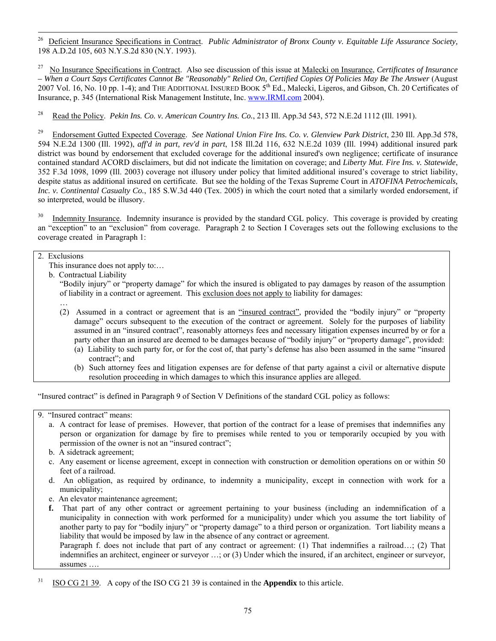26 Deficient Insurance Specifications in Contract. *Public Administrator of Bronx County v. Equitable Life Assurance Society,* 198 A.D.2d 105, 603 N.Y.S.2d 830 (N.Y. 1993).

27 No Insurance Specifications in Contract. Also see discussion of this issue at Malecki on Insurance, *Certificates of Insurance – When a Court Says Certificates Cannot Be "Reasonably" Relied On, Certified Copies Of Policies May Be The Answer* (August 2007 Vol. 16, No. 10 pp. 1-4); and THE ADDITIONAL INSURED BOOK 5<sup>th</sup> Ed., Malecki, Ligeros, and Gibson, Ch. 20 Certificates of Insurance, p. 345 (International Risk Management Institute, Inc. www.IRMI.com 2004).

<sup>28</sup> Read the Policy. *Pekin Ins. Co. v. American Country Ins. Co.*, 213 Ill. App.3d 543, 572 N.E.2d 1112 (Ill. 1991).

<sup>29</sup> Endorsement Gutted Expected Coverage. *See National Union Fire Ins. Co. v. Glenview Park District*, 230 Ill. App.3d 578, 594 N.E.2d 1300 (Ill. 1992), *aff'd in part, rev'd in part*, 158 Ill.2d 116, 632 N.E.2d 1039 (Ill. 1994) additional insured park district was bound by endorsement that excluded coverage for the additional insured's own negligence; certificate of insurance contained standard ACORD disclaimers, but did not indicate the limitation on coverage; and *Liberty Mut. Fire Ins. v. Statewide*, 352 F.3d 1098, 1099 (Ill. 2003) coverage not illusory under policy that limited additional insured's coverage to strict liability, despite status as additional insured on certificate. But see the holding of the Texas Supreme Court in *ATOFINA Petrochemicals, Inc. v. Continental Casualty Co.*, 185 S.W.3d 440 (Tex. 2005) in which the court noted that a similarly worded endorsement, if so interpreted, would be illusory.

<sup>30</sup> Indemnity Insurance. Indemnity insurance is provided by the standard CGL policy. This coverage is provided by creating an "exception" to an "exclusion" from coverage. Paragraph 2 to Section I Coverages sets out the following exclusions to the coverage created in Paragraph 1:

2. Exclusions

This insurance does not apply to:…

b. Contractual Liability

"Bodily injury" or "property damage" for which the insured is obligated to pay damages by reason of the assumption of liability in a contract or agreement. This exclusion does not apply to liability for damages:

… (2) Assumed in a contract or agreement that is an "insured contract", provided the "bodily injury" or "property damage" occurs subsequent to the execution of the contract or agreement. Solely for the purposes of liability assumed in an "insured contract", reasonably attorneys fees and necessary litigation expenses incurred by or for a party other than an insured are deemed to be damages because of "bodily injury" or "property damage", provided:

- (a) Liability to such party for, or for the cost of, that party's defense has also been assumed in the same "insured contract"; and
- (b) Such attorney fees and litigation expenses are for defense of that party against a civil or alternative dispute resolution proceeding in which damages to which this insurance applies are alleged.

"Insured contract" is defined in Paragraph 9 of Section V Definitions of the standard CGL policy as follows:

"Insured contract" means:

- a. A contract for lease of premises. However, that portion of the contract for a lease of premises that indemnifies any person or organization for damage by fire to premises while rented to you or temporarily occupied by you with permission of the owner is not an "insured contract";
- b. A sidetrack agreement;
- c. Any easement or license agreement, except in connection with construction or demolition operations on or within 50 feet of a railroad.
- d. An obligation, as required by ordinance, to indemnity a municipality, except in connection with work for a municipality;
- e. An elevator maintenance agreement;
- **f.** That part of any other contract or agreement pertaining to your business (including an indemnification of a municipality in connection with work performed for a municipality) under which you assume the tort liability of another party to pay for "bodily injury" or "property damage" to a third person or organization. Tort liability means a liability that would be imposed by law in the absence of any contract or agreement.

Paragraph f. does not include that part of any contract or agreement: (1) That indemnifies a railroad…; (2) That indemnifies an architect, engineer or surveyor …; or (3) Under which the insured, if an architect, engineer or surveyor, assumes ….

31 ISO CG 21 39. A copy of the ISO CG 21 39 is contained in the **Appendix** to this article.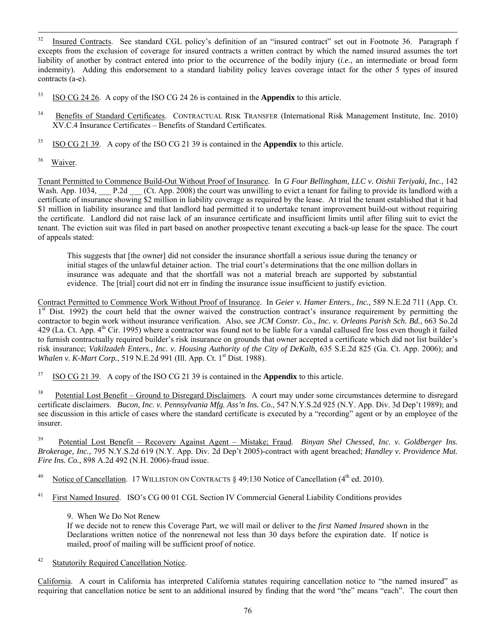<sup>32</sup> Insured Contracts. See standard CGL policy's definition of an "insured contract" set out in Footnote 36. Paragraph f excepts from the exclusion of coverage for insured contracts a written contract by which the named insured assumes the tort liability of another by contract entered into prior to the occurrence of the bodily injury (*i.e.*, an intermediate or broad form indemnity). Adding this endorsement to a standard liability policy leaves coverage intact for the other 5 types of insured contracts (a-e).

- 33 ISO CG 24 26. A copy of the ISO CG 24 26 is contained in the **Appendix** to this article.
- <sup>34</sup> Benefits of Standard Certificates. CONTRACTUAL RISK TRANSFER (International Risk Management Institute, Inc. 2010) XV.C.4 Insurance Certificates – Benefits of Standard Certificates.
- 35 ISO CG 21 39. A copy of the ISO CG 21 39 is contained in the **Appendix** to this article.
- <sup>36</sup> Waiver.

Tenant Permitted to Commence Build-Out Without Proof of Insurance*.* In *G Four Bellingham, LLC v. Oishii Teriyaki, Inc.*, 142 Wash. App. 1034, P.2d (Ct. App. 2008) the court was unwilling to evict a tenant for failing to provide its landlord with a certificate of insurance showing \$2 million in liability coverage as required by the lease. At trial the tenant established that it had \$1 million in liability insurance and that landlord had permitted it to undertake tenant improvement build-out without requiring the certificate. Landlord did not raise lack of an insurance certificate and insufficient limits until after filing suit to evict the tenant. The eviction suit was filed in part based on another prospective tenant executing a back-up lease for the space. The court of appeals stated:

This suggests that [the owner] did not consider the insurance shortfall a serious issue during the tenancy or initial stages of the unlawful detainer action. The trial court's determinations that the one million dollars in insurance was adequate and that the shortfall was not a material breach are supported by substantial evidence. The [trial] court did not err in finding the insurance issue insufficient to justify eviction.

Contract Permitted to Commence Work Without Proof of Insurance. In *Geier v. Hamer Enters., Inc.,* 589 N.E.2d 711 (App. Ct. <sup>1st</sup> Dist. 1992) the court held that the owner waived the construction contract's insurance requirement by permitting the contractor to begin work without insurance verification. Also, see *JCM Constr. Co., Inc. v. Orleans Parish Sch. Bd.*, 663 So.2d 429 (La. Ct. App.  $4<sup>th</sup>$  Cir. 1995) where a contractor was found not to be liable for a vandal callused fire loss even though it failed to furnish contractually required builder's risk insurance on grounds that owner accepted a certificate which did not list builder's risk insurance; *Vakilzadeh Enters., Inc. v. Housing Authority of the City of DeKalb,* 635 S.E.2d 825 (Ga. Ct. App. 2006); and *Whalen v. K-Mart Corp.*, 519 N.E.2d 991 (Ill. App. Ct. 1<sup>st</sup> Dist. 1988).

37 ISO CG 21 39. A copy of the ISO CG 21 39 is contained in the **Appendix** to this article.

<sup>38</sup> Potential Lost Benefit – Ground to Disregard Disclaimers. A court may under some circumstances determine to disregard certificate disclaimers. *Bucon, Inc. v. Pennsylvania Mfg. Ass'n Ins. Co.*, 547 N.Y.S.2d 925 (N.Y. App. Div. 3d Dep't 1989); and see discussion in this article of cases where the standard certificate is executed by a "recording" agent or by an employee of the insurer.

39 Potential Lost Benefit – Recovery Against Agent – Mistake; Fraud. *Binyan Shel Chessed, Inc. v. Goldberger Ins. Brokerage, Inc.*, 795 N.Y.S.2d 619 (N.Y. App. Div. 2d Dep't 2005)-contract with agent breached; *Handley v. Providence Mut. Fire Ins. Co.,* 898 A.2d 492 (N.H. 2006)-fraud issue.

<sup>40</sup> Notice of Cancellation. 17 WILLISTON ON CONTRACTS § 49:130 Notice of Cancellation (4<sup>th</sup> ed. 2010).

<sup>41</sup> First Named Insured. ISO's CG 00 01 CGL Section IV Commercial General Liability Conditions provides

9. When We Do Not Renew

If we decide not to renew this Coverage Part, we will mail or deliver to the *first Named Insured* shown in the Declarations written notice of the nonrenewal not less than 30 days before the expiration date. If notice is mailed, proof of mailing will be sufficient proof of notice.

42 Statutorily Required Cancellation Notice.

California. A court in California has interpreted California statutes requiring cancellation notice to "the named insured" as requiring that cancellation notice be sent to an additional insured by finding that the word "the" means "each". The court then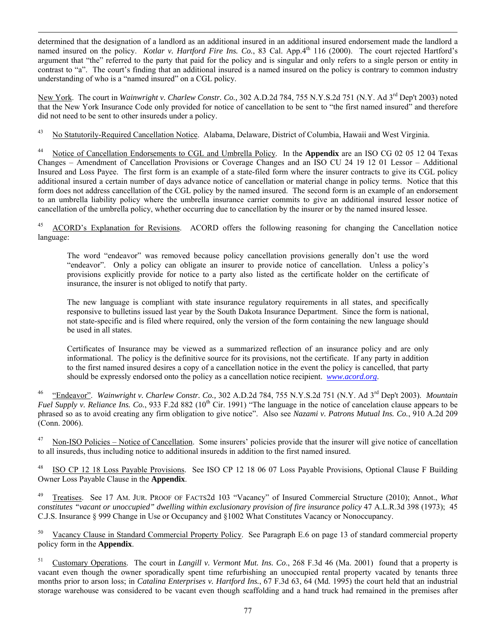determined that the designation of a landlord as an additional insured in an additional insured endorsement made the landlord a named insured on the policy. *Kotlar v. Hartford Fire Ins. Co.*, 83 Cal. App.<sup>4th</sup> 116 (2000). The court rejected Hartford's argument that "the" referred to the party that paid for the policy and is singular and only refers to a single person or entity in contrast to "a". The court's finding that an additional insured is a named insured on the policy is contrary to common industry understanding of who is a "named insured" on a CGL policy.

New York. The court in *Wainwright v. Charlew Constr. Co.,* 302 A.D.2d 784, 755 N.Y.S.2d 751 (N.Y. Ad 3rd Dep't 2003) noted that the New York Insurance Code only provided for notice of cancellation to be sent to "the first named insured" and therefore did not need to be sent to other insureds under a policy.

43 No Statutorily-Required Cancellation Notice. Alabama, Delaware, District of Columbia, Hawaii and West Virginia.

44 Notice of Cancellation Endorsements to CGL and Umbrella Policy. In the **Appendix** are an ISO CG 02 05 12 04 Texas Changes – Amendment of Cancellation Provisions or Coverage Changes and an ISO CU 24 19 12 01 Lessor – Additional Insured and Loss Payee. The first form is an example of a state-filed form where the insurer contracts to give its CGL policy additional insured a certain number of days advance notice of cancellation or material change in policy terms. Notice that this form does not address cancellation of the CGL policy by the named insured. The second form is an example of an endorsement to an umbrella liability policy where the umbrella insurance carrier commits to give an additional insured lessor notice of cancellation of the umbrella policy, whether occurring due to cancellation by the insurer or by the named insured lessee.

<sup>45</sup> ACORD's Explanation for Revisions. ACORD offers the following reasoning for changing the Cancellation notice language:

The word "endeavor" was removed because policy cancellation provisions generally don't use the word "endeavor". Only a policy can obligate an insurer to provide notice of cancellation. Unless a policy's provisions explicitly provide for notice to a party also listed as the certificate holder on the certificate of insurance, the insurer is not obliged to notify that party.

The new language is compliant with state insurance regulatory requirements in all states, and specifically responsive to bulletins issued last year by the South Dakota Insurance Department. Since the form is national, not state-specific and is filed where required, only the version of the form containing the new language should be used in all states.

Certificates of Insurance may be viewed as a summarized reflection of an insurance policy and are only informational. The policy is the definitive source for its provisions, not the certificate. If any party in addition to the first named insured desires a copy of a cancellation notice in the event the policy is cancelled, that party should be expressly endorsed onto the policy as a cancellation notice recipient. *www.acord.org*.

46 "Endeavor". *Wainwright v. Charlew Constr. Co.,* 302 A.D.2d 784, 755 N.Y.S.2d 751 (N.Y. Ad 3rd Dep't 2003). *Mountain Fuel Supply v. Reliance Ins. Co.*, 933 F.2d 882 (10<sup>th</sup> Cir. 1991) "The language in the notice of cancelation clause appears to be phrased so as to avoid creating any firm obligation to give notice". Also see *Nazami v. Patrons Mutual Ins. Co.*, 910 A.2d 209 (Conn. 2006).

Non-ISO Policies – Notice of Cancellation. Some insurers' policies provide that the insurer will give notice of cancellation to all insureds, thus including notice to additional insureds in addition to the first named insured.

<sup>48</sup> ISO CP 12 18 Loss Payable Provisions. See ISO CP 12 18 06 07 Loss Payable Provisions, Optional Clause F Building Owner Loss Payable Clause in the **Appendix**.

49 Treatises. See 17 AM. JUR. PROOF OF FACTS2d 103 "Vacancy" of Insured Commercial Structure (2010); Annot., *What constitutes "vacant or unoccupied" dwelling within exclusionary provision of fire insurance policy* 47 A.L.R.3d 398 (1973); 45 C.J.S. Insurance § 999 Change in Use or Occupancy and §1002 What Constitutes Vacancy or Nonoccupancy.

<sup>50</sup> Vacancy Clause in Standard Commercial Property Policy. See Paragraph E.6 on page 13 of standard commercial property policy form in the **Appendix**.

51 Customary Operations. The court in *Langill v. Vermont Mut. Ins. Co*., 268 F.3d 46 (Ma. 2001) found that a property is vacant even though the owner sporadically spent time refurbishing an unoccupied rental property vacated by tenants three months prior to arson loss; in *Catalina Enterprises v. Hartford Ins.*, 67 F.3d 63, 64 (Md. 1995) the court held that an industrial storage warehouse was considered to be vacant even though scaffolding and a hand truck had remained in the premises after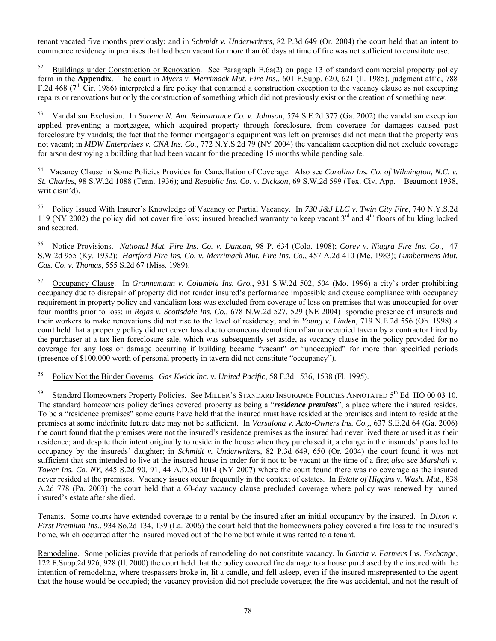tenant vacated five months previously; and in *Schmidt v. Underwriters*, 82 P.3d 649 (Or. 2004) the court held that an intent to commence residency in premises that had been vacant for more than 60 days at time of fire was not sufficient to constitute use.

 $52$  Buildings under Construction or Renovation. See Paragraph E.6a(2) on page 13 of standard commercial property policy form in the **Appendix**. The court in *Myers v. Merrimack Mut. Fire Ins.*, 601 F.Supp. 620, 621 (Il. 1985), judgment aff'd, 788 F.2d 468 ( $7<sup>th</sup>$  Cir. 1986) interpreted a fire policy that contained a construction exception to the vacancy clause as not excepting repairs or renovations but only the construction of something which did not previously exist or the creation of something new.

53 Vandalism Exclusion. In *Sorema N. Am. Reinsurance Co. v. Johnson*, 574 S.E.2d 377 (Ga. 2002) the vandalism exception applied preventing a mortgagee, which acquired property through foreclosure, from coverage for damages caused post foreclosure by vandals; the fact that the former mortgagor's equipment was left on premises did not mean that the property was not vacant; in *MDW Enterprises v. CNA Ins. Co.*, 772 N.Y.S.2d 79 (NY 2004) the vandalism exception did not exclude coverage for arson destroying a building that had been vacant for the preceding 15 months while pending sale.

54 Vacancy Clause in Some Policies Provides for Cancellation of Coverage. Also see *Carolina Ins. Co. of Wilmington, N.C. v. St. Charles*, 98 S.W.2d 1088 (Tenn. 1936); and *Republic Ins. Co. v. Dickson*, 69 S.W.2d 599 (Tex. Civ. App. – Beaumont 1938, writ dism'd).

55 Policy Issued With Insurer's Knowledge of Vacancy or Partial Vacancy. In *730 J&J LLC v. Twin City Fire*, 740 N.Y.S.2d 119 (NY 2002) the policy did not cover fire loss; insured breached warranty to keep vacant  $3<sup>rd</sup>$  and  $4<sup>th</sup>$  floors of building locked and secured.

56 Notice Provisions. *National Mut. Fire Ins. Co. v. Duncan,* 98 P. 634 (Colo. 1908); *Corey v. Niagra Fire Ins. Co.*, 47 S.W.2d 955 (Ky. 1932); *Hartford Fire Ins. Co. v. Merrimack Mut. Fire Ins. Co.*, 457 A.2d 410 (Me. 1983); *Lumbermens Mut. Cas. Co. v. Thomas*, 555 S.2d 67 (Miss. 1989).

57 Occupancy Clause. In *Grannemann v. Columbia Ins. Gro.*, 931 S.W.2d 502, 504 (Mo. 1996) a city's order prohibiting occupancy due to disrepair of property did not render insured's performance impossible and excuse compliance with occupancy requirement in property policy and vandalism loss was excluded from coverage of loss on premises that was unoccupied for over four months prior to loss; in *Rojas v. Scottsdale Ins. Co.*, 678 N.W.2d 527, 529 (NE 2004) sporadic presence of insureds and their workers to make renovations did not rise to the level of residency; and in *Young v. Linden*, 719 N.E.2d 556 (Oh. 1998) a court held that a property policy did not cover loss due to erroneous demolition of an unoccupied tavern by a contractor hired by the purchaser at a tax lien foreclosure sale, which was subsequently set aside, as vacancy clause in the policy provided for no coverage for any loss or damage occurring if building became "vacant" *or* "unoccupied" for more than specified periods (presence of \$100,000 worth of personal property in tavern did not constitute "occupancy").

58 Policy Not the Binder Governs. *Gas Kwick Inc. v. United Pacific*, 58 F.3d 1536, 1538 (Fl. 1995).

<sup>59</sup> Standard Homeowners Property Policies. See MILLER'S STANDARD INSURANCE POLICIES ANNOTATED 5<sup>th</sup> Ed. HO 00 03 10. The standard homeowners policy defines covered property as being a "*residence premises*", a place where the insured resides. To be a "residence premises" some courts have held that the insured must have resided at the premises and intent to reside at the premises at some indefinite future date may not be sufficient. In *Varsalona v. Auto-Owners Ins. Co.,*, 637 S.E.2d 64 (Ga. 2006) the court found that the premises were not the insured's residence premises as the insured had never lived there or used it as their residence; and despite their intent originally to reside in the house when they purchased it, a change in the insureds' plans led to occupancy by the insureds' daughter; in *Schmidt v. Underwriters,* 82 P.3d 649, 650 (Or. 2004) the court found it was not sufficient that son intended to live at the insured house in order for it not to be vacant at the time of a fire; *also see Marshall v. Tower Ins. Co. NY*, 845 S.2d 90, 91, 44 A.D.3d 1014 (NY 2007) where the court found there was no coverage as the insured never resided at the premises. Vacancy issues occur frequently in the context of estates. In *Estate of Higgins v. Wash. Mut.*, 838 A.2d 778 (Pa. 2003) the court held that a 60-day vacancy clause precluded coverage where policy was renewed by named insured's estate after she died.

Tenants. Some courts have extended coverage to a rental by the insured after an initial occupancy by the insured. In *Dixon v. First Premium Ins.*, 934 So.2d 134, 139 (La. 2006) the court held that the homeowners policy covered a fire loss to the insured's home, which occurred after the insured moved out of the home but while it was rented to a tenant.

Remodeling. Some policies provide that periods of remodeling do not constitute vacancy. In *Garcia v. Farmers* Ins. *Exchange*, 122 F.Supp.2d 926, 928 (Il. 2000) the court held that the policy covered fire damage to a house purchased by the insured with the intention of remodeling, where trespassers broke in, lit a candle, and fell asleep, even if the insured misrepresented to the agent that the house would be occupied; the vacancy provision did not preclude coverage; the fire was accidental, and not the result of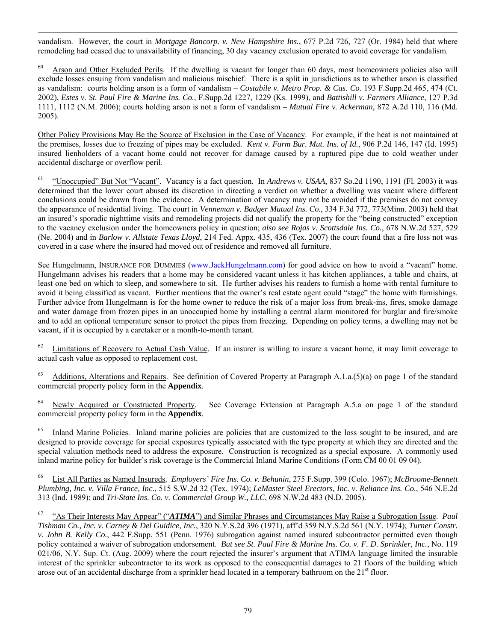vandalism. However, the court in *Mortgage Bancorp. v. New Hampshire Ins.*, 677 P.2d 726, 727 (Or. 1984) held that where remodeling had ceased due to unavailability of financing, 30 day vacancy exclusion operated to avoid coverage for vandalism.

 $60$  Arson and Other Excluded Perils. If the dwelling is vacant for longer than 60 days, most homeowners policies also will exclude losses ensuing from vandalism and malicious mischief. There is a split in jurisdictions as to whether arson is classified as vandalism: courts holding arson is a form of vandalism – *Costabile v. Metro Prop. & Cas. Co.* 193 F.Supp.2d 465, 474 (Ct. 2002), *Estes v. St. Paul Fire & Marine Ins. Co.*, F.Supp.2d 1227, 1229 (Ks. 1999), and *Battishill v. Farmers Alliance*, 127 P.3d 1111, 1112 (N.M. 2006); courts holding arson is not a form of vandalism – *Mutual Fire v. Ackerman*, 872 A.2d 110, 116 (Md. 2005).

Other Policy Provisions May Be the Source of Exclusion in the Case of Vacancy. For example, if the heat is not maintained at the premises, losses due to freezing of pipes may be excluded. *Kent v. Farm Bur. Mut. Ins. of Id.*, 906 P.2d 146, 147 (Id. 1995) insured lienholders of a vacant home could not recover for damage caused by a ruptured pipe due to cold weather under accidental discharge or overflow peril.

61 "Unoccupied" But Not "Vacant". Vacancy is a fact question. In *Andrews v. USAA*, 837 So.2d 1190, 1191 (Fl. 2003) it was determined that the lower court abused its discretion in directing a verdict on whether a dwelling was vacant where different conclusions could be drawn from the evidence. A determination of vacancy may not be avoided if the premises do not convey the appearance of residential living. The court in *Venneman v. Badger Mutual Ins. Co.*, 334 F.3d 772, 773(Minn. 2003) held that an insured's sporadic nighttime visits and remodeling projects did not qualify the property for the "being constructed" exception to the vacancy exclusion under the homeowners policy in question; *also see Rojas v. Scottsdale Ins. Co.*, 678 N.W.2d 527, 529 (Ne. 2004) and in *Barlow v. Allstate Texas Lloyd*, 214 Fed. Appx. 435, 436 (Tex. 2007) the court found that a fire loss not was covered in a case where the insured had moved out of residence and removed all furniture.

See Hungelmann, INSURANCE FOR DUMMIES (www.JackHungelmann.com) for good advice on how to avoid a "vacant" home. Hungelmann advises his readers that a home may be considered vacant unless it has kitchen appliances, a table and chairs, at least one bed on which to sleep, and somewhere to sit. He further advises his readers to furnish a home with rental furniture to avoid it being classified as vacant. Further mentions that the owner's real estate agent could "stage" the home with furnishings. Further advice from Hungelmann is for the home owner to reduce the risk of a major loss from break-ins, fires, smoke damage and water damage from frozen pipes in an unoccupied home by installing a central alarm monitored for burglar and fire/smoke and to add an optional temperature sensor to protect the pipes from freezing. Depending on policy terms, a dwelling may not be vacant, if it is occupied by a caretaker or a month-to-month tenant.

 $62$  Limitations of Recovery to Actual Cash Value. If an insurer is willing to insure a vacant home, it may limit coverage to actual cash value as opposed to replacement cost.

63 Additions, Alterations and Repairs. See definition of Covered Property at Paragraph A.1.a.(5)(a) on page 1 of the standard commercial property policy form in the **Appendix**.

<sup>64</sup> Newly Acquired or Constructed Property. See Coverage Extension at Paragraph A.5.a on page 1 of the standard commercial property policy form in the **Appendix**.

<sup>65</sup> Inland Marine Policies. Inland marine policies are policies that are customized to the loss sought to be insured, and are designed to provide coverage for special exposures typically associated with the type property at which they are directed and the special valuation methods need to address the exposure. Construction is recognized as a special exposure. A commonly used inland marine policy for builder's risk coverage is the Commercial Inland Marine Conditions (Form CM 00 01 09 04).

66 List All Parties as Named Insureds. *Employers' Fire Ins. Co. v. Behunin*, 275 F.Supp. 399 (Colo. 1967); *McBroome-Bennett Plumbing, Inc. v. Villa France, Inc.*, 515 S.W.2d 32 (Tex. 1974); *LeMaster Steel Erectors, Inc. v. Reliance Ins. Co.*, 546 N.E.2d 313 (Ind. 1989); and *Tri-State Ins. Co. v. Commercial Group W., LLC*, 698 N.W.2d 483 (N.D. 2005).

67 "As Their Interests May Appear" ("*ATIMA*") and Similar Phrases and Circumstances May Raise a Subrogation Issue. *Paul Tishman Co., Inc. v. Carney & Del Guidice, Inc.*, 320 N.Y.S.2d 396 (1971), aff'd 359 N.Y.S.2d 561 (N.Y. 1974); *Turner Constr. v. John B. Kelly Co.*, 442 F.Supp. 551 (Penn. 1976) subrogation against named insured subcontractor permitted even though policy contained a waiver of subrogation endorsement. *But see St. Paul Fire & Marine Ins. Co. v. F. D. Sprinkler, Inc.*, No. 119 021/06, N.Y. Sup. Ct. (Aug. 2009) where the court rejected the insurer's argument that ATIMA language limited the insurable interest of the sprinkler subcontractor to its work as opposed to the consequential damages to 21 floors of the building which arose out of an accidental discharge from a sprinkler head located in a temporary bathroom on the  $21<sup>st</sup>$  floor.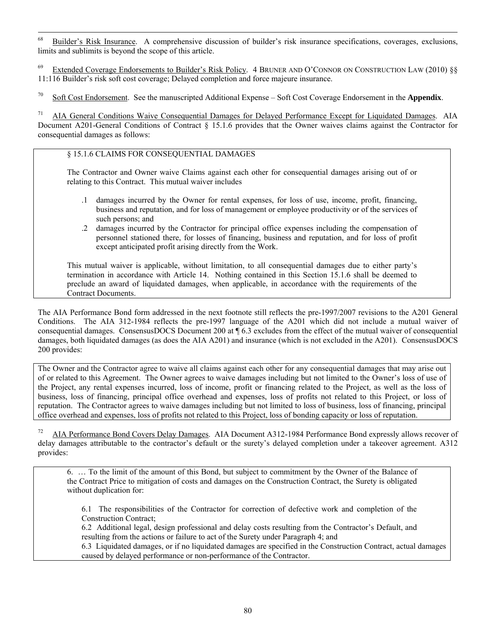68 Builder's Risk Insurance. A comprehensive discussion of builder's risk insurance specifications, coverages, exclusions, limits and sublimits is beyond the scope of this article.

<sup>69</sup> Extended Coverage Endorsements to Builder's Risk Policy. 4 BRUNER AND O'CONNOR ON CONSTRUCTION LAW (2010) §§ 11:116 Builder's risk soft cost coverage; Delayed completion and force majeure insurance.

70 Soft Cost Endorsement. See the manuscripted Additional Expense – Soft Cost Coverage Endorsement in the **Appendix**.

<sup>71</sup> AIA General Conditions Waive Consequential Damages for Delayed Performance Except for Liquidated Damages. AIA Document A201-General Conditions of Contract § 15.1.6 provides that the Owner waives claims against the Contractor for consequential damages as follows:

## § 15.1.6 CLAIMS FOR CONSEQUENTIAL DAMAGES

The Contractor and Owner waive Claims against each other for consequential damages arising out of or relating to this Contract. This mutual waiver includes

- .1 damages incurred by the Owner for rental expenses, for loss of use, income, profit, financing, business and reputation, and for loss of management or employee productivity or of the services of such persons; and
- .2 damages incurred by the Contractor for principal office expenses including the compensation of personnel stationed there, for losses of financing, business and reputation, and for loss of profit except anticipated profit arising directly from the Work.

This mutual waiver is applicable, without limitation, to all consequential damages due to either party's termination in accordance with Article 14. Nothing contained in this Section 15.1.6 shall be deemed to preclude an award of liquidated damages, when applicable, in accordance with the requirements of the Contract Documents.

The AIA Performance Bond form addressed in the next footnote still reflects the pre-1997/2007 revisions to the A201 General Conditions. The AIA 312-1984 reflects the pre-1997 language of the A201 which did not include a mutual waiver of consequential damages. ConsensusDOCS Document 200 at ¶ 6.3 excludes from the effect of the mutual waiver of consequential damages, both liquidated damages (as does the AIA A201) and insurance (which is not excluded in the A201). ConsensusDOCS 200 provides:

The Owner and the Contractor agree to waive all claims against each other for any consequential damages that may arise out of or related to this Agreement. The Owner agrees to waive damages including but not limited to the Owner's loss of use of the Project, any rental expenses incurred, loss of income, profit or financing related to the Project, as well as the loss of business, loss of financing, principal office overhead and expenses, loss of profits not related to this Project, or loss of reputation. The Contractor agrees to waive damages including but not limited to loss of business, loss of financing, principal office overhead and expenses, loss of profits not related to this Project, loss of bonding capacity or loss of reputation.

<sup>72</sup> AIA Performance Bond Covers Delay Damages. AIA Document A312-1984 Performance Bond expressly allows recover of delay damages attributable to the contractor's default or the surety's delayed completion under a takeover agreement. A312 provides:

6. … To the limit of the amount of this Bond, but subject to commitment by the Owner of the Balance of the Contract Price to mitigation of costs and damages on the Construction Contract, the Surety is obligated without duplication for:

6.1 The responsibilities of the Contractor for correction of defective work and completion of the Construction Contract;

6.2 Additional legal, design professional and delay costs resulting from the Contractor's Default, and resulting from the actions or failure to act of the Surety under Paragraph 4; and

6.3 Liquidated damages, or if no liquidated damages are specified in the Construction Contract, actual damages caused by delayed performance or non-performance of the Contractor.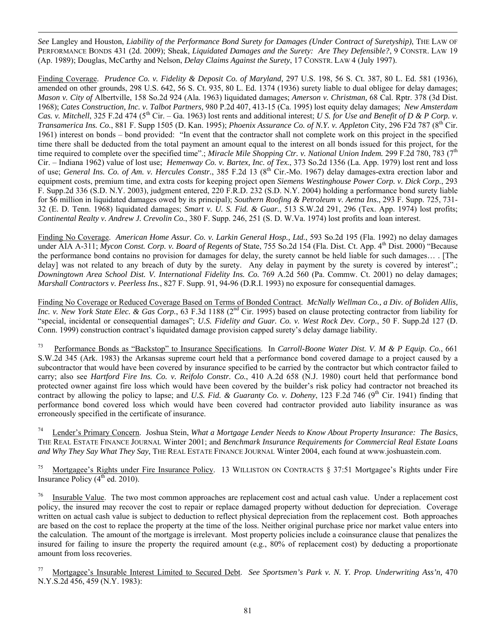1 *See* Langley and Houston, *Liability of the Performance Bond Surety for Damages (Under Contract of Suretyship)*, THE LAW OF PERFORMANCE BONDS 431 (2d. 2009); Sheak, *Liquidated Damages and the Surety: Are They Defensible?*, 9 CONSTR. LAW 19 (Ap. 1989); Douglas, McCarthy and Nelson, *Delay Claims Against the Surety*, 17 CONSTR. LAW 4 (July 1997).

Finding Coverage. *Prudence Co. v. Fidelity & Deposit Co. of Maryland,* 297 U.S. 198, 56 S. Ct. 387, 80 L. Ed. 581 (1936), amended on other grounds, 298 U.S. 642, 56 S. Ct. 935, 80 L. Ed. 1374 (1936) surety liable to dual obligee for delay damages; *Mason v. City of* Albertville, 158 So.2d 924 (Ala. 1963) liquidated damages; *Amerson v. Christman,* 68 Cal. Rptr. 378 (3d Dist. 1968); *Cates Construction, Inc. v. Talbot Partners,* 980 P.2d 407, 413-15 (Ca. 1995) lost equity delay damages; *New Amsterdam Cas. v. Mitchell*, 325 F.2d 474 (5<sup>th</sup> Cir. – Ga. 1963) lost rents and additional interest; *U S. for Use and Benefit of D & P Corp. v. Transamerica Ins. Co.*, 881 F. Supp 1505 (D. Kan. 1995); *Phoenix Assurance Co. of N.Y. v. Appleton* City, 296 F2d 787 (8th Cir. 1961) interest on bonds – bond provided: "In event that the contractor shall not complete work on this project in the specified time there shall be deducted from the total payment an amount equal to the interest on all bonds issued for this project, for the time required to complete over the specified time".; *Miracle Mile Shopping Ctr. v. National Union Indem.* 299 F.2d 780, 783 (7<sup>th</sup> Cir. – Indiana 1962) value of lost use; *Hemenway Co. v. Bartex, Inc. of Tex.*, 373 So.2d 1356 (La. App. 1979) lost rent and loss of use; *General Ins. Co. of Am. v. Hercules Constr.*, 385 F.2d 13 (8<sup>th</sup> Cir.-Mo. 1967) delay damages-extra erection labor and equipment costs, premium time, and extra costs for keeping project open *Siemens Westinghouse Power Corp. v. Dick Corp.*, 293 F. Supp.2d 336 (S.D. N.Y. 2003), judgment entered, 220 F.R.D. 232 (S.D. N.Y. 2004) holding a performance bond surety liable for \$6 million in liquidated damages owed by its principal); *Southern Roofing & Petroleum v. Aetna Ins.*, 293 F. Supp. 725, 731- 32 (E. D. Tenn. 1968) liquidated damages; *Smart v. U. S. Fid. & Guar.*, 513 S.W.2d 291, 296 (Tex. App. 1974) lost profits; *Continental Realty v. Andrew J. Crevolin Co.*, 380 F. Supp. 246, 251 (S. D. W.Va. 1974) lost profits and loan interest.

Finding No Coverage. *American Home Assur. Co. v. Larkin General Hosp., Ltd.*, 593 So.2d 195 (Fla. 1992) no delay damages under AIA A-311; *Mycon Const. Corp. v. Board of Regents of State, 755 So.2d 154 (Fla. Dist. Ct. App. 4<sup>th</sup> Dist. 2000) "Because* the performance bond contains no provision for damages for delay, the surety cannot be held liable for such damages… . [The delay] was not related to any breach of duty by the surety. Any delay in payment by the surety is covered by interest".; *Downingtown Area School Dist. V. International Fidelity Ins. Co.* 769 A.2d 560 (Pa. Commw. Ct. 2001) no delay damages; *Marshall Contractors v. Peerless Ins.*, 827 F. Supp. 91, 94-96 (D.R.I. 1993) no exposure for consequential damages.

Finding No Coverage or Reduced Coverage Based on Terms of Bonded Contract. *McNally Wellman Co., a Div. of Boliden Allis,*  Inc. v. New York State Elec. & Gas Corp., 63 F.3d 1188 (2<sup>nd</sup> Cir. 1995) based on clause protecting contractor from liability for "special, incidental or consequential damages"; *U.S. Fidelity and Guar. Co. v. West Rock Dev. Corp.*, 50 F. Supp.2d 127 (D. Conn. 1999) construction contract's liquidated damage provision capped surety's delay damage liability.

73 Performance Bonds as "Backstop" to Insurance Specifications. In *Carroll-Boone Water Dist. V. M & P Equip. Co.*, 661 S.W.2d 345 (Ark. 1983) the Arkansas supreme court held that a performance bond covered damage to a project caused by a subcontractor that would have been covered by insurance specified to be carried by the contractor but which contractor failed to carry; also see *Hartford Fire Ins. Co. v. Reifolo Constr. Co.*, 410 A.2d 658 (N.J. 1980) court held that performance bond protected owner against fire loss which would have been covered by the builder's risk policy had contractor not breached its contract by allowing the policy to lapse; and *U.S. Fid. & Guaranty Co. v. Doheny*, 123 F.2d 746 (9<sup>th</sup> Cir. 1941) finding that performance bond covered loss which would have been covered had contractor provided auto liability insurance as was erroneously specified in the certificate of insurance.

74 Lender's Primary Concern. Joshua Stein, *What a Mortgage Lender Needs to Know About Property Insurance: The Basics*, THE REAL ESTATE FINANCE JOURNAL Winter 2001; and *Benchmark Insurance Requirements for Commercial Real Estate Loans and Why They Say What They Say*, THE REAL ESTATE FINANCE JOURNAL Winter 2004, each found at www.joshuastein.com.

<sup>75</sup> Mortgagee's Rights under Fire Insurance Policy. 13 WILLISTON ON CONTRACTS  $\S$  37:51 Mortgagee's Rights under Fire Insurance Policy  $(4<sup>th</sup>$  ed. 2010).

 $^{76}$  Insurable Value. The two most common approaches are replacement cost and actual cash value. Under a replacement cost policy, the insured may recover the cost to repair or replace damaged property without deduction for depreciation. Coverage written on actual cash value is subject to deduction to reflect physical depreciation from the replacement cost. Both approaches are based on the cost to replace the property at the time of the loss. Neither original purchase price nor market value enters into the calculation. The amount of the mortgage is irrelevant. Most property policies include a coinsurance clause that penalizes the insured for failing to insure the property the required amount (e.g., 80% of replacement cost) by deducting a proportionate amount from loss recoveries.

77 Mortgagee's Insurable Interest Limited to Secured Debt. *See Sportsmen's Park v. N. Y. Prop. Underwriting Ass'n,* 470 N.Y.S.2d 456, 459 (N.Y. 1983):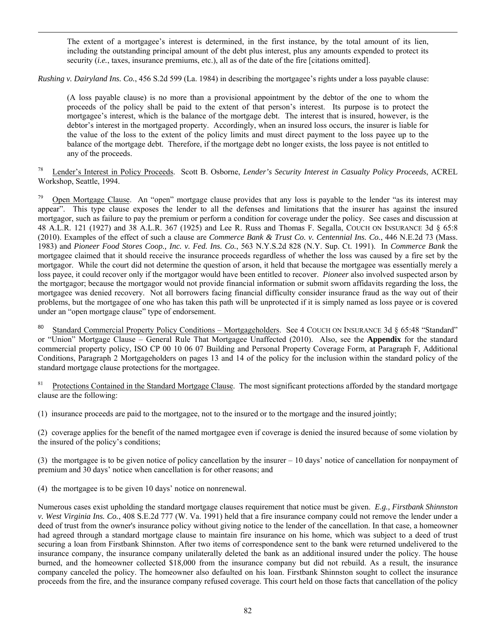The extent of a mortgagee's interest is determined, in the first instance, by the total amount of its lien, including the outstanding principal amount of the debt plus interest, plus any amounts expended to protect its security (*i.e.*, taxes, insurance premiums, etc.), all as of the date of the fire [citations omitted].

*Rushing v. Dairyland Ins. Co.*, 456 S.2d 599 (La. 1984) in describing the mortgagee's rights under a loss payable clause:

(A loss payable clause) is no more than a provisional appointment by the debtor of the one to whom the proceeds of the policy shall be paid to the extent of that person's interest. Its purpose is to protect the mortgagee's interest, which is the balance of the mortgage debt. The interest that is insured, however, is the debtor's interest in the mortgaged property. Accordingly, when an insured loss occurs, the insurer is liable for the value of the loss to the extent of the policy limits and must direct payment to the loss payee up to the balance of the mortgage debt. Therefore, if the mortgage debt no longer exists, the loss payee is not entitled to any of the proceeds.

78 Lender's Interest in Policy Proceeds. Scott B. Osborne, *Lender's Security Interest in Casualty Policy Proceeds*, ACREL Workshop, Seattle, 1994.

 $79$  Open Mortgage Clause. An "open" mortgage clause provides that any loss is payable to the lender "as its interest may appear". This type clause exposes the lender to all the defenses and limitations that the insurer has against the insured mortgagor, such as failure to pay the premium or perform a condition for coverage under the policy. See cases and discussion at 48 A.L.R. 121 (1927) and 38 A.L.R. 367 (1925) and Lee R. Russ and Thomas F. Segalla, COUCH ON INSURANCE 3d § 65:8 (2010). Examples of the effect of such a clause are *Commerce Bank & Trust Co. v. Centennial Ins. Co.*, 446 N.E.2d 73 (Mass. 1983) and *Pioneer Food Stores Coop., Inc. v. Fed. Ins. Co.*, 563 N.Y.S.2d 828 (N.Y. Sup. Ct. 1991). In *Commerce Bank* the mortgagee claimed that it should receive the insurance proceeds regardless of whether the loss was caused by a fire set by the mortgagor. While the court did not determine the question of arson, it held that because the mortgagee was essentially merely a loss payee, it could recover only if the mortgagor would have been entitled to recover. *Pioneer* also involved suspected arson by the mortgagor; because the mortgagor would not provide financial information or submit sworn affidavits regarding the loss, the mortgagee was denied recovery. Not all borrowers facing financial difficulty consider insurance fraud as the way out of their problems, but the mortgagee of one who has taken this path will be unprotected if it is simply named as loss payee or is covered under an "open mortgage clause" type of endorsement.

<sup>80</sup> Standard Commercial Property Policy Conditions – Mortgageholders. See 4 COUCH ON INSURANCE 3d § 65:48 "Standard" or "Union" Mortgage Clause – General Rule That Mortgagee Unaffected (2010). Also, see the **Appendix** for the standard commercial property policy, ISO CP 00 10 06 07 Building and Personal Property Coverage Form, at Paragraph F, Additional Conditions, Paragraph 2 Mortgageholders on pages 13 and 14 of the policy for the inclusion within the standard policy of the standard mortgage clause protections for the mortgagee.

<sup>81</sup> Protections Contained in the Standard Mortgage Clause. The most significant protections afforded by the standard mortgage clause are the following:

(1) insurance proceeds are paid to the mortgagee, not to the insured or to the mortgage and the insured jointly;

(2) coverage applies for the benefit of the named mortgagee even if coverage is denied the insured because of some violation by the insured of the policy's conditions;

(3) the mortgagee is to be given notice of policy cancellation by the insurer – 10 days' notice of cancellation for nonpayment of premium and 30 days' notice when cancellation is for other reasons; and

(4) the mortgagee is to be given 10 days' notice on nonrenewal.

Numerous cases exist upholding the standard mortgage clauses requirement that notice must be given. *E.g., Firstbank Shinnston v. West Virginia Ins. Co.*, 408 S.E.2d 777 (W. Va. 1991) held that a fire insurance company could not remove the lender under a deed of trust from the owner's insurance policy without giving notice to the lender of the cancellation. In that case, a homeowner had agreed through a standard mortgage clause to maintain fire insurance on his home, which was subject to a deed of trust securing a loan from Firstbank Shinnston. After two items of correspondence sent to the bank were returned undelivered to the insurance company, the insurance company unilaterally deleted the bank as an additional insured under the policy. The house burned, and the homeowner collected \$18,000 from the insurance company but did not rebuild. As a result, the insurance company canceled the policy. The homeowner also defaulted on his loan. Firstbank Shinnston sought to collect the insurance proceeds from the fire, and the insurance company refused coverage. This court held on those facts that cancellation of the policy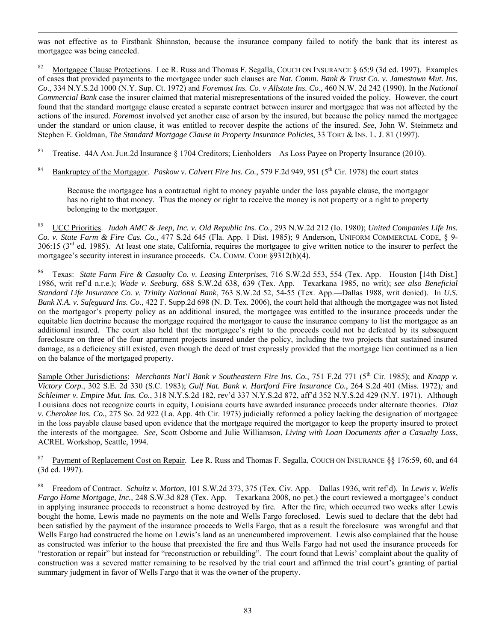was not effective as to Firstbank Shinnston, because the insurance company failed to notify the bank that its interest as mortgagee was being canceled.

<sup>82</sup> Mortgagee Clause Protections. Lee R. Russ and Thomas F. Segalla, COUCH ON INSURANCE § 65:9 (3d ed. 1997). Examples of cases that provided payments to the mortgagee under such clauses are *Nat. Comm. Bank & Trust Co. v. Jamestown Mut. Ins. Co*., 334 N.Y.S.2d 1000 (N.Y. Sup. Ct. 1972) and *Foremost Ins. Co. v Allstate Ins. Co.,* 460 N.W. 2d 242 (1990). In the *National Commercial Bank* case the insurer claimed that material misrepresentations of the insured voided the policy. However, the court found that the standard mortgage clause created a separate contract between insurer and mortgagee that was not affected by the actions of the insured. *Foremost* involved yet another case of arson by the insured, but because the policy named the mortgagee under the standard or union clause, it was entitled to recover despite the actions of the insured. *See*, John W. Steinmetz and Stephen E. Goldman, *The Standard Mortgage Clause in Property Insurance Policies*, 33 TORT & INS. L. J. 81 (1997).

83 Treatise. 44A AM. JUR.2d Insurance § 1704 Creditors; Lienholders—As Loss Payee on Property Insurance (2010).

84 Bankruptcy of the Mortgagor. *Paskow v. Calvert Fire Ins. Co.*, 579 F.2d 949, 951 ( $5<sup>th</sup>$  Cir. 1978) the court states

Because the mortgagee has a contractual right to money payable under the loss payable clause, the mortgagor has no right to that money. Thus the money or right to receive the money is not property or a right to property belonging to the mortgagor.

85 UCC Priorities. *Judah AMC & Jeep, Inc. v. Old Republic Ins. Co.,* 293 N.W.2d 212 (Io. 1980); *United Companies Life Ins. Co. v. State Farm & Fire Cas. Co.,* 477 S.2d 645 (Fla. App. 1 Dist. 1985); 9 Anderson, UNIFORM COMMERCIAL CODE, § 9-  $306:15$  ( $3<sup>rd</sup>$  ed. 1985). At least one state, California, requires the mortgagee to give written notice to the insurer to perfect the mortgagee's security interest in insurance proceeds. CA. COMM. CODE §9312(b)(4).

86 Texas: *State Farm Fire & Casualty Co. v. Leasing Enterprises*, 716 S.W.2d 553, 554 (Tex. App.—Houston [14th Dist.] 1986, writ ref'd n.r.e.); *Wade v. Seeburg*, 688 S.W.2d 638, 639 (Tex. App.—Texarkana 1985, no writ); *see also Beneficial Standard Life Insurance Co. v. Trinity National Bank*, 763 S.W.2d 52, 54-55 (Tex. App.—Dallas 1988, writ denied). In *U.S. Bank N.A. v. Safeguard Ins. Co.*, 422 F. Supp.2d 698 (N. D. Tex. 2006), the court held that although the mortgagee was not listed on the mortgagor's property policy as an additional insured, the mortgagee was entitled to the insurance proceeds under the equitable lien doctrine because the mortgage required the mortgagor to cause the insurance company to list the mortgagee as an additional insured. The court also held that the mortgagee's right to the proceeds could not be defeated by its subsequent foreclosure on three of the four apartment projects insured under the policy, including the two projects that sustained insured damage, as a deficiency still existed, even though the deed of trust expressly provided that the mortgage lien continued as a lien on the balance of the mortgaged property.

Sample Other Jurisdictions: *Merchants Nat'l Bank v Southeastern Fire Ins. Co.*, 751 F.2d 771 (5<sup>th</sup> Cir. 1985); and *Knapp v. Victory Corp.*, 302 S.E. 2d 330 (S.C. 1983); *Gulf Nat. Bank v. Hartford Fire Insurance Co.*, 264 S.2d 401 (Miss. 1972)*;* and *Schleimer v. Empire Mut. Ins. Co.*, 318 N.Y.S.2d 182, rev'd 337 N.Y.S.2d 872, aff'd 352 N.Y.S.2d 429 (N.Y. 1971). Although Louisiana does not recognize courts in equity, Louisiana courts have awarded insurance proceeds under alternate theories. *Diaz v. Cherokee Ins. Co.,* 275 So. 2d 922 (La. App. 4th Cir. 1973) judicially reformed a policy lacking the designation of mortgagee in the loss payable clause based upon evidence that the mortgage required the mortgagor to keep the property insured to protect the interests of the mortgagee. *See,* Scott Osborne and Julie Williamson, *Living with Loan Documents after a Casualty Loss*, ACREL Workshop, Seattle, 1994.

<sup>87</sup> Payment of Replacement Cost on Repair. Lee R. Russ and Thomas F. Segalla, COUCH ON INSURANCE §§ 176:59, 60, and 64 (3d ed. 1997).

88 Freedom of Contract. *Schultz v. Morton*, 101 S.W.2d 373, 375 (Tex. Civ. App.—Dallas 1936, writ ref'd). In *Lewis v. Wells Fargo Home Mortgage, Inc.,* 248 S.W.3d 828 (Tex. App. – Texarkana 2008, no pet.) the court reviewed a mortgagee's conduct in applying insurance proceeds to reconstruct a home destroyed by fire. After the fire, which occurred two weeks after Lewis bought the home, Lewis made no payments on the note and Wells Fargo foreclosed. Lewis sued to declare that the debt had been satisfied by the payment of the insurance proceeds to Wells Fargo, that as a result the foreclosure was wrongful and that Wells Fargo had constructed the home on Lewis's land as an unencumbered improvement. Lewis also complained that the house as constructed was inferior to the house that preexisted the fire and thus Wells Fargo had not used the insurance proceeds for "restoration or repair" but instead for "reconstruction or rebuilding". The court found that Lewis' complaint about the quality of construction was a severed matter remaining to be resolved by the trial court and affirmed the trial court's granting of partial summary judgment in favor of Wells Fargo that it was the owner of the property.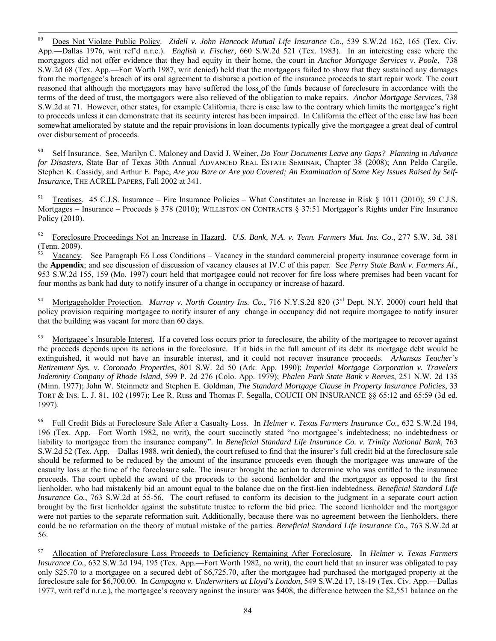89 Does Not Violate Public Policy. *Zidell v. John Hancock Mutual Life Insurance Co.*, 539 S.W.2d 162, 165 (Tex. Civ. App.—Dallas 1976, writ ref'd n.r.e.). *English v. Fischer,* 660 S.W.2d 521 (Tex. 1983). In an interesting case where the mortgagors did not offer evidence that they had equity in their home, the court in *Anchor Mortgage Services v. Poole*, 738 S.W.2d 68 (Tex. App.—Fort Worth 1987, writ denied) held that the mortgagors failed to show that they sustained any damages from the mortgagee's breach of its oral agreement to disburse a portion of the insurance proceeds to start repair work. The court reasoned that although the mortgagors may have suffered the loss of the funds because of foreclosure in accordance with the terms of the deed of trust, the mortgagors were also relieved of the obligation to make repairs. *Anchor Mortgage Services*, 738 S.W.2d at 71. However, other states, for example California, there is case law to the contrary which limits the mortgagee's right to proceeds unless it can demonstrate that its security interest has been impaired. In California the effect of the case law has been somewhat ameliorated by statute and the repair provisions in loan documents typically give the mortgagee a great deal of control over disbursement of proceeds.

90 Self Insurance. See, Marilyn C. Maloney and David J. Weiner, *Do Your Documents Leave any Gaps? Planning in Advance for Disasters*, State Bar of Texas 30th Annual ADVANCED REAL ESTATE SEMINAR, Chapter 38 (2008); Ann Peldo Cargile, Stephen K. Cassidy, and Arthur E. Pape, *Are you Bare or Are you Covered; An Examination of Some Key Issues Raised by Self-Insurance*, THE ACREL PAPERS, Fall 2002 at 341.

<sup>91</sup> Treatises. 45 C.J.S. Insurance – Fire Insurance Policies – What Constitutes an Increase in Risk § 1011 (2010); 59 C.J.S. Mortgages – Insurance – Proceeds § 378 (2010); WILLISTON ON CONTRACTS § 37:51 Mortgagor's Rights under Fire Insurance Policy (2010).

92 Foreclosure Proceedings Not an Increase in Hazard. *U.S. Bank, N.A. v. Tenn. Farmers Mut. Ins. Co*., 277 S.W. 3d. 381 (Tenn. 2009).

Vacancy. See Paragraph E6 Loss Conditions – Vacancy in the standard commercial property insurance coverage form in the **Appendix**; and see discussion of discussion of vacancy clauses at IV.C of this paper. See *Perry State Bank v. Farmers Al.*, 953 S.W.2d 155, 159 (Mo. 1997) court held that mortgagee could not recover for fire loss where premises had been vacant for four months as bank had duty to notify insurer of a change in occupancy or increase of hazard.

<sup>94</sup> Mortgageholder Protection. *Murray v. North Country Ins. Co.*, 716 N.Y.S.2d 820 (3<sup>rd</sup> Dept. N.Y. 2000) court held that policy provision requiring mortgagee to notify insurer of any change in occupancy did not require mortgagee to notify insurer that the building was vacant for more than 60 days.

<sup>95</sup> Mortgagee's Insurable Interest. If a covered loss occurs prior to foreclosure, the ability of the mortgagee to recover against the proceeds depends upon its actions in the foreclosure. If it bids in the full amount of its debt its mortgage debt would be extinguished, it would not have an insurable interest, and it could not recover insurance proceeds. *Arkansas Teacher's Retirement Sys. v. Coronado Properties*, 801 S.W. 2d 50 (Ark. App. 1990); *Imperial Mortgage Corporation v. Travelers Indemnity Company of Rhode Island*, 599 P. 2d 276 (Colo. App. 1979); *Phalen Park State Bank v Reeves*, 251 N.W. 2d 135 (Minn. 1977); John W. Steinmetz and Stephen E. Goldman, *The Standard Mortgage Clause in Property Insurance Policies*, 33 TORT & INS. L. J. 81, 102 (1997); Lee R. Russ and Thomas F. Segalla, COUCH ON INSURANCE §§ 65:12 and 65:59 (3d ed. 1997).

96 Full Credit Bids at Foreclosure Sale After a Casualty Loss. In *Helmer v. Texas Farmers Insurance Co.*, 632 S.W.2d 194, 196 (Tex. App.—Fort Worth 1982, no writ), the court succinctly stated "no mortgagee's indebtedness; no indebtedness or liability to mortgagee from the insurance company". In *Beneficial Standard Life Insurance Co. v. Trinity National Bank*, 763 S.W.2d 52 (Tex. App.—Dallas 1988, writ denied), the court refused to find that the insurer's full credit bid at the foreclosure sale should be reformed to be reduced by the amount of the insurance proceeds even though the mortgagee was unaware of the casualty loss at the time of the foreclosure sale. The insurer brought the action to determine who was entitled to the insurance proceeds. The court upheld the award of the proceeds to the second lienholder and the mortgagor as opposed to the first lienholder, who had mistakenly bid an amount equal to the balance due on the first-lien indebtedness. *Beneficial Standard Life Insurance Co.*, 763 S.W.2d at 55-56. The court refused to conform its decision to the judgment in a separate court action brought by the first lienholder against the substitute trustee to reform the bid price. The second lienholder and the mortgagor were not parties to the separate reformation suit. Additionally, because there was no agreement between the lienholders, there could be no reformation on the theory of mutual mistake of the parties. *Beneficial Standard Life Insurance Co.*, 763 S.W.2d at 56.

97 Allocation of Preforeclosure Loss Proceeds to Deficiency Remaining After Foreclosure. In *Helmer v. Texas Farmers Insurance Co.*, 632 S.W.2d 194, 195 (Tex. App.—Fort Worth 1982, no writ), the court held that an insurer was obligated to pay only \$25.70 to a mortgagee on a secured debt of \$6,725.70, after the mortgagee had purchased the mortgaged property at the foreclosure sale for \$6,700.00. In *Campagna v. Underwriters at Lloyd's London*, 549 S.W.2d 17, 18-19 (Tex. Civ. App.—Dallas 1977, writ ref'd n.r.e.), the mortgagee's recovery against the insurer was \$408, the difference between the \$2,551 balance on the